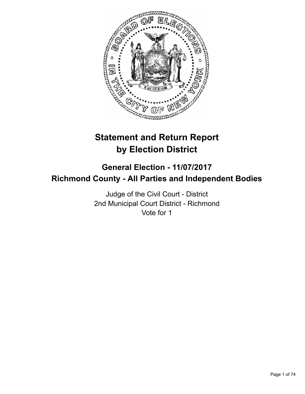

# **Statement and Return Report by Election District**

# **General Election - 11/07/2017 Richmond County - All Parties and Independent Bodies**

Judge of the Civil Court - District 2nd Municipal Court District - Richmond Vote for 1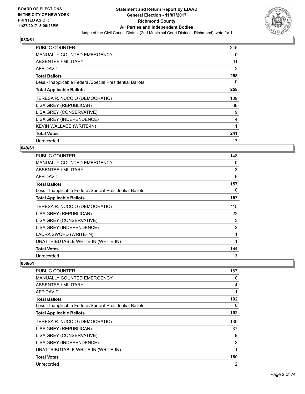

| <b>PUBLIC COUNTER</b>                                    | 245 |
|----------------------------------------------------------|-----|
| <b>MANUALLY COUNTED EMERGENCY</b>                        | 0   |
| ABSENTEE / MILITARY                                      | 11  |
| AFFIDAVIT                                                | 2   |
| <b>Total Ballots</b>                                     | 258 |
| Less - Inapplicable Federal/Special Presidential Ballots | 0   |
| <b>Total Applicable Ballots</b>                          | 258 |
| TERESA R. NUCCIO (DEMOCRATIC)                            | 189 |
| LISA GREY (REPUBLICAN)                                   | 38  |
| LISA GREY (CONSERVATIVE)                                 | 9   |
| LISA GREY (INDEPENDENCE)                                 | 4   |
| <b>KEVIN WALLACE (WRITE-IN)</b>                          |     |
| <b>Total Votes</b>                                       | 241 |
| Unrecorded                                               | 17  |

## **049/61**

| <b>PUBLIC COUNTER</b>                                    | 148            |
|----------------------------------------------------------|----------------|
| MANUALLY COUNTED EMERGENCY                               | 0              |
| ABSENTEE / MILITARY                                      | 3              |
| AFFIDAVIT                                                | 6              |
| <b>Total Ballots</b>                                     | 157            |
| Less - Inapplicable Federal/Special Presidential Ballots | 0              |
| <b>Total Applicable Ballots</b>                          | 157            |
| TERESA R. NUCCIO (DEMOCRATIC)                            | 115            |
| LISA GREY (REPUBLICAN)                                   | 22             |
| LISA GREY (CONSERVATIVE)                                 | 3              |
| LISA GREY (INDEPENDENCE)                                 | $\overline{2}$ |
| LAURA SWORD (WRITE-IN)                                   | 1              |
| UNATTRIBUTABLE WRITE-IN (WRITE-IN)                       | 1              |
| <b>Total Votes</b>                                       | 144            |
| Unrecorded                                               | 13             |

| PUBLIC COUNTER                                           | 187 |
|----------------------------------------------------------|-----|
| <b>MANUALLY COUNTED EMERGENCY</b>                        | 0   |
| ABSENTEE / MILITARY                                      | 4   |
| AFFIDAVIT                                                | 1   |
| <b>Total Ballots</b>                                     | 192 |
| Less - Inapplicable Federal/Special Presidential Ballots | 0   |
| <b>Total Applicable Ballots</b>                          | 192 |
| TERESA R. NUCCIO (DEMOCRATIC)                            | 130 |
| LISA GREY (REPUBLICAN)                                   | 37  |
| LISA GREY (CONSERVATIVE)                                 | 9   |
| LISA GREY (INDEPENDENCE)                                 | 3   |
| UNATTRIBUTABLE WRITE-IN (WRITE-IN)                       | 1   |
| <b>Total Votes</b>                                       | 180 |
| Unrecorded                                               | 12  |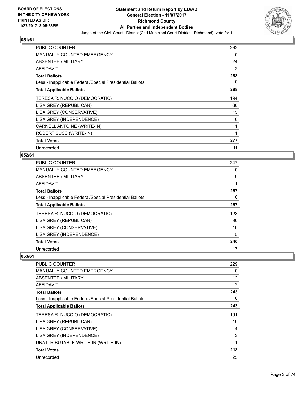

| <b>PUBLIC COUNTER</b>                                    | 262 |
|----------------------------------------------------------|-----|
| <b>MANUALLY COUNTED EMERGENCY</b>                        | 0   |
| ABSENTEE / MILITARY                                      | 24  |
| AFFIDAVIT                                                | 2   |
| <b>Total Ballots</b>                                     | 288 |
| Less - Inapplicable Federal/Special Presidential Ballots | 0   |
| <b>Total Applicable Ballots</b>                          | 288 |
| TERESA R. NUCCIO (DEMOCRATIC)                            | 194 |
| LISA GREY (REPUBLICAN)                                   | 60  |
| LISA GREY (CONSERVATIVE)                                 | 15  |
| LISA GREY (INDEPENDENCE)                                 | 6   |
| CARNELL ANTOINE (WRITE-IN)                               | 1   |
| ROBERT SUSS (WRITE-IN)                                   | 1   |
| <b>Total Votes</b>                                       | 277 |
| Unrecorded                                               | 11  |

## **052/61**

| <b>PUBLIC COUNTER</b>                                    | 247 |
|----------------------------------------------------------|-----|
| <b>MANUALLY COUNTED EMERGENCY</b>                        | 0   |
| ABSENTEE / MILITARY                                      | 9   |
| <b>AFFIDAVIT</b>                                         |     |
| <b>Total Ballots</b>                                     | 257 |
| Less - Inapplicable Federal/Special Presidential Ballots | 0   |
| <b>Total Applicable Ballots</b>                          | 257 |
| TERESA R. NUCCIO (DEMOCRATIC)                            | 123 |
| LISA GREY (REPUBLICAN)                                   | 96  |
| LISA GREY (CONSERVATIVE)                                 | 16  |
| LISA GREY (INDEPENDENCE)                                 | 5   |
| <b>Total Votes</b>                                       | 240 |
| Unrecorded                                               | 17  |

| <b>PUBLIC COUNTER</b>                                    | 229 |
|----------------------------------------------------------|-----|
| <b>MANUALLY COUNTED EMERGENCY</b>                        | 0   |
| ABSENTEE / MILITARY                                      | 12  |
| AFFIDAVIT                                                | 2   |
| <b>Total Ballots</b>                                     | 243 |
| Less - Inapplicable Federal/Special Presidential Ballots | 0   |
| <b>Total Applicable Ballots</b>                          | 243 |
| TERESA R. NUCCIO (DEMOCRATIC)                            | 191 |
| LISA GREY (REPUBLICAN)                                   | 19  |
| LISA GREY (CONSERVATIVE)                                 | 4   |
| LISA GREY (INDEPENDENCE)                                 | 3   |
| UNATTRIBUTABLE WRITE-IN (WRITE-IN)                       |     |
| <b>Total Votes</b>                                       | 218 |
| Unrecorded                                               | 25  |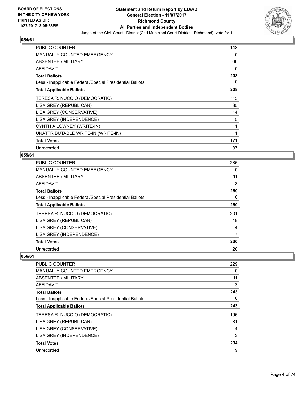

| <b>PUBLIC COUNTER</b>                                    | 148 |
|----------------------------------------------------------|-----|
| <b>MANUALLY COUNTED EMERGENCY</b>                        | 0   |
| <b>ABSENTEE / MILITARY</b>                               | 60  |
| <b>AFFIDAVIT</b>                                         | 0   |
| <b>Total Ballots</b>                                     | 208 |
| Less - Inapplicable Federal/Special Presidential Ballots | 0   |
| <b>Total Applicable Ballots</b>                          | 208 |
| TERESA R. NUCCIO (DEMOCRATIC)                            | 115 |
| LISA GREY (REPUBLICAN)                                   | 35  |
| LISA GREY (CONSERVATIVE)                                 | 14  |
| LISA GREY (INDEPENDENCE)                                 | 5   |
| CYNTHIA LOWNEY (WRITE-IN)                                | 1   |
| UNATTRIBUTABLE WRITE-IN (WRITE-IN)                       | 1   |
| <b>Total Votes</b>                                       | 171 |
| Unrecorded                                               | 37  |

# **055/61**

| <b>PUBLIC COUNTER</b>                                    | 236 |
|----------------------------------------------------------|-----|
| MANUALLY COUNTED EMERGENCY                               | 0   |
| ABSENTEE / MILITARY                                      | 11  |
| AFFIDAVIT                                                | 3   |
| <b>Total Ballots</b>                                     | 250 |
| Less - Inapplicable Federal/Special Presidential Ballots | 0   |
| <b>Total Applicable Ballots</b>                          | 250 |
| TERESA R. NUCCIO (DEMOCRATIC)                            | 201 |
| LISA GREY (REPUBLICAN)                                   | 18  |
| LISA GREY (CONSERVATIVE)                                 | 4   |
| LISA GREY (INDEPENDENCE)                                 | 7   |
| <b>Total Votes</b>                                       | 230 |
| Unrecorded                                               | 20  |

| PUBLIC COUNTER                                           | 229 |
|----------------------------------------------------------|-----|
| <b>MANUALLY COUNTED EMERGENCY</b>                        | 0   |
| ABSENTEE / MILITARY                                      | 11  |
| <b>AFFIDAVIT</b>                                         | 3   |
| <b>Total Ballots</b>                                     | 243 |
| Less - Inapplicable Federal/Special Presidential Ballots | 0   |
| <b>Total Applicable Ballots</b>                          | 243 |
| TERESA R. NUCCIO (DEMOCRATIC)                            | 196 |
| LISA GREY (REPUBLICAN)                                   | 31  |
| LISA GREY (CONSERVATIVE)                                 | 4   |
| LISA GREY (INDEPENDENCE)                                 | 3   |
| <b>Total Votes</b>                                       | 234 |
| Unrecorded                                               | 9   |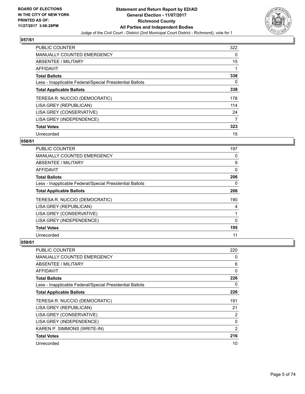

| <b>PUBLIC COUNTER</b>                                    | 322 |
|----------------------------------------------------------|-----|
| <b>MANUALLY COUNTED EMERGENCY</b>                        | 0   |
| ABSENTEE / MILITARY                                      | 15  |
| AFFIDAVIT                                                |     |
| <b>Total Ballots</b>                                     | 338 |
| Less - Inapplicable Federal/Special Presidential Ballots | 0   |
| <b>Total Applicable Ballots</b>                          | 338 |
| TERESA R. NUCCIO (DEMOCRATIC)                            | 178 |
| LISA GREY (REPUBLICAN)                                   | 114 |
| LISA GREY (CONSERVATIVE)                                 | 24  |
| LISA GREY (INDEPENDENCE)                                 | 7   |
| <b>Total Votes</b>                                       | 323 |
| Unrecorded                                               | 15  |

# **058/61**

| <b>PUBLIC COUNTER</b>                                    | 197      |
|----------------------------------------------------------|----------|
| <b>MANUALLY COUNTED EMERGENCY</b>                        | 0        |
| ABSENTEE / MILITARY                                      | 9        |
| <b>AFFIDAVIT</b>                                         | 0        |
| <b>Total Ballots</b>                                     | 206      |
| Less - Inapplicable Federal/Special Presidential Ballots | 0        |
| <b>Total Applicable Ballots</b>                          | 206      |
| TERESA R. NUCCIO (DEMOCRATIC)                            | 190      |
| LISA GREY (REPUBLICAN)                                   | 4        |
| LISA GREY (CONSERVATIVE)                                 |          |
| LISA GREY (INDEPENDENCE)                                 | $\Omega$ |
| <b>Total Votes</b>                                       | 195      |
| Unrecorded                                               | 11       |

| <b>PUBLIC COUNTER</b>                                    | 220            |
|----------------------------------------------------------|----------------|
| <b>MANUALLY COUNTED EMERGENCY</b>                        | 0              |
| ABSENTEE / MILITARY                                      | 6              |
| AFFIDAVIT                                                | 0              |
| <b>Total Ballots</b>                                     | 226            |
| Less - Inapplicable Federal/Special Presidential Ballots | 0              |
| <b>Total Applicable Ballots</b>                          | 226            |
| TERESA R. NUCCIO (DEMOCRATIC)                            | 191            |
| LISA GREY (REPUBLICAN)                                   | 21             |
| LISA GREY (CONSERVATIVE)                                 | $\overline{2}$ |
| LISA GREY (INDEPENDENCE)                                 | 0              |
| KAREN P. SIMMONS (WRITE-IN)                              | $\overline{2}$ |
| <b>Total Votes</b>                                       | 216            |
| Unrecorded                                               | 10             |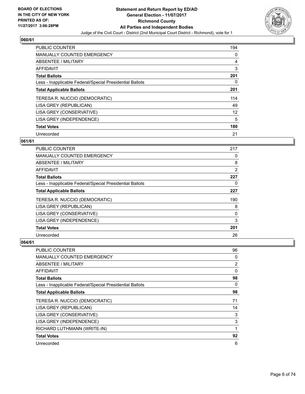

| <b>PUBLIC COUNTER</b>                                    | 194 |
|----------------------------------------------------------|-----|
| MANUALLY COUNTED EMERGENCY                               | 0   |
| ABSENTEE / MILITARY                                      | 4   |
| AFFIDAVIT                                                | 3   |
| <b>Total Ballots</b>                                     | 201 |
| Less - Inapplicable Federal/Special Presidential Ballots | 0   |
| <b>Total Applicable Ballots</b>                          | 201 |
| TERESA R. NUCCIO (DEMOCRATIC)                            | 114 |
| LISA GREY (REPUBLICAN)                                   | 49  |
| LISA GREY (CONSERVATIVE)                                 | 12  |
| LISA GREY (INDEPENDENCE)                                 | 5   |
| <b>Total Votes</b>                                       | 180 |
| Unrecorded                                               | 21  |

# **061/61**

| <b>PUBLIC COUNTER</b>                                    | 217 |
|----------------------------------------------------------|-----|
| <b>MANUALLY COUNTED EMERGENCY</b>                        | 0   |
| ABSENTEE / MILITARY                                      | 8   |
| <b>AFFIDAVIT</b>                                         | 2   |
| <b>Total Ballots</b>                                     | 227 |
| Less - Inapplicable Federal/Special Presidential Ballots | 0   |
| <b>Total Applicable Ballots</b>                          | 227 |
| TERESA R. NUCCIO (DEMOCRATIC)                            | 190 |
| LISA GREY (REPUBLICAN)                                   | 8   |
| LISA GREY (CONSERVATIVE)                                 | 0   |
| LISA GREY (INDEPENDENCE)                                 | 3   |
| <b>Total Votes</b>                                       | 201 |
| Unrecorded                                               | 26  |

| <b>PUBLIC COUNTER</b>                                    | 96 |
|----------------------------------------------------------|----|
| MANUALLY COUNTED EMERGENCY                               | 0  |
| ABSENTEE / MILITARY                                      | 2  |
| AFFIDAVIT                                                | 0  |
| <b>Total Ballots</b>                                     | 98 |
| Less - Inapplicable Federal/Special Presidential Ballots | 0  |
| <b>Total Applicable Ballots</b>                          | 98 |
| TERESA R. NUCCIO (DEMOCRATIC)                            | 71 |
| LISA GREY (REPUBLICAN)                                   | 14 |
| LISA GREY (CONSERVATIVE)                                 | 3  |
| LISA GREY (INDEPENDENCE)                                 | 3  |
| RICHARD LUTHMANN (WRITE-IN)                              | 1  |
| <b>Total Votes</b>                                       | 92 |
| Unrecorded                                               | 6  |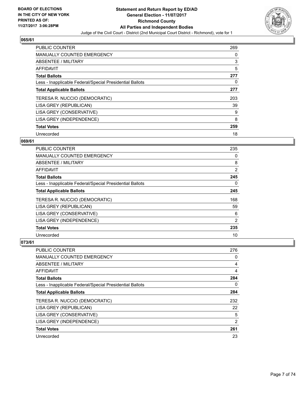

| <b>PUBLIC COUNTER</b>                                    | 269 |
|----------------------------------------------------------|-----|
| MANUALLY COUNTED EMERGENCY                               | 0   |
| ABSENTEE / MILITARY                                      | 3   |
| AFFIDAVIT                                                | 5   |
| <b>Total Ballots</b>                                     | 277 |
| Less - Inapplicable Federal/Special Presidential Ballots | 0   |
| <b>Total Applicable Ballots</b>                          | 277 |
| TERESA R. NUCCIO (DEMOCRATIC)                            | 203 |
| LISA GREY (REPUBLICAN)                                   | 39  |
| LISA GREY (CONSERVATIVE)                                 | 9   |
| LISA GREY (INDEPENDENCE)                                 | 8   |
| <b>Total Votes</b>                                       | 259 |
| Unrecorded                                               | 18  |

# **069/61**

| <b>PUBLIC COUNTER</b>                                    | 235 |
|----------------------------------------------------------|-----|
| <b>MANUALLY COUNTED EMERGENCY</b>                        | 0   |
| ABSENTEE / MILITARY                                      | 8   |
| AFFIDAVIT                                                | 2   |
| <b>Total Ballots</b>                                     | 245 |
| Less - Inapplicable Federal/Special Presidential Ballots | 0   |
| <b>Total Applicable Ballots</b>                          | 245 |
| TERESA R. NUCCIO (DEMOCRATIC)                            | 168 |
| LISA GREY (REPUBLICAN)                                   | 59  |
| LISA GREY (CONSERVATIVE)                                 | 6   |
| LISA GREY (INDEPENDENCE)                                 | 2   |
| <b>Total Votes</b>                                       | 235 |
| Unrecorded                                               | 10  |

| <b>PUBLIC COUNTER</b>                                    | 276            |
|----------------------------------------------------------|----------------|
| <b>MANUALLY COUNTED EMERGENCY</b>                        | 0              |
| ABSENTEE / MILITARY                                      | 4              |
| <b>AFFIDAVIT</b>                                         | 4              |
| <b>Total Ballots</b>                                     | 284            |
| Less - Inapplicable Federal/Special Presidential Ballots | 0              |
| <b>Total Applicable Ballots</b>                          | 284            |
| TERESA R. NUCCIO (DEMOCRATIC)                            | 232            |
| LISA GREY (REPUBLICAN)                                   | 22             |
| LISA GREY (CONSERVATIVE)                                 | 5              |
| LISA GREY (INDEPENDENCE)                                 | $\overline{2}$ |
| <b>Total Votes</b>                                       | 261            |
| Unrecorded                                               | 23             |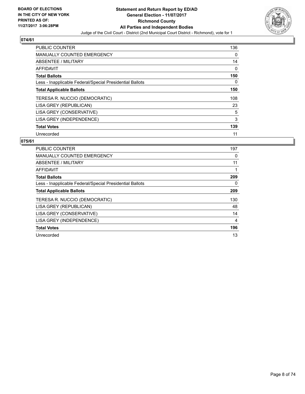

| <b>PUBLIC COUNTER</b>                                    | 136 |
|----------------------------------------------------------|-----|
| <b>MANUALLY COUNTED EMERGENCY</b>                        | 0   |
| ABSENTEE / MILITARY                                      | 14  |
| AFFIDAVIT                                                | 0   |
| <b>Total Ballots</b>                                     | 150 |
| Less - Inapplicable Federal/Special Presidential Ballots | 0   |
| <b>Total Applicable Ballots</b>                          | 150 |
| TERESA R. NUCCIO (DEMOCRATIC)                            | 108 |
| LISA GREY (REPUBLICAN)                                   | 23  |
| LISA GREY (CONSERVATIVE)                                 | 5   |
| LISA GREY (INDEPENDENCE)                                 | 3   |
| <b>Total Votes</b>                                       | 139 |
| Unrecorded                                               | 11  |

| <b>PUBLIC COUNTER</b>                                    | 197 |
|----------------------------------------------------------|-----|
| <b>MANUALLY COUNTED EMERGENCY</b>                        | 0   |
| ABSENTEE / MILITARY                                      | 11  |
| <b>AFFIDAVIT</b>                                         |     |
| <b>Total Ballots</b>                                     | 209 |
| Less - Inapplicable Federal/Special Presidential Ballots | 0   |
| <b>Total Applicable Ballots</b>                          | 209 |
| TERESA R. NUCCIO (DEMOCRATIC)                            | 130 |
| LISA GREY (REPUBLICAN)                                   | 48  |
| LISA GREY (CONSERVATIVE)                                 | 14  |
| LISA GREY (INDEPENDENCE)                                 | 4   |
| <b>Total Votes</b>                                       | 196 |
| Unrecorded                                               | 13  |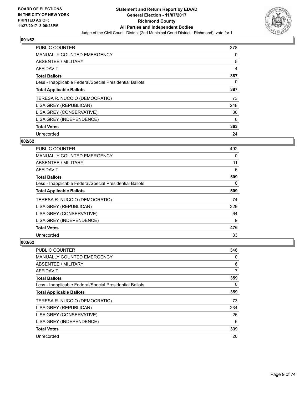

| <b>PUBLIC COUNTER</b>                                    | 378 |
|----------------------------------------------------------|-----|
| <b>MANUALLY COUNTED EMERGENCY</b>                        | 0   |
| ABSENTEE / MILITARY                                      | 5   |
| AFFIDAVIT                                                | 4   |
| <b>Total Ballots</b>                                     | 387 |
| Less - Inapplicable Federal/Special Presidential Ballots | 0   |
| <b>Total Applicable Ballots</b>                          | 387 |
| TERESA R. NUCCIO (DEMOCRATIC)                            | 73  |
| LISA GREY (REPUBLICAN)                                   | 248 |
| LISA GREY (CONSERVATIVE)                                 | 36  |
| LISA GREY (INDEPENDENCE)                                 | 6   |
| <b>Total Votes</b>                                       | 363 |
| Unrecorded                                               | 24  |

# **002/62**

| <b>PUBLIC COUNTER</b>                                    | 492 |
|----------------------------------------------------------|-----|
| <b>MANUALLY COUNTED EMERGENCY</b>                        | 0   |
| ABSENTEE / MILITARY                                      | 11  |
| AFFIDAVIT                                                | 6   |
| <b>Total Ballots</b>                                     | 509 |
| Less - Inapplicable Federal/Special Presidential Ballots | 0   |
| <b>Total Applicable Ballots</b>                          | 509 |
| TERESA R. NUCCIO (DEMOCRATIC)                            | 74  |
| LISA GREY (REPUBLICAN)                                   | 329 |
| LISA GREY (CONSERVATIVE)                                 | 64  |
| LISA GREY (INDEPENDENCE)                                 | 9   |
| <b>Total Votes</b>                                       | 476 |
| Unrecorded                                               | 33  |

| <b>PUBLIC COUNTER</b>                                    | 346 |
|----------------------------------------------------------|-----|
| <b>MANUALLY COUNTED EMERGENCY</b>                        | 0   |
| ABSENTEE / MILITARY                                      | 6   |
| AFFIDAVIT                                                | 7   |
| <b>Total Ballots</b>                                     | 359 |
| Less - Inapplicable Federal/Special Presidential Ballots | 0   |
| <b>Total Applicable Ballots</b>                          | 359 |
| TERESA R. NUCCIO (DEMOCRATIC)                            | 73  |
| LISA GREY (REPUBLICAN)                                   | 234 |
| LISA GREY (CONSERVATIVE)                                 | 26  |
| LISA GREY (INDEPENDENCE)                                 | 6   |
| <b>Total Votes</b>                                       | 339 |
| Unrecorded                                               | 20  |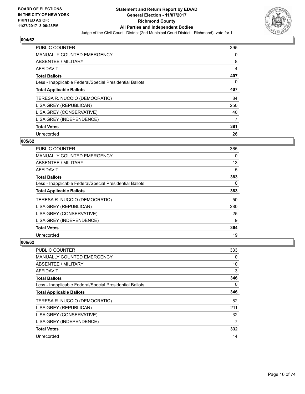

| <b>PUBLIC COUNTER</b>                                    | 395 |
|----------------------------------------------------------|-----|
| MANUALLY COUNTED EMERGENCY                               | 0   |
| ABSENTEE / MILITARY                                      | 8   |
| AFFIDAVIT                                                | 4   |
| <b>Total Ballots</b>                                     | 407 |
| Less - Inapplicable Federal/Special Presidential Ballots | 0   |
| <b>Total Applicable Ballots</b>                          | 407 |
| TERESA R. NUCCIO (DEMOCRATIC)                            | 84  |
| LISA GREY (REPUBLICAN)                                   | 250 |
| LISA GREY (CONSERVATIVE)                                 | 40  |
| LISA GREY (INDEPENDENCE)                                 | 7   |
| <b>Total Votes</b>                                       | 381 |
| Unrecorded                                               | 26  |

# **005/62**

| <b>PUBLIC COUNTER</b>                                    | 365 |
|----------------------------------------------------------|-----|
| <b>MANUALLY COUNTED EMERGENCY</b>                        | 0   |
| ABSENTEE / MILITARY                                      | 13  |
| <b>AFFIDAVIT</b>                                         | 5   |
| <b>Total Ballots</b>                                     | 383 |
| Less - Inapplicable Federal/Special Presidential Ballots | 0   |
| <b>Total Applicable Ballots</b>                          | 383 |
| TERESA R. NUCCIO (DEMOCRATIC)                            | 50  |
| LISA GREY (REPUBLICAN)                                   | 280 |
| LISA GREY (CONSERVATIVE)                                 | 25  |
| LISA GREY (INDEPENDENCE)                                 | 9   |
| <b>Total Votes</b>                                       | 364 |
| Unrecorded                                               | 19  |

| PUBLIC COUNTER                                           | 333 |
|----------------------------------------------------------|-----|
| <b>MANUALLY COUNTED EMERGENCY</b>                        | 0   |
| ABSENTEE / MILITARY                                      | 10  |
| AFFIDAVIT                                                | 3   |
| <b>Total Ballots</b>                                     | 346 |
| Less - Inapplicable Federal/Special Presidential Ballots | 0   |
| <b>Total Applicable Ballots</b>                          | 346 |
| TERESA R. NUCCIO (DEMOCRATIC)                            | 82  |
| LISA GREY (REPUBLICAN)                                   | 211 |
| LISA GREY (CONSERVATIVE)                                 | 32  |
| LISA GREY (INDEPENDENCE)                                 | 7   |
| <b>Total Votes</b>                                       | 332 |
| Unrecorded                                               | 14  |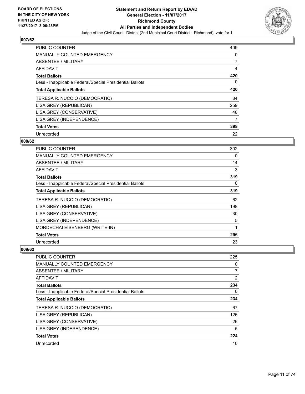

| <b>PUBLIC COUNTER</b>                                    | 409 |
|----------------------------------------------------------|-----|
| MANUALLY COUNTED EMERGENCY                               | 0   |
| ABSENTEE / MILITARY                                      | 7   |
| <b>AFFIDAVIT</b>                                         | 4   |
| <b>Total Ballots</b>                                     | 420 |
| Less - Inapplicable Federal/Special Presidential Ballots | 0   |
| <b>Total Applicable Ballots</b>                          | 420 |
| TERESA R. NUCCIO (DEMOCRATIC)                            | 84  |
| LISA GREY (REPUBLICAN)                                   | 259 |
| LISA GREY (CONSERVATIVE)                                 | 48  |
| LISA GREY (INDEPENDENCE)                                 | 7   |
| <b>Total Votes</b>                                       | 398 |
| Unrecorded                                               | 22  |

# **008/62**

| <b>PUBLIC COUNTER</b>                                    | 302 |
|----------------------------------------------------------|-----|
| <b>MANUALLY COUNTED EMERGENCY</b>                        | 0   |
| ABSENTEE / MILITARY                                      | 14  |
| <b>AFFIDAVIT</b>                                         | 3   |
| <b>Total Ballots</b>                                     | 319 |
| Less - Inapplicable Federal/Special Presidential Ballots | 0   |
| <b>Total Applicable Ballots</b>                          | 319 |
| TERESA R. NUCCIO (DEMOCRATIC)                            | 62  |
| LISA GREY (REPUBLICAN)                                   | 198 |
| LISA GREY (CONSERVATIVE)                                 | 30  |
| LISA GREY (INDEPENDENCE)                                 | 5   |
| MORDECHAI EISENBERG (WRITE-IN)                           | 1   |
| <b>Total Votes</b>                                       | 296 |
| Unrecorded                                               | 23  |

| <b>PUBLIC COUNTER</b>                                    | 225            |
|----------------------------------------------------------|----------------|
| <b>MANUALLY COUNTED EMERGENCY</b>                        | 0              |
| ABSENTEE / MILITARY                                      | $\overline{7}$ |
| AFFIDAVIT                                                | 2              |
| <b>Total Ballots</b>                                     | 234            |
| Less - Inapplicable Federal/Special Presidential Ballots | 0              |
| <b>Total Applicable Ballots</b>                          | 234            |
| TERESA R. NUCCIO (DEMOCRATIC)                            | 67             |
| LISA GREY (REPUBLICAN)                                   | 126            |
| LISA GREY (CONSERVATIVE)                                 | 26             |
| LISA GREY (INDEPENDENCE)                                 | 5              |
| <b>Total Votes</b>                                       | 224            |
| Unrecorded                                               | 10             |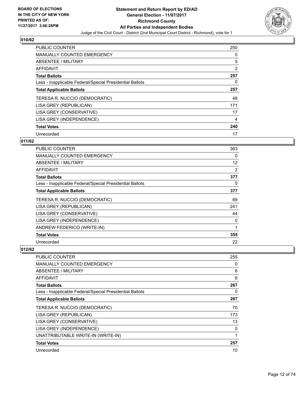

| <b>PUBLIC COUNTER</b>                                    | 250 |
|----------------------------------------------------------|-----|
| <b>MANUALLY COUNTED EMERGENCY</b>                        | 0   |
| ABSENTEE / MILITARY                                      | 5   |
| <b>AFFIDAVIT</b>                                         | 2   |
| <b>Total Ballots</b>                                     | 257 |
| Less - Inapplicable Federal/Special Presidential Ballots | 0   |
| <b>Total Applicable Ballots</b>                          | 257 |
| TERESA R. NUCCIO (DEMOCRATIC)                            | 48  |
| LISA GREY (REPUBLICAN)                                   | 171 |
| LISA GREY (CONSERVATIVE)                                 | 17  |
| LISA GREY (INDEPENDENCE)                                 | 4   |
| <b>Total Votes</b>                                       | 240 |
| Unrecorded                                               | 17  |

# **011/62**

| <b>PUBLIC COUNTER</b>                                    | 363               |
|----------------------------------------------------------|-------------------|
| <b>MANUALLY COUNTED EMERGENCY</b>                        | 0                 |
| ABSENTEE / MILITARY                                      | $12 \overline{ }$ |
| <b>AFFIDAVIT</b>                                         | 2                 |
| <b>Total Ballots</b>                                     | 377               |
| Less - Inapplicable Federal/Special Presidential Ballots | 0                 |
| <b>Total Applicable Ballots</b>                          | 377               |
| TERESA R. NUCCIO (DEMOCRATIC)                            | 69                |
| LISA GREY (REPUBLICAN)                                   | 241               |
| LISA GREY (CONSERVATIVE)                                 | 44                |
| LISA GREY (INDEPENDENCE)                                 | 0                 |
| ANDREW FEDERICO (WRITE-IN)                               | 1                 |
| <b>Total Votes</b>                                       | 355               |
| Unrecorded                                               | 22                |

| <b>PUBLIC COUNTER</b>                                    | 255 |
|----------------------------------------------------------|-----|
| <b>MANUALLY COUNTED EMERGENCY</b>                        | 0   |
| ABSENTEE / MILITARY                                      | 6   |
| AFFIDAVIT                                                | 6   |
| <b>Total Ballots</b>                                     | 267 |
| Less - Inapplicable Federal/Special Presidential Ballots | 0   |
| <b>Total Applicable Ballots</b>                          | 267 |
| TERESA R. NUCCIO (DEMOCRATIC)                            | 70  |
| LISA GREY (REPUBLICAN)                                   | 173 |
| LISA GREY (CONSERVATIVE)                                 | 13  |
| LISA GREY (INDEPENDENCE)                                 | 0   |
| UNATTRIBUTABLE WRITE-IN (WRITE-IN)                       | 1   |
| <b>Total Votes</b>                                       | 257 |
| Unrecorded                                               | 10  |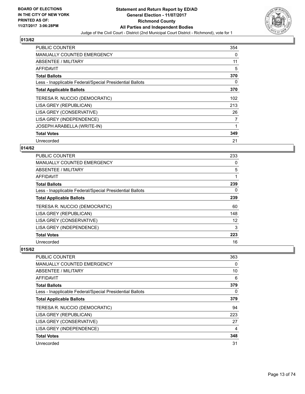

| PUBLIC COUNTER                                           | 354 |
|----------------------------------------------------------|-----|
| <b>MANUALLY COUNTED EMERGENCY</b>                        | 0   |
| ABSENTEE / MILITARY                                      | 11  |
| <b>AFFIDAVIT</b>                                         | 5   |
| <b>Total Ballots</b>                                     | 370 |
| Less - Inapplicable Federal/Special Presidential Ballots | 0   |
| <b>Total Applicable Ballots</b>                          | 370 |
| TERESA R. NUCCIO (DEMOCRATIC)                            | 102 |
| LISA GREY (REPUBLICAN)                                   | 213 |
| LISA GREY (CONSERVATIVE)                                 | 26  |
| LISA GREY (INDEPENDENCE)                                 | 7   |
| <b>JOSEPH ARABELLA (WRITE-IN)</b>                        |     |
| <b>Total Votes</b>                                       | 349 |
| Unrecorded                                               | 21  |

# **014/62**

| PUBLIC COUNTER                                           | 233 |
|----------------------------------------------------------|-----|
| <b>MANUALLY COUNTED EMERGENCY</b>                        | 0   |
| ABSENTEE / MILITARY                                      | 5   |
| AFFIDAVIT                                                |     |
| <b>Total Ballots</b>                                     | 239 |
| Less - Inapplicable Federal/Special Presidential Ballots | 0   |
| <b>Total Applicable Ballots</b>                          | 239 |
| TERESA R. NUCCIO (DEMOCRATIC)                            | 60  |
| LISA GREY (REPUBLICAN)                                   | 148 |
| LISA GREY (CONSERVATIVE)                                 | 12  |
| LISA GREY (INDEPENDENCE)                                 | 3   |
| <b>Total Votes</b>                                       | 223 |
| Unrecorded                                               | 16  |

| <b>PUBLIC COUNTER</b>                                    | 363 |
|----------------------------------------------------------|-----|
| MANUALLY COUNTED EMERGENCY                               | 0   |
| ABSENTEE / MILITARY                                      | 10  |
| AFFIDAVIT                                                | 6   |
| <b>Total Ballots</b>                                     | 379 |
| Less - Inapplicable Federal/Special Presidential Ballots | 0   |
| <b>Total Applicable Ballots</b>                          | 379 |
| TERESA R. NUCCIO (DEMOCRATIC)                            | 94  |
| LISA GREY (REPUBLICAN)                                   | 223 |
| LISA GREY (CONSERVATIVE)                                 | 27  |
| LISA GREY (INDEPENDENCE)                                 | 4   |
| <b>Total Votes</b>                                       | 348 |
| Unrecorded                                               | 31  |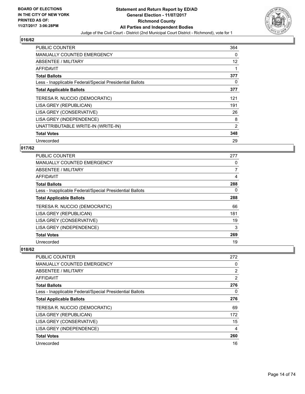

| <b>PUBLIC COUNTER</b>                                    | 364 |
|----------------------------------------------------------|-----|
| <b>MANUALLY COUNTED EMERGENCY</b>                        | 0   |
| <b>ABSENTEE / MILITARY</b>                               | 12  |
| AFFIDAVIT                                                |     |
| <b>Total Ballots</b>                                     | 377 |
| Less - Inapplicable Federal/Special Presidential Ballots | 0   |
| <b>Total Applicable Ballots</b>                          | 377 |
| TERESA R. NUCCIO (DEMOCRATIC)                            | 121 |
| LISA GREY (REPUBLICAN)                                   | 191 |
| LISA GREY (CONSERVATIVE)                                 | 26  |
| LISA GREY (INDEPENDENCE)                                 | 8   |
| UNATTRIBUTABLE WRITE-IN (WRITE-IN)                       | 2   |
| <b>Total Votes</b>                                       | 348 |
| Unrecorded                                               | 29  |

# **017/62**

| PUBLIC COUNTER                                           | 277 |
|----------------------------------------------------------|-----|
| <b>MANUALLY COUNTED EMERGENCY</b>                        | 0   |
| ABSENTEE / MILITARY                                      | 7   |
| AFFIDAVIT                                                | 4   |
| <b>Total Ballots</b>                                     | 288 |
| Less - Inapplicable Federal/Special Presidential Ballots | 0   |
| <b>Total Applicable Ballots</b>                          | 288 |
| TERESA R. NUCCIO (DEMOCRATIC)                            | 66  |
| LISA GREY (REPUBLICAN)                                   | 181 |
| LISA GREY (CONSERVATIVE)                                 | 19  |
| LISA GREY (INDEPENDENCE)                                 | 3   |
| <b>Total Votes</b>                                       | 269 |
| Unrecorded                                               | 19  |

| <b>PUBLIC COUNTER</b>                                    | 272            |
|----------------------------------------------------------|----------------|
| <b>MANUALLY COUNTED EMERGENCY</b>                        | 0              |
| ABSENTEE / MILITARY                                      | $\overline{2}$ |
| AFFIDAVIT                                                | 2              |
| <b>Total Ballots</b>                                     | 276            |
| Less - Inapplicable Federal/Special Presidential Ballots | 0              |
| <b>Total Applicable Ballots</b>                          | 276            |
| TERESA R. NUCCIO (DEMOCRATIC)                            | 69             |
| LISA GREY (REPUBLICAN)                                   | 172            |
| LISA GREY (CONSERVATIVE)                                 | 15             |
| LISA GREY (INDEPENDENCE)                                 | 4              |
| <b>Total Votes</b>                                       | 260            |
| Unrecorded                                               | 16             |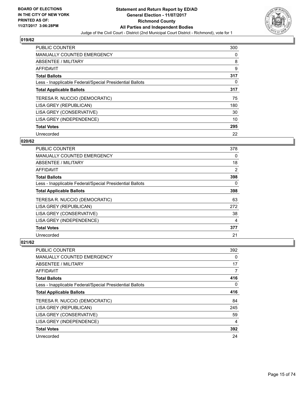

| <b>PUBLIC COUNTER</b>                                    | 300 |
|----------------------------------------------------------|-----|
| <b>MANUALLY COUNTED EMERGENCY</b>                        | 0   |
| ABSENTEE / MILITARY                                      | 8   |
| <b>AFFIDAVIT</b>                                         | 9   |
| <b>Total Ballots</b>                                     | 317 |
| Less - Inapplicable Federal/Special Presidential Ballots | 0   |
| <b>Total Applicable Ballots</b>                          | 317 |
| TERESA R. NUCCIO (DEMOCRATIC)                            | 75  |
| LISA GREY (REPUBLICAN)                                   | 180 |
| LISA GREY (CONSERVATIVE)                                 | 30  |
| LISA GREY (INDEPENDENCE)                                 | 10  |
| <b>Total Votes</b>                                       | 295 |
| Unrecorded                                               | 22  |

# **020/62**

| <b>PUBLIC COUNTER</b>                                    | 378 |
|----------------------------------------------------------|-----|
| <b>MANUALLY COUNTED EMERGENCY</b>                        | 0   |
| ABSENTEE / MILITARY                                      | 18  |
| AFFIDAVIT                                                | 2   |
| <b>Total Ballots</b>                                     | 398 |
| Less - Inapplicable Federal/Special Presidential Ballots | 0   |
| <b>Total Applicable Ballots</b>                          | 398 |
| TERESA R. NUCCIO (DEMOCRATIC)                            | 63  |
| LISA GREY (REPUBLICAN)                                   | 272 |
| LISA GREY (CONSERVATIVE)                                 | 38  |
| LISA GREY (INDEPENDENCE)                                 | 4   |
| <b>Total Votes</b>                                       | 377 |
| Unrecorded                                               | 21  |

| <b>PUBLIC COUNTER</b>                                    | 392 |
|----------------------------------------------------------|-----|
| <b>MANUALLY COUNTED EMERGENCY</b>                        | 0   |
| ABSENTEE / MILITARY                                      | 17  |
| AFFIDAVIT                                                | 7   |
| <b>Total Ballots</b>                                     | 416 |
| Less - Inapplicable Federal/Special Presidential Ballots | 0   |
| <b>Total Applicable Ballots</b>                          | 416 |
| TERESA R. NUCCIO (DEMOCRATIC)                            | 84  |
| LISA GREY (REPUBLICAN)                                   | 245 |
| LISA GREY (CONSERVATIVE)                                 | 59  |
| LISA GREY (INDEPENDENCE)                                 | 4   |
| <b>Total Votes</b>                                       | 392 |
| Unrecorded                                               | 24  |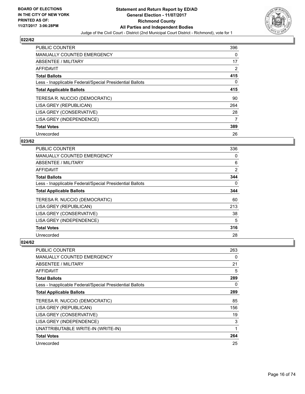

| <b>PUBLIC COUNTER</b>                                    | 396 |
|----------------------------------------------------------|-----|
| <b>MANUALLY COUNTED EMERGENCY</b>                        | 0   |
| ABSENTEE / MILITARY                                      | 17  |
| <b>AFFIDAVIT</b>                                         | 2   |
| <b>Total Ballots</b>                                     | 415 |
| Less - Inapplicable Federal/Special Presidential Ballots | 0   |
| <b>Total Applicable Ballots</b>                          | 415 |
| TERESA R. NUCCIO (DEMOCRATIC)                            | 90  |
| LISA GREY (REPUBLICAN)                                   | 264 |
| LISA GREY (CONSERVATIVE)                                 | 28  |
| LISA GREY (INDEPENDENCE)                                 | 7   |
| <b>Total Votes</b>                                       | 389 |
| Unrecorded                                               | 26  |

# **023/62**

| <b>PUBLIC COUNTER</b>                                    | 336            |
|----------------------------------------------------------|----------------|
| <b>MANUALLY COUNTED EMERGENCY</b>                        | 0              |
| ABSENTEE / MILITARY                                      | 6              |
| <b>AFFIDAVIT</b>                                         | $\overline{2}$ |
| <b>Total Ballots</b>                                     | 344            |
| Less - Inapplicable Federal/Special Presidential Ballots | 0              |
| <b>Total Applicable Ballots</b>                          | 344            |
| TERESA R. NUCCIO (DEMOCRATIC)                            | 60             |
| LISA GREY (REPUBLICAN)                                   | 213            |
| LISA GREY (CONSERVATIVE)                                 | 38             |
| LISA GREY (INDEPENDENCE)                                 | 5              |
| <b>Total Votes</b>                                       | 316            |
| Unrecorded                                               | 28             |

| <b>PUBLIC COUNTER</b>                                    | 263 |
|----------------------------------------------------------|-----|
| <b>MANUALLY COUNTED EMERGENCY</b>                        | 0   |
| ABSENTEE / MILITARY                                      | 21  |
| AFFIDAVIT                                                | 5   |
| <b>Total Ballots</b>                                     | 289 |
| Less - Inapplicable Federal/Special Presidential Ballots | 0   |
| <b>Total Applicable Ballots</b>                          | 289 |
| TERESA R. NUCCIO (DEMOCRATIC)                            | 85  |
| LISA GREY (REPUBLICAN)                                   | 156 |
| LISA GREY (CONSERVATIVE)                                 | 19  |
| LISA GREY (INDEPENDENCE)                                 | 3   |
| UNATTRIBUTABLE WRITE-IN (WRITE-IN)                       | 1   |
| <b>Total Votes</b>                                       | 264 |
| Unrecorded                                               | 25  |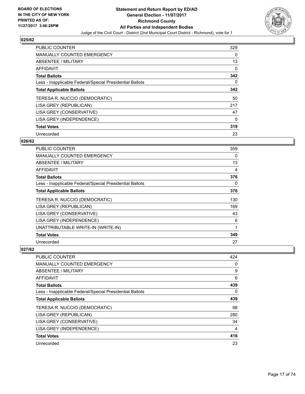

| <b>PUBLIC COUNTER</b>                                    | 329 |
|----------------------------------------------------------|-----|
| <b>MANUALLY COUNTED EMERGENCY</b>                        | 0   |
| ABSENTEE / MILITARY                                      | 13  |
| <b>AFFIDAVIT</b>                                         | 0   |
| <b>Total Ballots</b>                                     | 342 |
| Less - Inapplicable Federal/Special Presidential Ballots | 0   |
| <b>Total Applicable Ballots</b>                          | 342 |
| TERESA R. NUCCIO (DEMOCRATIC)                            | 50  |
| LISA GREY (REPUBLICAN)                                   | 217 |
| LISA GREY (CONSERVATIVE)                                 | 47  |
| LISA GREY (INDEPENDENCE)                                 | 5   |
| <b>Total Votes</b>                                       | 319 |
| Unrecorded                                               | 23  |

# **026/62**

| <b>PUBLIC COUNTER</b>                                    | 359 |
|----------------------------------------------------------|-----|
| <b>MANUALLY COUNTED EMERGENCY</b>                        | 0   |
| ABSENTEE / MILITARY                                      | 13  |
| <b>AFFIDAVIT</b>                                         | 4   |
| <b>Total Ballots</b>                                     | 376 |
| Less - Inapplicable Federal/Special Presidential Ballots | 0   |
| <b>Total Applicable Ballots</b>                          | 376 |
| TERESA R. NUCCIO (DEMOCRATIC)                            | 130 |
| LISA GREY (REPUBLICAN)                                   | 169 |
| LISA GREY (CONSERVATIVE)                                 | 43  |
| LISA GREY (INDEPENDENCE)                                 | 6   |
| UNATTRIBUTABLE WRITE-IN (WRITE-IN)                       | 1   |
| <b>Total Votes</b>                                       | 349 |
| Unrecorded                                               | 27  |

| <b>PUBLIC COUNTER</b>                                    | 424 |
|----------------------------------------------------------|-----|
| <b>MANUALLY COUNTED EMERGENCY</b>                        | 0   |
| ABSENTEE / MILITARY                                      | 9   |
| AFFIDAVIT                                                | 6   |
| <b>Total Ballots</b>                                     | 439 |
| Less - Inapplicable Federal/Special Presidential Ballots | 0   |
| <b>Total Applicable Ballots</b>                          | 439 |
| TERESA R. NUCCIO (DEMOCRATIC)                            | 98  |
| LISA GREY (REPUBLICAN)                                   | 280 |
| LISA GREY (CONSERVATIVE)                                 | 34  |
| LISA GREY (INDEPENDENCE)                                 | 4   |
| <b>Total Votes</b>                                       | 416 |
| Unrecorded                                               | 23  |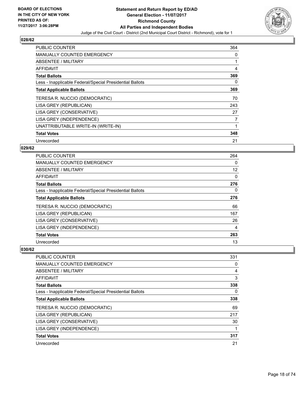

| <b>PUBLIC COUNTER</b>                                    | 364 |
|----------------------------------------------------------|-----|
| <b>MANUALLY COUNTED EMERGENCY</b>                        | 0   |
| <b>ABSENTEE / MILITARY</b>                               |     |
| AFFIDAVIT                                                | 4   |
| <b>Total Ballots</b>                                     | 369 |
| Less - Inapplicable Federal/Special Presidential Ballots | 0   |
| <b>Total Applicable Ballots</b>                          | 369 |
| TERESA R. NUCCIO (DEMOCRATIC)                            | 70  |
| LISA GREY (REPUBLICAN)                                   | 243 |
| LISA GREY (CONSERVATIVE)                                 | 27  |
| LISA GREY (INDEPENDENCE)                                 | 7   |
| UNATTRIBUTABLE WRITE-IN (WRITE-IN)                       |     |
| <b>Total Votes</b>                                       | 348 |
| Unrecorded                                               | 21  |

# **029/62**

| PUBLIC COUNTER                                           | 264 |
|----------------------------------------------------------|-----|
| <b>MANUALLY COUNTED EMERGENCY</b>                        | 0   |
| ABSENTEE / MILITARY                                      | 12  |
| AFFIDAVIT                                                | 0   |
| <b>Total Ballots</b>                                     | 276 |
| Less - Inapplicable Federal/Special Presidential Ballots | 0   |
| <b>Total Applicable Ballots</b>                          | 276 |
| TERESA R. NUCCIO (DEMOCRATIC)                            | 66  |
| LISA GREY (REPUBLICAN)                                   | 167 |
| LISA GREY (CONSERVATIVE)                                 | 26  |
| LISA GREY (INDEPENDENCE)                                 | 4   |
| <b>Total Votes</b>                                       | 263 |
| Unrecorded                                               | 13  |

| <b>PUBLIC COUNTER</b>                                    | 331 |
|----------------------------------------------------------|-----|
| <b>MANUALLY COUNTED EMERGENCY</b>                        | 0   |
| ABSENTEE / MILITARY                                      | 4   |
| AFFIDAVIT                                                | 3   |
| <b>Total Ballots</b>                                     | 338 |
| Less - Inapplicable Federal/Special Presidential Ballots | 0   |
| <b>Total Applicable Ballots</b>                          | 338 |
| TERESA R. NUCCIO (DEMOCRATIC)                            | 69  |
| LISA GREY (REPUBLICAN)                                   | 217 |
| LISA GREY (CONSERVATIVE)                                 | 30  |
| LISA GREY (INDEPENDENCE)                                 |     |
| <b>Total Votes</b>                                       | 317 |
| Unrecorded                                               | 21  |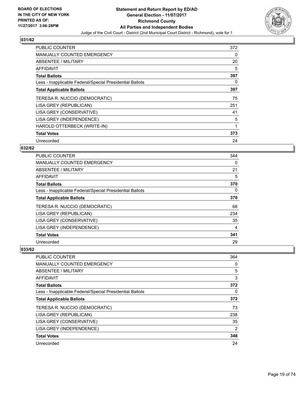

| <b>PUBLIC COUNTER</b>                                    | 372 |
|----------------------------------------------------------|-----|
| <b>MANUALLY COUNTED EMERGENCY</b>                        | 0   |
| ABSENTEE / MILITARY                                      | 20  |
| AFFIDAVIT                                                | 5   |
| <b>Total Ballots</b>                                     | 397 |
| Less - Inapplicable Federal/Special Presidential Ballots | 0   |
| <b>Total Applicable Ballots</b>                          | 397 |
| TERESA R. NUCCIO (DEMOCRATIC)                            | 75  |
| LISA GREY (REPUBLICAN)                                   | 251 |
| LISA GREY (CONSERVATIVE)                                 | 41  |
| LISA GREY (INDEPENDENCE)                                 | 5   |
| HAROLD OTTERBECK (WRITE-IN)                              | 1   |
| <b>Total Votes</b>                                       | 373 |
| Unrecorded                                               | 24  |

# **032/62**

| <b>PUBLIC COUNTER</b>                                    | 344 |
|----------------------------------------------------------|-----|
| <b>MANUALLY COUNTED EMERGENCY</b>                        | 0   |
| ABSENTEE / MILITARY                                      | 21  |
| AFFIDAVIT                                                | 5   |
| <b>Total Ballots</b>                                     | 370 |
| Less - Inapplicable Federal/Special Presidential Ballots | 0   |
| <b>Total Applicable Ballots</b>                          | 370 |
| TERESA R. NUCCIO (DEMOCRATIC)                            | 68  |
| LISA GREY (REPUBLICAN)                                   | 234 |
| LISA GREY (CONSERVATIVE)                                 | 35  |
| LISA GREY (INDEPENDENCE)                                 | 4   |
| <b>Total Votes</b>                                       | 341 |
| Unrecorded                                               | 29  |

| <b>PUBLIC COUNTER</b>                                    | 364 |
|----------------------------------------------------------|-----|
| <b>MANUALLY COUNTED EMERGENCY</b>                        | 0   |
| ABSENTEE / MILITARY                                      | 5   |
| AFFIDAVIT                                                | 3   |
| <b>Total Ballots</b>                                     | 372 |
| Less - Inapplicable Federal/Special Presidential Ballots | 0   |
| <b>Total Applicable Ballots</b>                          | 372 |
| TERESA R. NUCCIO (DEMOCRATIC)                            | 73  |
| LISA GREY (REPUBLICAN)                                   | 238 |
| LISA GREY (CONSERVATIVE)                                 | 35  |
| LISA GREY (INDEPENDENCE)                                 | 2   |
| <b>Total Votes</b>                                       | 348 |
| Unrecorded                                               | 24  |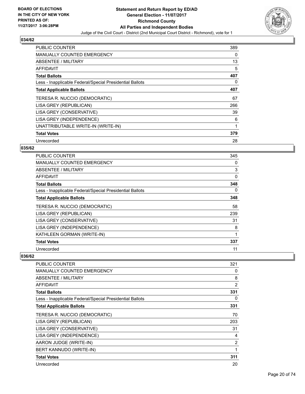

| <b>PUBLIC COUNTER</b>                                    | 389 |
|----------------------------------------------------------|-----|
| <b>MANUALLY COUNTED EMERGENCY</b>                        | 0   |
| <b>ABSENTEE / MILITARY</b>                               | 13  |
| AFFIDAVIT                                                | 5   |
| <b>Total Ballots</b>                                     | 407 |
| Less - Inapplicable Federal/Special Presidential Ballots | 0   |
| <b>Total Applicable Ballots</b>                          | 407 |
| TERESA R. NUCCIO (DEMOCRATIC)                            | 67  |
| LISA GREY (REPUBLICAN)                                   | 266 |
| LISA GREY (CONSERVATIVE)                                 | 39  |
| LISA GREY (INDEPENDENCE)                                 | 6   |
| UNATTRIBUTABLE WRITE-IN (WRITE-IN)                       | 1   |
| <b>Total Votes</b>                                       | 379 |
| Unrecorded                                               | 28  |

# **035/62**

| <b>PUBLIC COUNTER</b>                                    | 345 |
|----------------------------------------------------------|-----|
| MANUALLY COUNTED EMERGENCY                               | 0   |
| ABSENTEE / MILITARY                                      | 3   |
| <b>AFFIDAVIT</b>                                         | 0   |
| <b>Total Ballots</b>                                     | 348 |
| Less - Inapplicable Federal/Special Presidential Ballots | 0   |
| <b>Total Applicable Ballots</b>                          | 348 |
| TERESA R. NUCCIO (DEMOCRATIC)                            | 58  |
| LISA GREY (REPUBLICAN)                                   | 239 |
| LISA GREY (CONSERVATIVE)                                 | 31  |
| LISA GREY (INDEPENDENCE)                                 | 8   |
| KATHLEEN GORMAN (WRITE-IN)                               | 1   |
| <b>Total Votes</b>                                       | 337 |
| Unrecorded                                               | 11  |

| PUBLIC COUNTER                                           | 321 |
|----------------------------------------------------------|-----|
| <b>MANUALLY COUNTED EMERGENCY</b>                        | 0   |
| ABSENTEE / MILITARY                                      | 8   |
| AFFIDAVIT                                                | 2   |
| <b>Total Ballots</b>                                     | 331 |
| Less - Inapplicable Federal/Special Presidential Ballots | 0   |
| <b>Total Applicable Ballots</b>                          | 331 |
| TERESA R. NUCCIO (DEMOCRATIC)                            | 70  |
| LISA GREY (REPUBLICAN)                                   | 203 |
| LISA GREY (CONSERVATIVE)                                 | 31  |
| LISA GREY (INDEPENDENCE)                                 | 4   |
| AARON JUDGE (WRITE-IN)                                   | 2   |
| BERT KANNUDO (WRITE-IN)                                  | 1   |
| <b>Total Votes</b>                                       | 311 |
| Unrecorded                                               | 20  |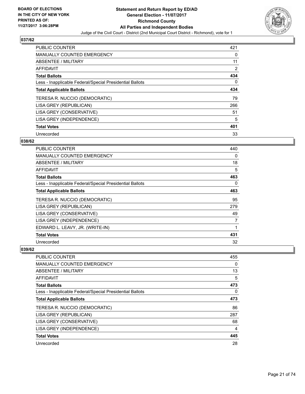

| <b>PUBLIC COUNTER</b>                                    | 421 |
|----------------------------------------------------------|-----|
| MANUALLY COUNTED EMERGENCY                               | 0   |
| ABSENTEE / MILITARY                                      | 11  |
| AFFIDAVIT                                                | 2   |
| <b>Total Ballots</b>                                     | 434 |
| Less - Inapplicable Federal/Special Presidential Ballots | 0   |
| <b>Total Applicable Ballots</b>                          | 434 |
| TERESA R. NUCCIO (DEMOCRATIC)                            | 79  |
| LISA GREY (REPUBLICAN)                                   | 266 |
| LISA GREY (CONSERVATIVE)                                 | 51  |
| LISA GREY (INDEPENDENCE)                                 | 5   |
| <b>Total Votes</b>                                       | 401 |
| Unrecorded                                               | 33  |

# **038/62**

| <b>PUBLIC COUNTER</b>                                    | 440 |
|----------------------------------------------------------|-----|
| MANUALLY COUNTED EMERGENCY                               | 0   |
| ABSENTEE / MILITARY                                      | 18  |
| AFFIDAVIT                                                | 5   |
| <b>Total Ballots</b>                                     | 463 |
| Less - Inapplicable Federal/Special Presidential Ballots | 0   |
| <b>Total Applicable Ballots</b>                          | 463 |
| TERESA R. NUCCIO (DEMOCRATIC)                            | 95  |
| LISA GREY (REPUBLICAN)                                   | 279 |
| LISA GREY (CONSERVATIVE)                                 | 49  |
| LISA GREY (INDEPENDENCE)                                 | 7   |
| EDWARD L. LEAVY, JR. (WRITE-IN)                          | 1   |
| <b>Total Votes</b>                                       | 431 |
| Unrecorded                                               | 32  |

| <b>PUBLIC COUNTER</b>                                    | 455 |
|----------------------------------------------------------|-----|
| <b>MANUALLY COUNTED EMERGENCY</b>                        | 0   |
| ABSENTEE / MILITARY                                      | 13  |
| AFFIDAVIT                                                | 5   |
| <b>Total Ballots</b>                                     | 473 |
| Less - Inapplicable Federal/Special Presidential Ballots | 0   |
| <b>Total Applicable Ballots</b>                          | 473 |
| TERESA R. NUCCIO (DEMOCRATIC)                            | 86  |
| LISA GREY (REPUBLICAN)                                   | 287 |
| LISA GREY (CONSERVATIVE)                                 | 68  |
| LISA GREY (INDEPENDENCE)                                 | 4   |
| <b>Total Votes</b>                                       | 445 |
| Unrecorded                                               | 28  |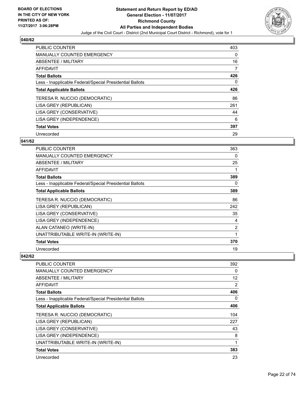

| <b>PUBLIC COUNTER</b>                                    | 403 |
|----------------------------------------------------------|-----|
| <b>MANUALLY COUNTED EMERGENCY</b>                        | 0   |
| ABSENTEE / MILITARY                                      | 16  |
| <b>AFFIDAVIT</b>                                         | 7   |
| <b>Total Ballots</b>                                     | 426 |
| Less - Inapplicable Federal/Special Presidential Ballots | 0   |
| <b>Total Applicable Ballots</b>                          | 426 |
| TERESA R. NUCCIO (DEMOCRATIC)                            | 86  |
| LISA GREY (REPUBLICAN)                                   | 261 |
| LISA GREY (CONSERVATIVE)                                 | 44  |
| LISA GREY (INDEPENDENCE)                                 | 6   |
| <b>Total Votes</b>                                       | 397 |
| Unrecorded                                               | 29  |

## **041/62**

| <b>PUBLIC COUNTER</b>                                    | 363            |
|----------------------------------------------------------|----------------|
| <b>MANUALLY COUNTED EMERGENCY</b>                        | 0              |
| <b>ABSENTEE / MILITARY</b>                               | 25             |
| <b>AFFIDAVIT</b>                                         |                |
| <b>Total Ballots</b>                                     | 389            |
| Less - Inapplicable Federal/Special Presidential Ballots | 0              |
| <b>Total Applicable Ballots</b>                          | 389            |
| TERESA R. NUCCIO (DEMOCRATIC)                            | 86             |
| LISA GREY (REPUBLICAN)                                   | 242            |
| LISA GREY (CONSERVATIVE)                                 | 35             |
| LISA GREY (INDEPENDENCE)                                 | 4              |
| ALAN CATANEO (WRITE-IN)                                  | $\overline{2}$ |
| UNATTRIBUTABLE WRITE-IN (WRITE-IN)                       | 1              |
| <b>Total Votes</b>                                       | 370            |
| Unrecorded                                               | 19             |

| <b>PUBLIC COUNTER</b>                                    | 392            |
|----------------------------------------------------------|----------------|
| <b>MANUALLY COUNTED EMERGENCY</b>                        | 0              |
| <b>ABSENTEE / MILITARY</b>                               | 12             |
| AFFIDAVIT                                                | $\overline{2}$ |
| <b>Total Ballots</b>                                     | 406            |
| Less - Inapplicable Federal/Special Presidential Ballots | 0              |
| <b>Total Applicable Ballots</b>                          | 406            |
| TERESA R. NUCCIO (DEMOCRATIC)                            | 104            |
| LISA GREY (REPUBLICAN)                                   | 227            |
| LISA GREY (CONSERVATIVE)                                 | 43             |
| LISA GREY (INDEPENDENCE)                                 | 8              |
| UNATTRIBUTABLE WRITE-IN (WRITE-IN)                       | 1              |
| <b>Total Votes</b>                                       | 383            |
| Unrecorded                                               | 23             |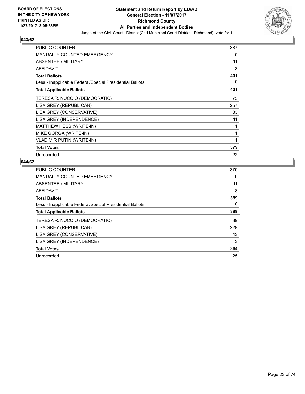

| <b>PUBLIC COUNTER</b>                                    | 387 |
|----------------------------------------------------------|-----|
| <b>MANUALLY COUNTED EMERGENCY</b>                        | 0   |
| ABSENTEE / MILITARY                                      | 11  |
| AFFIDAVIT                                                | 3   |
| <b>Total Ballots</b>                                     | 401 |
| Less - Inapplicable Federal/Special Presidential Ballots | 0   |
| <b>Total Applicable Ballots</b>                          | 401 |
| TERESA R. NUCCIO (DEMOCRATIC)                            | 75  |
| LISA GREY (REPUBLICAN)                                   | 257 |
| LISA GREY (CONSERVATIVE)                                 | 33  |
| LISA GREY (INDEPENDENCE)                                 | 11  |
| MATTHEW HESS (WRITE-IN)                                  | 1   |
| MIKE GORGA (WRITE-IN)                                    | 1   |
| <b>VLADIMIR PUTIN (WRITE-IN)</b>                         | 1   |
| <b>Total Votes</b>                                       | 379 |
| Unrecorded                                               | 22  |

| <b>PUBLIC COUNTER</b>                                    | 370 |
|----------------------------------------------------------|-----|
| <b>MANUALLY COUNTED EMERGENCY</b>                        | 0   |
| ABSENTEE / MILITARY                                      | 11  |
| AFFIDAVIT                                                | 8   |
| <b>Total Ballots</b>                                     | 389 |
| Less - Inapplicable Federal/Special Presidential Ballots | 0   |
| <b>Total Applicable Ballots</b>                          | 389 |
| TERESA R. NUCCIO (DEMOCRATIC)                            | 89  |
| LISA GREY (REPUBLICAN)                                   | 229 |
| LISA GREY (CONSERVATIVE)                                 | 43  |
| LISA GREY (INDEPENDENCE)                                 | 3   |
| <b>Total Votes</b>                                       | 364 |
| Unrecorded                                               | 25  |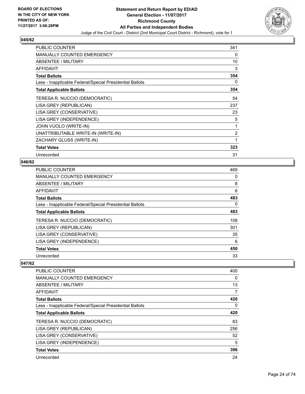

| <b>PUBLIC COUNTER</b>                                    | 341 |
|----------------------------------------------------------|-----|
| <b>MANUALLY COUNTED EMERGENCY</b>                        | 0   |
| ABSENTEE / MILITARY                                      | 10  |
| AFFIDAVIT                                                | 3   |
| <b>Total Ballots</b>                                     | 354 |
| Less - Inapplicable Federal/Special Presidential Ballots | 0   |
| <b>Total Applicable Ballots</b>                          | 354 |
| TERESA R. NUCCIO (DEMOCRATIC)                            | 54  |
| LISA GREY (REPUBLICAN)                                   | 237 |
| LISA GREY (CONSERVATIVE)                                 | 23  |
| LISA GREY (INDEPENDENCE)                                 | 5   |
| JOHN VUOLO (WRITE-IN)                                    | 1   |
| UNATTRIBUTABLE WRITE-IN (WRITE-IN)                       | 2   |
| ZACHARY GLUSS (WRITE-IN)                                 | 1   |
| <b>Total Votes</b>                                       | 323 |
| Unrecorded                                               | 31  |

# **046/62**

| <b>PUBLIC COUNTER</b>                                    | 469 |
|----------------------------------------------------------|-----|
| MANUALLY COUNTED EMERGENCY                               | 0   |
| ABSENTEE / MILITARY                                      | 8   |
| AFFIDAVIT                                                | 6   |
| <b>Total Ballots</b>                                     | 483 |
| Less - Inapplicable Federal/Special Presidential Ballots | 0   |
| <b>Total Applicable Ballots</b>                          | 483 |
| TERESA R. NUCCIO (DEMOCRATIC)                            | 108 |
| LISA GREY (REPUBLICAN)                                   | 301 |
| LISA GREY (CONSERVATIVE)                                 | 35  |
| LISA GREY (INDEPENDENCE)                                 | 6   |
| <b>Total Votes</b>                                       | 450 |
| Unrecorded                                               | 33  |

| <b>PUBLIC COUNTER</b>                                    | 400 |
|----------------------------------------------------------|-----|
| <b>MANUALLY COUNTED EMERGENCY</b>                        | 0   |
| ABSENTEE / MILITARY                                      | 13  |
| AFFIDAVIT                                                | 7   |
| <b>Total Ballots</b>                                     | 420 |
| Less - Inapplicable Federal/Special Presidential Ballots | 0   |
| <b>Total Applicable Ballots</b>                          | 420 |
| TERESA R. NUCCIO (DEMOCRATIC)                            | 83  |
| LISA GREY (REPUBLICAN)                                   | 256 |
| LISA GREY (CONSERVATIVE)                                 | 52  |
| LISA GREY (INDEPENDENCE)                                 | 5   |
| <b>Total Votes</b>                                       | 396 |
| Unrecorded                                               | 24  |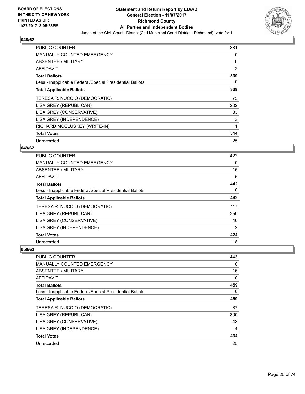

| <b>PUBLIC COUNTER</b>                                    | 331            |
|----------------------------------------------------------|----------------|
| <b>MANUALLY COUNTED EMERGENCY</b>                        | 0              |
| ABSENTEE / MILITARY                                      | 6              |
| AFFIDAVIT                                                | $\overline{2}$ |
| <b>Total Ballots</b>                                     | 339            |
| Less - Inapplicable Federal/Special Presidential Ballots | 0              |
| <b>Total Applicable Ballots</b>                          | 339            |
| TERESA R. NUCCIO (DEMOCRATIC)                            | 75             |
| LISA GREY (REPUBLICAN)                                   | 202            |
| LISA GREY (CONSERVATIVE)                                 | 33             |
| LISA GREY (INDEPENDENCE)                                 | 3              |
| RICHARD MCCLUSKEY (WRITE-IN)                             | 1              |
| <b>Total Votes</b>                                       | 314            |
| Unrecorded                                               | 25             |

# **049/62**

| <b>PUBLIC COUNTER</b>                                    | 422 |
|----------------------------------------------------------|-----|
| <b>MANUALLY COUNTED EMERGENCY</b>                        | 0   |
| ABSENTEE / MILITARY                                      | 15  |
| <b>AFFIDAVIT</b>                                         | 5   |
| <b>Total Ballots</b>                                     | 442 |
| Less - Inapplicable Federal/Special Presidential Ballots | 0   |
| <b>Total Applicable Ballots</b>                          | 442 |
| TERESA R. NUCCIO (DEMOCRATIC)                            | 117 |
| LISA GREY (REPUBLICAN)                                   | 259 |
| LISA GREY (CONSERVATIVE)                                 | 46  |
| LISA GREY (INDEPENDENCE)                                 | 2   |
| <b>Total Votes</b>                                       | 424 |
| Unrecorded                                               | 18  |

| <b>PUBLIC COUNTER</b>                                    | 443 |
|----------------------------------------------------------|-----|
| <b>MANUALLY COUNTED EMERGENCY</b>                        | 0   |
| ABSENTEE / MILITARY                                      | 16  |
| AFFIDAVIT                                                | 0   |
| <b>Total Ballots</b>                                     | 459 |
| Less - Inapplicable Federal/Special Presidential Ballots | 0   |
| <b>Total Applicable Ballots</b>                          | 459 |
| TERESA R. NUCCIO (DEMOCRATIC)                            | 87  |
| LISA GREY (REPUBLICAN)                                   | 300 |
| LISA GREY (CONSERVATIVE)                                 | 43  |
| LISA GREY (INDEPENDENCE)                                 | 4   |
| <b>Total Votes</b>                                       | 434 |
| Unrecorded                                               | 25  |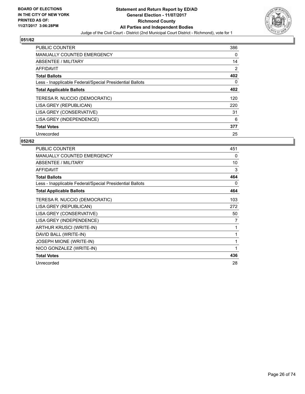

| <b>PUBLIC COUNTER</b>                                    | 386 |
|----------------------------------------------------------|-----|
| <b>MANUALLY COUNTED EMERGENCY</b>                        | 0   |
| ABSENTEE / MILITARY                                      | 14  |
| <b>AFFIDAVIT</b>                                         | 2   |
| <b>Total Ballots</b>                                     | 402 |
| Less - Inapplicable Federal/Special Presidential Ballots | 0   |
| <b>Total Applicable Ballots</b>                          | 402 |
| TERESA R. NUCCIO (DEMOCRATIC)                            | 120 |
| LISA GREY (REPUBLICAN)                                   | 220 |
| LISA GREY (CONSERVATIVE)                                 | 31  |
| LISA GREY (INDEPENDENCE)                                 | 6   |
| <b>Total Votes</b>                                       | 377 |
| Unrecorded                                               | 25  |

| <b>PUBLIC COUNTER</b>                                    | 451 |
|----------------------------------------------------------|-----|
| <b>MANUALLY COUNTED EMERGENCY</b>                        | 0   |
| <b>ABSENTEE / MILITARY</b>                               | 10  |
| <b>AFFIDAVIT</b>                                         | 3   |
| <b>Total Ballots</b>                                     | 464 |
| Less - Inapplicable Federal/Special Presidential Ballots | 0   |
| <b>Total Applicable Ballots</b>                          | 464 |
| TERESA R. NUCCIO (DEMOCRATIC)                            | 103 |
| LISA GREY (REPUBLICAN)                                   | 272 |
| LISA GREY (CONSERVATIVE)                                 | 50  |
| LISA GREY (INDEPENDENCE)                                 | 7   |
| ARTHUR KRUSCI (WRITE-IN)                                 | 1   |
| DAVID BALL (WRITE-IN)                                    | 1   |
| <b>JOSEPH MIONE (WRITE-IN)</b>                           | 1   |
| NICO GONZALEZ (WRITE-IN)                                 | 1   |
| <b>Total Votes</b>                                       | 436 |
| Unrecorded                                               | 28  |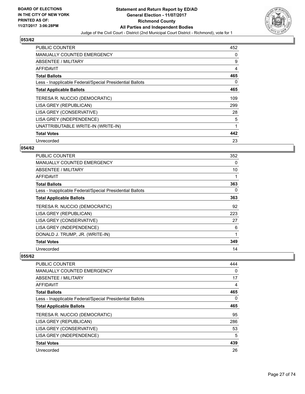

| <b>PUBLIC COUNTER</b>                                    | 452 |
|----------------------------------------------------------|-----|
| <b>MANUALLY COUNTED EMERGENCY</b>                        | 0   |
| <b>ABSENTEE / MILITARY</b>                               | 9   |
| AFFIDAVIT                                                | 4   |
| <b>Total Ballots</b>                                     | 465 |
| Less - Inapplicable Federal/Special Presidential Ballots | 0   |
| <b>Total Applicable Ballots</b>                          | 465 |
| TERESA R. NUCCIO (DEMOCRATIC)                            | 109 |
| LISA GREY (REPUBLICAN)                                   | 299 |
| LISA GREY (CONSERVATIVE)                                 | 28  |
| LISA GREY (INDEPENDENCE)                                 | 5   |
| UNATTRIBUTABLE WRITE-IN (WRITE-IN)                       | 1   |
| <b>Total Votes</b>                                       | 442 |
| Unrecorded                                               | 23  |

# **054/62**

| <b>PUBLIC COUNTER</b>                                    | 352 |
|----------------------------------------------------------|-----|
| <b>MANUALLY COUNTED EMERGENCY</b>                        | 0   |
| ABSENTEE / MILITARY                                      | 10  |
| AFFIDAVIT                                                |     |
| <b>Total Ballots</b>                                     | 363 |
| Less - Inapplicable Federal/Special Presidential Ballots | 0   |
| <b>Total Applicable Ballots</b>                          | 363 |
| TERESA R. NUCCIO (DEMOCRATIC)                            | 92  |
| LISA GREY (REPUBLICAN)                                   | 223 |
| LISA GREY (CONSERVATIVE)                                 | 27  |
| LISA GREY (INDEPENDENCE)                                 | 6   |
| DONALD J. TRUMP, JR. (WRITE-IN)                          | 1   |
| <b>Total Votes</b>                                       | 349 |
| Unrecorded                                               | 14  |

| <b>PUBLIC COUNTER</b>                                    | 444 |
|----------------------------------------------------------|-----|
| <b>MANUALLY COUNTED EMERGENCY</b>                        | 0   |
| ABSENTEE / MILITARY                                      | 17  |
| AFFIDAVIT                                                | 4   |
| <b>Total Ballots</b>                                     | 465 |
| Less - Inapplicable Federal/Special Presidential Ballots | 0   |
| <b>Total Applicable Ballots</b>                          | 465 |
| TERESA R. NUCCIO (DEMOCRATIC)                            | 95  |
| LISA GREY (REPUBLICAN)                                   | 286 |
| LISA GREY (CONSERVATIVE)                                 | 53  |
| LISA GREY (INDEPENDENCE)                                 | 5   |
| <b>Total Votes</b>                                       | 439 |
| Unrecorded                                               | 26  |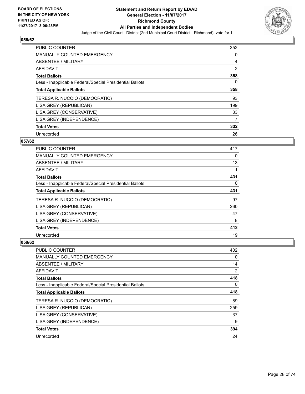

| <b>PUBLIC COUNTER</b>                                    | 352 |
|----------------------------------------------------------|-----|
| <b>MANUALLY COUNTED EMERGENCY</b>                        | 0   |
| ABSENTEE / MILITARY                                      | 4   |
| AFFIDAVIT                                                | 2   |
| <b>Total Ballots</b>                                     | 358 |
| Less - Inapplicable Federal/Special Presidential Ballots | 0   |
| <b>Total Applicable Ballots</b>                          | 358 |
| TERESA R. NUCCIO (DEMOCRATIC)                            | 93  |
| LISA GREY (REPUBLICAN)                                   | 199 |
| LISA GREY (CONSERVATIVE)                                 | 33  |
| LISA GREY (INDEPENDENCE)                                 | 7   |
| <b>Total Votes</b>                                       | 332 |
| Unrecorded                                               | 26  |

# **057/62**

| <b>PUBLIC COUNTER</b>                                    | 417 |
|----------------------------------------------------------|-----|
| <b>MANUALLY COUNTED EMERGENCY</b>                        | 0   |
| ABSENTEE / MILITARY                                      | 13  |
| <b>AFFIDAVIT</b>                                         |     |
| <b>Total Ballots</b>                                     | 431 |
| Less - Inapplicable Federal/Special Presidential Ballots | 0   |
| <b>Total Applicable Ballots</b>                          | 431 |
| TERESA R. NUCCIO (DEMOCRATIC)                            | 97  |
| LISA GREY (REPUBLICAN)                                   | 260 |
| LISA GREY (CONSERVATIVE)                                 | 47  |
| LISA GREY (INDEPENDENCE)                                 | 8   |
| <b>Total Votes</b>                                       | 412 |
| Unrecorded                                               | 19  |

| <b>PUBLIC COUNTER</b>                                    | 402 |
|----------------------------------------------------------|-----|
| <b>MANUALLY COUNTED EMERGENCY</b>                        | 0   |
| ABSENTEE / MILITARY                                      | 14  |
| AFFIDAVIT                                                | 2   |
| <b>Total Ballots</b>                                     | 418 |
| Less - Inapplicable Federal/Special Presidential Ballots | 0   |
| <b>Total Applicable Ballots</b>                          | 418 |
| TERESA R. NUCCIO (DEMOCRATIC)                            | 89  |
| LISA GREY (REPUBLICAN)                                   | 259 |
| LISA GREY (CONSERVATIVE)                                 | 37  |
| LISA GREY (INDEPENDENCE)                                 | 9   |
| <b>Total Votes</b>                                       | 394 |
| Unrecorded                                               | 24  |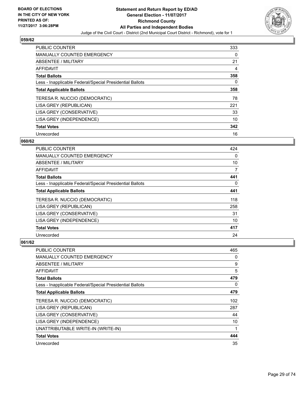

| <b>PUBLIC COUNTER</b>                                    | 333 |
|----------------------------------------------------------|-----|
| <b>MANUALLY COUNTED EMERGENCY</b>                        | 0   |
| ABSENTEE / MILITARY                                      | 21  |
| AFFIDAVIT                                                | 4   |
| <b>Total Ballots</b>                                     | 358 |
| Less - Inapplicable Federal/Special Presidential Ballots | 0   |
| <b>Total Applicable Ballots</b>                          | 358 |
| TERESA R. NUCCIO (DEMOCRATIC)                            | 78  |
| LISA GREY (REPUBLICAN)                                   | 221 |
| LISA GREY (CONSERVATIVE)                                 | 33  |
| LISA GREY (INDEPENDENCE)                                 | 10  |
| <b>Total Votes</b>                                       | 342 |
| Unrecorded                                               | 16  |

# **060/62**

| <b>PUBLIC COUNTER</b>                                    | 424 |
|----------------------------------------------------------|-----|
| <b>MANUALLY COUNTED EMERGENCY</b>                        | 0   |
| ABSENTEE / MILITARY                                      | 10  |
| <b>AFFIDAVIT</b>                                         | 7   |
| <b>Total Ballots</b>                                     | 441 |
| Less - Inapplicable Federal/Special Presidential Ballots | 0   |
| <b>Total Applicable Ballots</b>                          | 441 |
| TERESA R. NUCCIO (DEMOCRATIC)                            | 118 |
| LISA GREY (REPUBLICAN)                                   | 258 |
| LISA GREY (CONSERVATIVE)                                 | 31  |
| LISA GREY (INDEPENDENCE)                                 | 10  |
| <b>Total Votes</b>                                       | 417 |
| Unrecorded                                               | 24  |

| <b>PUBLIC COUNTER</b>                                    | 465 |
|----------------------------------------------------------|-----|
| MANUALLY COUNTED EMERGENCY                               | 0   |
| ABSENTEE / MILITARY                                      | 9   |
| AFFIDAVIT                                                | 5   |
| <b>Total Ballots</b>                                     | 479 |
| Less - Inapplicable Federal/Special Presidential Ballots | 0   |
| <b>Total Applicable Ballots</b>                          | 479 |
| TERESA R. NUCCIO (DEMOCRATIC)                            | 102 |
| LISA GREY (REPUBLICAN)                                   | 287 |
| LISA GREY (CONSERVATIVE)                                 | 44  |
| LISA GREY (INDEPENDENCE)                                 | 10  |
| UNATTRIBUTABLE WRITE-IN (WRITE-IN)                       | 1   |
| <b>Total Votes</b>                                       | 444 |
| Unrecorded                                               | 35  |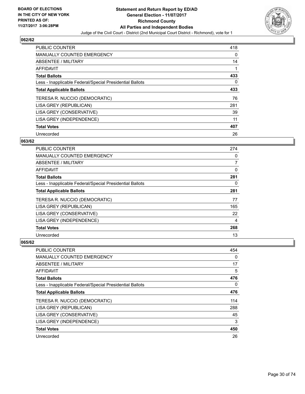

| <b>PUBLIC COUNTER</b>                                    | 418 |
|----------------------------------------------------------|-----|
| <b>MANUALLY COUNTED EMERGENCY</b>                        | 0   |
| ABSENTEE / MILITARY                                      | 14  |
| <b>AFFIDAVIT</b>                                         |     |
| <b>Total Ballots</b>                                     | 433 |
| Less - Inapplicable Federal/Special Presidential Ballots | 0   |
| <b>Total Applicable Ballots</b>                          | 433 |
| TERESA R. NUCCIO (DEMOCRATIC)                            | 76  |
| LISA GREY (REPUBLICAN)                                   | 281 |
| LISA GREY (CONSERVATIVE)                                 | 39  |
| LISA GREY (INDEPENDENCE)                                 | 11  |
| <b>Total Votes</b>                                       | 407 |
| Unrecorded                                               | 26  |

# **063/62**

| <b>PUBLIC COUNTER</b>                                    | 274            |
|----------------------------------------------------------|----------------|
| <b>MANUALLY COUNTED EMERGENCY</b>                        | 0              |
| ABSENTEE / MILITARY                                      | $\overline{7}$ |
| AFFIDAVIT                                                | 0              |
| <b>Total Ballots</b>                                     | 281            |
| Less - Inapplicable Federal/Special Presidential Ballots | 0              |
| <b>Total Applicable Ballots</b>                          | 281            |
| TERESA R. NUCCIO (DEMOCRATIC)                            | 77             |
| LISA GREY (REPUBLICAN)                                   | 165            |
| LISA GREY (CONSERVATIVE)                                 | 22             |
| LISA GREY (INDEPENDENCE)                                 | 4              |
| <b>Total Votes</b>                                       | 268            |
| Unrecorded                                               | 13             |

| <b>PUBLIC COUNTER</b>                                    | 454 |
|----------------------------------------------------------|-----|
| <b>MANUALLY COUNTED EMERGENCY</b>                        | 0   |
| ABSENTEE / MILITARY                                      | 17  |
| AFFIDAVIT                                                | 5   |
| <b>Total Ballots</b>                                     | 476 |
| Less - Inapplicable Federal/Special Presidential Ballots | 0   |
| <b>Total Applicable Ballots</b>                          | 476 |
| TERESA R. NUCCIO (DEMOCRATIC)                            | 114 |
| LISA GREY (REPUBLICAN)                                   | 288 |
| LISA GREY (CONSERVATIVE)                                 | 45  |
| LISA GREY (INDEPENDENCE)                                 | 3   |
| <b>Total Votes</b>                                       | 450 |
| Unrecorded                                               | 26  |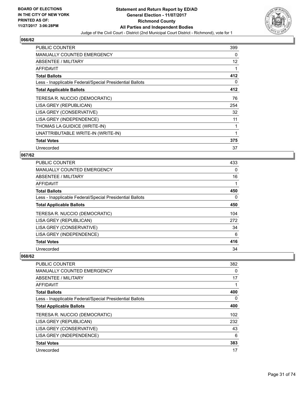

| <b>PUBLIC COUNTER</b>                                    | 399 |
|----------------------------------------------------------|-----|
| <b>MANUALLY COUNTED EMERGENCY</b>                        | 0   |
| ABSENTEE / MILITARY                                      | 12  |
| AFFIDAVIT                                                | 1   |
| <b>Total Ballots</b>                                     | 412 |
| Less - Inapplicable Federal/Special Presidential Ballots | 0   |
| <b>Total Applicable Ballots</b>                          | 412 |
| TERESA R. NUCCIO (DEMOCRATIC)                            | 76  |
| LISA GREY (REPUBLICAN)                                   | 254 |
| LISA GREY (CONSERVATIVE)                                 | 32  |
| LISA GREY (INDEPENDENCE)                                 | 11  |
| THOMAS LA GUIDICE (WRITE-IN)                             | 1   |
| UNATTRIBUTABLE WRITE-IN (WRITE-IN)                       | 1   |
| <b>Total Votes</b>                                       | 375 |
| Unrecorded                                               | 37  |

# **067/62**

| <b>PUBLIC COUNTER</b>                                    | 433 |
|----------------------------------------------------------|-----|
| <b>MANUALLY COUNTED EMERGENCY</b>                        | 0   |
| ABSENTEE / MILITARY                                      | 16  |
| AFFIDAVIT                                                | 1   |
| <b>Total Ballots</b>                                     | 450 |
| Less - Inapplicable Federal/Special Presidential Ballots | 0   |
| <b>Total Applicable Ballots</b>                          | 450 |
| TERESA R. NUCCIO (DEMOCRATIC)                            | 104 |
| LISA GREY (REPUBLICAN)                                   | 272 |
| LISA GREY (CONSERVATIVE)                                 | 34  |
| LISA GREY (INDEPENDENCE)                                 | 6   |
| <b>Total Votes</b>                                       | 416 |
| Unrecorded                                               | 34  |

| <b>PUBLIC COUNTER</b>                                    | 382 |
|----------------------------------------------------------|-----|
| <b>MANUALLY COUNTED EMERGENCY</b>                        | 0   |
| ABSENTEE / MILITARY                                      | 17  |
| <b>AFFIDAVIT</b>                                         |     |
| <b>Total Ballots</b>                                     | 400 |
| Less - Inapplicable Federal/Special Presidential Ballots | 0   |
| <b>Total Applicable Ballots</b>                          | 400 |
| TERESA R. NUCCIO (DEMOCRATIC)                            | 102 |
| LISA GREY (REPUBLICAN)                                   | 232 |
| LISA GREY (CONSERVATIVE)                                 | 43  |
| LISA GREY (INDEPENDENCE)                                 | 6   |
| <b>Total Votes</b>                                       | 383 |
| Unrecorded                                               | 17  |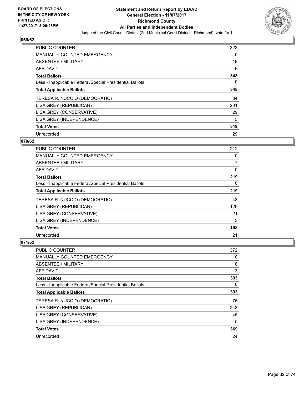

| <b>PUBLIC COUNTER</b>                                    | 323 |
|----------------------------------------------------------|-----|
| <b>MANUALLY COUNTED EMERGENCY</b>                        | 0   |
| ABSENTEE / MILITARY                                      | 19  |
| AFFIDAVIT                                                | 6   |
| <b>Total Ballots</b>                                     | 348 |
| Less - Inapplicable Federal/Special Presidential Ballots | 0   |
| <b>Total Applicable Ballots</b>                          | 348 |
| TERESA R. NUCCIO (DEMOCRATIC)                            | 84  |
| LISA GREY (REPUBLICAN)                                   | 201 |
| LISA GREY (CONSERVATIVE)                                 | 29  |
| LISA GREY (INDEPENDENCE)                                 | 5   |
| <b>Total Votes</b>                                       | 319 |
| Unrecorded                                               | 29  |

# **070/62**

| PUBLIC COUNTER                                           | 212 |
|----------------------------------------------------------|-----|
| <b>MANUALLY COUNTED EMERGENCY</b>                        | 0   |
| ABSENTEE / MILITARY                                      | 7   |
| AFFIDAVIT                                                | 0   |
| <b>Total Ballots</b>                                     | 219 |
| Less - Inapplicable Federal/Special Presidential Ballots | 0   |
| <b>Total Applicable Ballots</b>                          | 219 |
| TERESA R. NUCCIO (DEMOCRATIC)                            | 48  |
| LISA GREY (REPUBLICAN)                                   | 126 |
| LISA GREY (CONSERVATIVE)                                 | 21  |
| LISA GREY (INDEPENDENCE)                                 | 3   |
| <b>Total Votes</b>                                       | 198 |
| Unrecorded                                               | 21  |

| <b>PUBLIC COUNTER</b>                                    | 372 |
|----------------------------------------------------------|-----|
| <b>MANUALLY COUNTED EMERGENCY</b>                        | 0   |
| ABSENTEE / MILITARY                                      | 18  |
| AFFIDAVIT                                                | 3   |
| <b>Total Ballots</b>                                     | 393 |
| Less - Inapplicable Federal/Special Presidential Ballots | 0   |
| <b>Total Applicable Ballots</b>                          | 393 |
| TERESA R. NUCCIO (DEMOCRATIC)                            | 76  |
| LISA GREY (REPUBLICAN)                                   | 243 |
| LISA GREY (CONSERVATIVE)                                 | 45  |
| LISA GREY (INDEPENDENCE)                                 | 5   |
| <b>Total Votes</b>                                       | 369 |
| Unrecorded                                               | 24  |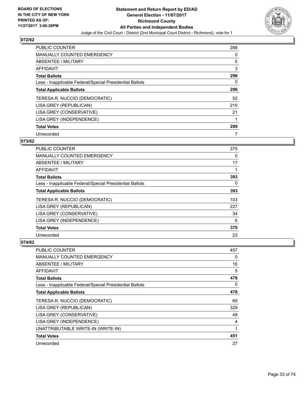

| <b>PUBLIC COUNTER</b>                                    | 288 |
|----------------------------------------------------------|-----|
| <b>MANUALLY COUNTED EMERGENCY</b>                        | 0   |
| ABSENTEE / MILITARY                                      | 5   |
| <b>AFFIDAVIT</b>                                         | 3   |
| <b>Total Ballots</b>                                     | 296 |
| Less - Inapplicable Federal/Special Presidential Ballots | 0   |
| <b>Total Applicable Ballots</b>                          | 296 |
| TERESA R. NUCCIO (DEMOCRATIC)                            | 52  |
| LISA GREY (REPUBLICAN)                                   | 215 |
| LISA GREY (CONSERVATIVE)                                 | 21  |
| LISA GREY (INDEPENDENCE)                                 |     |
| <b>Total Votes</b>                                       | 289 |
| Unrecorded                                               |     |

# **073/62**

| <b>PUBLIC COUNTER</b>                                    | 375 |
|----------------------------------------------------------|-----|
| MANUALLY COUNTED EMERGENCY                               | 0   |
| ABSENTEE / MILITARY                                      | 17  |
| AFFIDAVIT                                                |     |
| <b>Total Ballots</b>                                     | 393 |
| Less - Inapplicable Federal/Special Presidential Ballots | 0   |
| <b>Total Applicable Ballots</b>                          | 393 |
| TERESA R. NUCCIO (DEMOCRATIC)                            | 103 |
| LISA GREY (REPUBLICAN)                                   | 227 |
| LISA GREY (CONSERVATIVE)                                 | 34  |
| LISA GREY (INDEPENDENCE)                                 | 6   |
| <b>Total Votes</b>                                       | 370 |
| Unrecorded                                               | 23  |

| <b>PUBLIC COUNTER</b>                                    | 457 |
|----------------------------------------------------------|-----|
| <b>MANUALLY COUNTED EMERGENCY</b>                        | 0   |
| ABSENTEE / MILITARY                                      | 16  |
| <b>AFFIDAVIT</b>                                         | 5   |
| <b>Total Ballots</b>                                     | 478 |
| Less - Inapplicable Federal/Special Presidential Ballots | 0   |
| <b>Total Applicable Ballots</b>                          | 478 |
| TERESA R. NUCCIO (DEMOCRATIC)                            | 69  |
| LISA GREY (REPUBLICAN)                                   | 329 |
| LISA GREY (CONSERVATIVE)                                 | 48  |
| LISA GREY (INDEPENDENCE)                                 | 4   |
| UNATTRIBUTABLE WRITE-IN (WRITE-IN)                       | 1   |
| <b>Total Votes</b>                                       | 451 |
| Unrecorded                                               | 27  |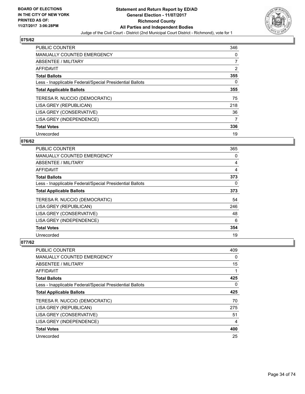

| <b>PUBLIC COUNTER</b>                                    | 346            |
|----------------------------------------------------------|----------------|
| <b>MANUALLY COUNTED EMERGENCY</b>                        | 0              |
| ABSENTEE / MILITARY                                      | $\overline{7}$ |
| <b>AFFIDAVIT</b>                                         | $\overline{2}$ |
| <b>Total Ballots</b>                                     | 355            |
| Less - Inapplicable Federal/Special Presidential Ballots | 0              |
| <b>Total Applicable Ballots</b>                          | 355            |
| TERESA R. NUCCIO (DEMOCRATIC)                            | 75             |
| LISA GREY (REPUBLICAN)                                   | 218            |
| LISA GREY (CONSERVATIVE)                                 | 36             |
| LISA GREY (INDEPENDENCE)                                 | 7              |
| <b>Total Votes</b>                                       | 336            |
| Unrecorded                                               | 19             |

# **076/62**

| <b>PUBLIC COUNTER</b>                                    | 365 |
|----------------------------------------------------------|-----|
| <b>MANUALLY COUNTED EMERGENCY</b>                        | 0   |
| ABSENTEE / MILITARY                                      | 4   |
| AFFIDAVIT                                                | 4   |
| <b>Total Ballots</b>                                     | 373 |
| Less - Inapplicable Federal/Special Presidential Ballots | 0   |
| <b>Total Applicable Ballots</b>                          | 373 |
| TERESA R. NUCCIO (DEMOCRATIC)                            | 54  |
| LISA GREY (REPUBLICAN)                                   | 246 |
| LISA GREY (CONSERVATIVE)                                 | 48  |
| LISA GREY (INDEPENDENCE)                                 | 6   |
| <b>Total Votes</b>                                       | 354 |
| Unrecorded                                               | 19  |

| <b>PUBLIC COUNTER</b>                                    | 409 |
|----------------------------------------------------------|-----|
| <b>MANUALLY COUNTED EMERGENCY</b>                        | 0   |
| ABSENTEE / MILITARY                                      | 15  |
| AFFIDAVIT                                                | 1   |
| <b>Total Ballots</b>                                     | 425 |
| Less - Inapplicable Federal/Special Presidential Ballots | 0   |
| <b>Total Applicable Ballots</b>                          | 425 |
| TERESA R. NUCCIO (DEMOCRATIC)                            | 70  |
| LISA GREY (REPUBLICAN)                                   | 275 |
| LISA GREY (CONSERVATIVE)                                 | 51  |
| LISA GREY (INDEPENDENCE)                                 | 4   |
| <b>Total Votes</b>                                       | 400 |
| Unrecorded                                               | 25  |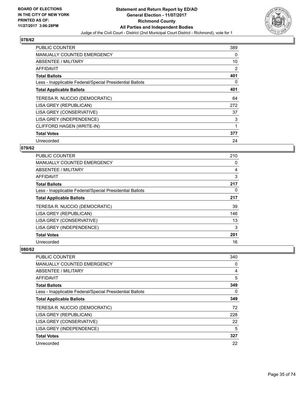

| <b>PUBLIC COUNTER</b>                                    | 389 |
|----------------------------------------------------------|-----|
| <b>MANUALLY COUNTED EMERGENCY</b>                        | 0   |
| ABSENTEE / MILITARY                                      | 10  |
| AFFIDAVIT                                                | 2   |
| <b>Total Ballots</b>                                     | 401 |
| Less - Inapplicable Federal/Special Presidential Ballots | 0   |
| <b>Total Applicable Ballots</b>                          | 401 |
| TERESA R. NUCCIO (DEMOCRATIC)                            | 64  |
| LISA GREY (REPUBLICAN)                                   | 272 |
| LISA GREY (CONSERVATIVE)                                 | 37  |
| LISA GREY (INDEPENDENCE)                                 | 3   |
| CLIFFORD HAGEN (WRITE-IN)                                |     |
| <b>Total Votes</b>                                       | 377 |
| Unrecorded                                               | 24  |

# **079/62**

| <b>PUBLIC COUNTER</b>                                    | 210 |
|----------------------------------------------------------|-----|
| <b>MANUALLY COUNTED EMERGENCY</b>                        | 0   |
| ABSENTEE / MILITARY                                      | 4   |
| <b>AFFIDAVIT</b>                                         | 3   |
| <b>Total Ballots</b>                                     | 217 |
| Less - Inapplicable Federal/Special Presidential Ballots | 0   |
| <b>Total Applicable Ballots</b>                          | 217 |
| TERESA R. NUCCIO (DEMOCRATIC)                            | 39  |
| LISA GREY (REPUBLICAN)                                   | 146 |
| LISA GREY (CONSERVATIVE)                                 | 13  |
| LISA GREY (INDEPENDENCE)                                 | 3   |
| <b>Total Votes</b>                                       | 201 |
| Unrecorded                                               | 16  |

| <b>PUBLIC COUNTER</b>                                    | 340 |
|----------------------------------------------------------|-----|
| MANUALLY COUNTED EMERGENCY                               | 0   |
| ABSENTEE / MILITARY                                      | 4   |
| AFFIDAVIT                                                | 5   |
| <b>Total Ballots</b>                                     | 349 |
| Less - Inapplicable Federal/Special Presidential Ballots | 0   |
| <b>Total Applicable Ballots</b>                          | 349 |
| TERESA R. NUCCIO (DEMOCRATIC)                            | 72  |
| LISA GREY (REPUBLICAN)                                   | 228 |
| LISA GREY (CONSERVATIVE)                                 | 22  |
| LISA GREY (INDEPENDENCE)                                 | 5   |
| <b>Total Votes</b>                                       | 327 |
| Unrecorded                                               | 22  |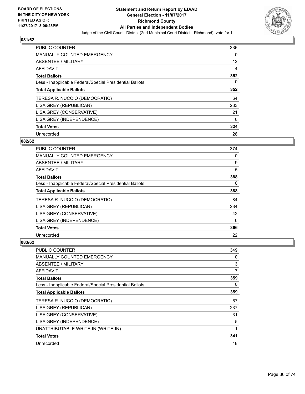

| <b>PUBLIC COUNTER</b>                                    | 336 |
|----------------------------------------------------------|-----|
| MANUALLY COUNTED EMERGENCY                               | 0   |
| ABSENTEE / MILITARY                                      | 12  |
| AFFIDAVIT                                                | 4   |
| <b>Total Ballots</b>                                     | 352 |
| Less - Inapplicable Federal/Special Presidential Ballots | 0   |
| <b>Total Applicable Ballots</b>                          | 352 |
| TERESA R. NUCCIO (DEMOCRATIC)                            | 64  |
| LISA GREY (REPUBLICAN)                                   | 233 |
| LISA GREY (CONSERVATIVE)                                 | 21  |
| LISA GREY (INDEPENDENCE)                                 | 6   |
| <b>Total Votes</b>                                       | 324 |
| Unrecorded                                               | 28  |

# **082/62**

| <b>PUBLIC COUNTER</b>                                    | 374 |
|----------------------------------------------------------|-----|
| <b>MANUALLY COUNTED EMERGENCY</b>                        | 0   |
| ABSENTEE / MILITARY                                      | 9   |
| AFFIDAVIT                                                | 5   |
| <b>Total Ballots</b>                                     | 388 |
| Less - Inapplicable Federal/Special Presidential Ballots | 0   |
| <b>Total Applicable Ballots</b>                          | 388 |
| TERESA R. NUCCIO (DEMOCRATIC)                            | 84  |
| LISA GREY (REPUBLICAN)                                   | 234 |
| LISA GREY (CONSERVATIVE)                                 | 42  |
| LISA GREY (INDEPENDENCE)                                 | 6   |
| <b>Total Votes</b>                                       | 366 |
| Unrecorded                                               | 22  |

| PUBLIC COUNTER                                           | 349 |
|----------------------------------------------------------|-----|
| <b>MANUALLY COUNTED EMERGENCY</b>                        | 0   |
| ABSENTEE / MILITARY                                      | 3   |
| AFFIDAVIT                                                | 7   |
| <b>Total Ballots</b>                                     | 359 |
| Less - Inapplicable Federal/Special Presidential Ballots | 0   |
| <b>Total Applicable Ballots</b>                          | 359 |
| TERESA R. NUCCIO (DEMOCRATIC)                            | 67  |
| LISA GREY (REPUBLICAN)                                   | 237 |
| LISA GREY (CONSERVATIVE)                                 | 31  |
| LISA GREY (INDEPENDENCE)                                 | 5   |
| UNATTRIBUTABLE WRITE-IN (WRITE-IN)                       | 1   |
| <b>Total Votes</b>                                       | 341 |
| Unrecorded                                               | 18  |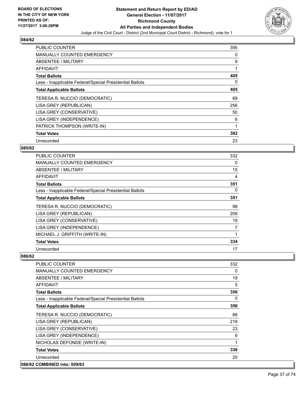

| <b>PUBLIC COUNTER</b>                                    | 395 |
|----------------------------------------------------------|-----|
| <b>MANUALLY COUNTED EMERGENCY</b>                        | 0   |
| ABSENTEE / MILITARY                                      | 9   |
| AFFIDAVIT                                                | 1   |
| <b>Total Ballots</b>                                     | 405 |
| Less - Inapplicable Federal/Special Presidential Ballots | 0   |
| <b>Total Applicable Ballots</b>                          | 405 |
| TERESA R. NUCCIO (DEMOCRATIC)                            | 69  |
| LISA GREY (REPUBLICAN)                                   | 256 |
| LISA GREY (CONSERVATIVE)                                 | 50  |
| LISA GREY (INDEPENDENCE)                                 | 6   |
| PATRICK THOMPSON (WRITE-IN)                              | 1   |
| <b>Total Votes</b>                                       | 382 |
| Unrecorded                                               | 23  |

## **085/62**

| <b>PUBLIC COUNTER</b>                                    | 332 |
|----------------------------------------------------------|-----|
| <b>MANUALLY COUNTED EMERGENCY</b>                        | 0   |
| ABSENTEE / MILITARY                                      | 15  |
| <b>AFFIDAVIT</b>                                         | 4   |
| <b>Total Ballots</b>                                     | 351 |
| Less - Inapplicable Federal/Special Presidential Ballots | 0   |
| <b>Total Applicable Ballots</b>                          | 351 |
| TERESA R. NUCCIO (DEMOCRATIC)                            | 98  |
| LISA GREY (REPUBLICAN)                                   | 209 |
| LISA GREY (CONSERVATIVE)                                 | 19  |
| LISA GREY (INDEPENDENCE)                                 | 7   |
| MICHAEL J. GRIFFITH (WRITE-IN)                           |     |
| <b>Total Votes</b>                                       | 334 |
| Unrecorded                                               | 17  |

| <b>PUBLIC COUNTER</b>                                    | 332 |
|----------------------------------------------------------|-----|
| <b>MANUALLY COUNTED EMERGENCY</b>                        | 0   |
| ABSENTEE / MILITARY                                      | 19  |
| <b>AFFIDAVIT</b>                                         | 5   |
| <b>Total Ballots</b>                                     | 356 |
| Less - Inapplicable Federal/Special Presidential Ballots | 0   |
| <b>Total Applicable Ballots</b>                          | 356 |
| TERESA R. NUCCIO (DEMOCRATIC)                            | 88  |
| LISA GREY (REPUBLICAN)                                   | 218 |
| LISA GREY (CONSERVATIVE)                                 | 23  |
| LISA GREY (INDEPENDENCE)                                 | 6   |
| NICHOLAS DEFONDE (WRITE-IN)                              | 1   |
| <b>Total Votes</b>                                       | 336 |
| Unrecorded                                               | 20  |
| 088/62 COMBINED into: 009/63                             |     |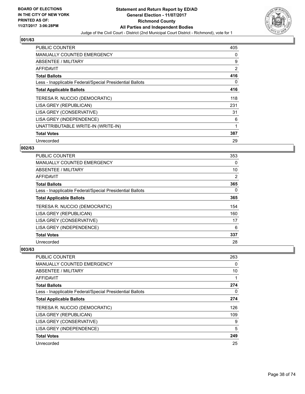

| <b>PUBLIC COUNTER</b>                                    | 405 |
|----------------------------------------------------------|-----|
| <b>MANUALLY COUNTED EMERGENCY</b>                        | 0   |
| ABSENTEE / MILITARY                                      | 9   |
| AFFIDAVIT                                                | 2   |
| <b>Total Ballots</b>                                     | 416 |
| Less - Inapplicable Federal/Special Presidential Ballots | 0   |
| <b>Total Applicable Ballots</b>                          | 416 |
| TERESA R. NUCCIO (DEMOCRATIC)                            | 118 |
| LISA GREY (REPUBLICAN)                                   | 231 |
| LISA GREY (CONSERVATIVE)                                 | 31  |
| LISA GREY (INDEPENDENCE)                                 | 6   |
| UNATTRIBUTABLE WRITE-IN (WRITE-IN)                       | 1   |
| <b>Total Votes</b>                                       | 387 |
| Unrecorded                                               | 29  |

## **002/63**

| PUBLIC COUNTER                                           | 353 |
|----------------------------------------------------------|-----|
| <b>MANUALLY COUNTED EMERGENCY</b>                        | 0   |
| ABSENTEE / MILITARY                                      | 10  |
| AFFIDAVIT                                                | 2   |
| <b>Total Ballots</b>                                     | 365 |
| Less - Inapplicable Federal/Special Presidential Ballots | 0   |
| <b>Total Applicable Ballots</b>                          | 365 |
| TERESA R. NUCCIO (DEMOCRATIC)                            | 154 |
| LISA GREY (REPUBLICAN)                                   | 160 |
| LISA GREY (CONSERVATIVE)                                 | 17  |
| LISA GREY (INDEPENDENCE)                                 | 6   |
| <b>Total Votes</b>                                       | 337 |
| Unrecorded                                               | 28  |

| <b>PUBLIC COUNTER</b>                                    | 263 |
|----------------------------------------------------------|-----|
| <b>MANUALLY COUNTED EMERGENCY</b>                        | 0   |
| ABSENTEE / MILITARY                                      | 10  |
| AFFIDAVIT                                                |     |
| <b>Total Ballots</b>                                     | 274 |
| Less - Inapplicable Federal/Special Presidential Ballots | 0   |
| <b>Total Applicable Ballots</b>                          | 274 |
| TERESA R. NUCCIO (DEMOCRATIC)                            | 126 |
| LISA GREY (REPUBLICAN)                                   | 109 |
| LISA GREY (CONSERVATIVE)                                 | 9   |
| LISA GREY (INDEPENDENCE)                                 | 5   |
| <b>Total Votes</b>                                       | 249 |
| Unrecorded                                               | 25  |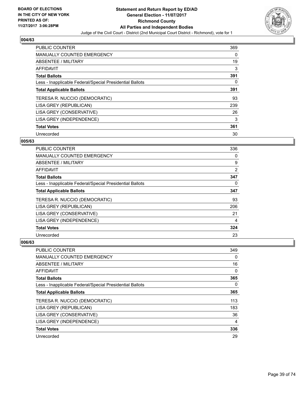

| <b>PUBLIC COUNTER</b>                                    | 369 |
|----------------------------------------------------------|-----|
| <b>MANUALLY COUNTED EMERGENCY</b>                        | 0   |
| ABSENTEE / MILITARY                                      | 19  |
| <b>AFFIDAVIT</b>                                         | 3   |
| <b>Total Ballots</b>                                     | 391 |
| Less - Inapplicable Federal/Special Presidential Ballots | 0   |
| <b>Total Applicable Ballots</b>                          | 391 |
| TERESA R. NUCCIO (DEMOCRATIC)                            | 93  |
| LISA GREY (REPUBLICAN)                                   | 239 |
| LISA GREY (CONSERVATIVE)                                 | 26  |
| LISA GREY (INDEPENDENCE)                                 | 3   |
| <b>Total Votes</b>                                       | 361 |
| Unrecorded                                               | 30  |

## **005/63**

| <b>PUBLIC COUNTER</b>                                    | 336 |
|----------------------------------------------------------|-----|
| <b>MANUALLY COUNTED EMERGENCY</b>                        | 0   |
| ABSENTEE / MILITARY                                      | 9   |
| AFFIDAVIT                                                | 2   |
| <b>Total Ballots</b>                                     | 347 |
| Less - Inapplicable Federal/Special Presidential Ballots | 0   |
| <b>Total Applicable Ballots</b>                          | 347 |
| TERESA R. NUCCIO (DEMOCRATIC)                            | 93  |
| LISA GREY (REPUBLICAN)                                   | 206 |
| LISA GREY (CONSERVATIVE)                                 | 21  |
| LISA GREY (INDEPENDENCE)                                 | 4   |
| <b>Total Votes</b>                                       | 324 |
| Unrecorded                                               | 23  |

| <b>PUBLIC COUNTER</b>                                    | 349 |
|----------------------------------------------------------|-----|
| <b>MANUALLY COUNTED EMERGENCY</b>                        | 0   |
| ABSENTEE / MILITARY                                      | 16  |
| AFFIDAVIT                                                | 0   |
| <b>Total Ballots</b>                                     | 365 |
| Less - Inapplicable Federal/Special Presidential Ballots | 0   |
| <b>Total Applicable Ballots</b>                          | 365 |
| TERESA R. NUCCIO (DEMOCRATIC)                            | 113 |
| LISA GREY (REPUBLICAN)                                   | 183 |
| LISA GREY (CONSERVATIVE)                                 | 36  |
| LISA GREY (INDEPENDENCE)                                 | 4   |
| <b>Total Votes</b>                                       | 336 |
| Unrecorded                                               | 29  |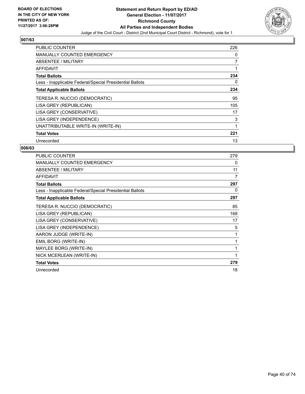

| <b>PUBLIC COUNTER</b>                                    | 226 |
|----------------------------------------------------------|-----|
| <b>MANUALLY COUNTED EMERGENCY</b>                        | 0   |
| <b>ABSENTEE / MILITARY</b>                               | 7   |
| AFFIDAVIT                                                | 1   |
| <b>Total Ballots</b>                                     | 234 |
| Less - Inapplicable Federal/Special Presidential Ballots | 0   |
| <b>Total Applicable Ballots</b>                          | 234 |
| TERESA R. NUCCIO (DEMOCRATIC)                            | 95  |
| LISA GREY (REPUBLICAN)                                   | 105 |
| LISA GREY (CONSERVATIVE)                                 | 17  |
| LISA GREY (INDEPENDENCE)                                 | 3   |
| UNATTRIBUTABLE WRITE-IN (WRITE-IN)                       | 1   |
| <b>Total Votes</b>                                       | 221 |
| Unrecorded                                               | 13  |

| <b>PUBLIC COUNTER</b>                                    | 279          |
|----------------------------------------------------------|--------------|
| MANUALLY COUNTED EMERGENCY                               | 0            |
| ABSENTEE / MILITARY                                      | 11           |
| <b>AFFIDAVIT</b>                                         | 7            |
| <b>Total Ballots</b>                                     | 297          |
| Less - Inapplicable Federal/Special Presidential Ballots | 0            |
| <b>Total Applicable Ballots</b>                          | 297          |
| TERESA R. NUCCIO (DEMOCRATIC)                            | 85           |
| LISA GREY (REPUBLICAN)                                   | 168          |
| LISA GREY (CONSERVATIVE)                                 | 17           |
| LISA GREY (INDEPENDENCE)                                 | 5            |
| AARON JUDGE (WRITE-IN)                                   | 1            |
| EMIL BORG (WRITE-IN)                                     | 1            |
| MAYLEE BORG (WRITE-IN)                                   | $\mathbf{1}$ |
| NICK MCERLEAN (WRITE-IN)                                 | 1            |
| <b>Total Votes</b>                                       | 279          |
| Unrecorded                                               | 18           |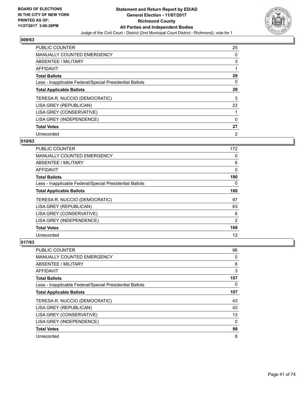

| <b>PUBLIC COUNTER</b>                                    | 25             |
|----------------------------------------------------------|----------------|
| <b>MANUALLY COUNTED EMERGENCY</b>                        | 0              |
| ABSENTEE / MILITARY                                      | 3              |
| <b>AFFIDAVIT</b>                                         |                |
| <b>Total Ballots</b>                                     | 29             |
| Less - Inapplicable Federal/Special Presidential Ballots | 0              |
| <b>Total Applicable Ballots</b>                          | 29             |
| TERESA R. NUCCIO (DEMOCRATIC)                            | 3              |
| LISA GREY (REPUBLICAN)                                   | 23             |
| LISA GREY (CONSERVATIVE)                                 |                |
| LISA GREY (INDEPENDENCE)                                 | 0              |
| <b>Total Votes</b>                                       | 27             |
| Unrecorded                                               | $\overline{2}$ |

## **010/63**

| <b>PUBLIC COUNTER</b>                                    | 172 |
|----------------------------------------------------------|-----|
| <b>MANUALLY COUNTED EMERGENCY</b>                        | 0   |
| ABSENTEE / MILITARY                                      | 8   |
| AFFIDAVIT                                                | 0   |
| <b>Total Ballots</b>                                     | 180 |
| Less - Inapplicable Federal/Special Presidential Ballots | 0   |
| <b>Total Applicable Ballots</b>                          | 180 |
| TERESA R. NUCCIO (DEMOCRATIC)                            | 97  |
| LISA GREY (REPUBLICAN)                                   | 63  |
| LISA GREY (CONSERVATIVE)                                 | 6   |
| LISA GREY (INDEPENDENCE)                                 | 2   |
| <b>Total Votes</b>                                       | 168 |
| Unrecorded                                               | 12  |

| PUBLIC COUNTER                                           | 96       |
|----------------------------------------------------------|----------|
| <b>MANUALLY COUNTED EMERGENCY</b>                        | 0        |
| ABSENTEE / MILITARY                                      | 8        |
| AFFIDAVIT                                                | 3        |
| <b>Total Ballots</b>                                     | 107      |
| Less - Inapplicable Federal/Special Presidential Ballots | 0        |
| <b>Total Applicable Ballots</b>                          | 107      |
| TERESA R. NUCCIO (DEMOCRATIC)                            | 43       |
| LISA GREY (REPUBLICAN)                                   | 43       |
| LISA GREY (CONSERVATIVE)                                 | 13       |
| LISA GREY (INDEPENDENCE)                                 | $\Omega$ |
| <b>Total Votes</b>                                       | 99       |
| Unrecorded                                               | 8        |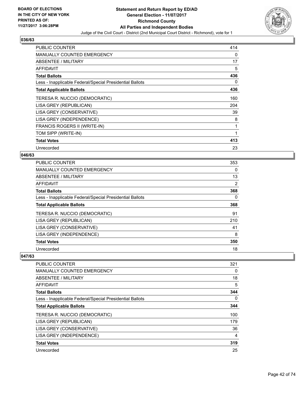

| <b>PUBLIC COUNTER</b>                                    | 414 |
|----------------------------------------------------------|-----|
| <b>MANUALLY COUNTED EMERGENCY</b>                        | 0   |
| <b>ABSENTEE / MILITARY</b>                               | 17  |
| <b>AFFIDAVIT</b>                                         | 5   |
| <b>Total Ballots</b>                                     | 436 |
| Less - Inapplicable Federal/Special Presidential Ballots | 0   |
| <b>Total Applicable Ballots</b>                          | 436 |
| TERESA R. NUCCIO (DEMOCRATIC)                            | 160 |
| LISA GREY (REPUBLICAN)                                   | 204 |
| LISA GREY (CONSERVATIVE)                                 | 39  |
| LISA GREY (INDEPENDENCE)                                 | 8   |
| FRANCIS ROGERS II (WRITE-IN)                             | 1   |
| TOM SIPP (WRITE-IN)                                      | 1   |
| <b>Total Votes</b>                                       | 413 |
| Unrecorded                                               | 23  |

## **046/63**

| <b>PUBLIC COUNTER</b>                                    | 353 |
|----------------------------------------------------------|-----|
| <b>MANUALLY COUNTED EMERGENCY</b>                        | 0   |
| ABSENTEE / MILITARY                                      | 13  |
| <b>AFFIDAVIT</b>                                         | 2   |
| <b>Total Ballots</b>                                     | 368 |
| Less - Inapplicable Federal/Special Presidential Ballots | 0   |
| <b>Total Applicable Ballots</b>                          | 368 |
| TERESA R. NUCCIO (DEMOCRATIC)                            | 91  |
| LISA GREY (REPUBLICAN)                                   | 210 |
| LISA GREY (CONSERVATIVE)                                 | 41  |
| LISA GREY (INDEPENDENCE)                                 | 8   |
| <b>Total Votes</b>                                       | 350 |
| Unrecorded                                               | 18  |

| <b>PUBLIC COUNTER</b>                                    | 321      |
|----------------------------------------------------------|----------|
| MANUALLY COUNTED EMERGENCY                               | 0        |
| ABSENTEE / MILITARY                                      | 18       |
| AFFIDAVIT                                                | 5        |
| <b>Total Ballots</b>                                     | 344      |
| Less - Inapplicable Federal/Special Presidential Ballots | $\Omega$ |
| <b>Total Applicable Ballots</b>                          | 344      |
| TERESA R. NUCCIO (DEMOCRATIC)                            | 100      |
| LISA GREY (REPUBLICAN)                                   | 179      |
| LISA GREY (CONSERVATIVE)                                 | 36       |
| LISA GREY (INDEPENDENCE)                                 | 4        |
| <b>Total Votes</b>                                       | 319      |
| Unrecorded                                               | 25       |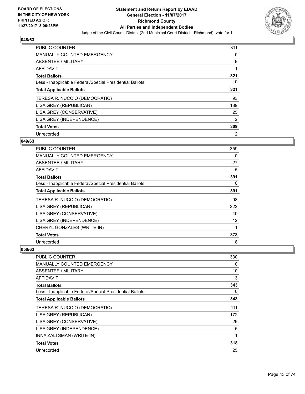

| <b>PUBLIC COUNTER</b>                                    | 311 |
|----------------------------------------------------------|-----|
| <b>MANUALLY COUNTED EMERGENCY</b>                        | 0   |
| ABSENTEE / MILITARY                                      | 9   |
| <b>AFFIDAVIT</b>                                         |     |
| <b>Total Ballots</b>                                     | 321 |
| Less - Inapplicable Federal/Special Presidential Ballots | 0   |
| <b>Total Applicable Ballots</b>                          | 321 |
| TERESA R. NUCCIO (DEMOCRATIC)                            | 93  |
| LISA GREY (REPUBLICAN)                                   | 189 |
| LISA GREY (CONSERVATIVE)                                 | 25  |
| LISA GREY (INDEPENDENCE)                                 | 2   |
| <b>Total Votes</b>                                       | 309 |
| Unrecorded                                               | 12  |

## **049/63**

| <b>PUBLIC COUNTER</b>                                    | 359 |
|----------------------------------------------------------|-----|
| MANUALLY COUNTED EMERGENCY                               | 0   |
| ABSENTEE / MILITARY                                      | 27  |
| <b>AFFIDAVIT</b>                                         | 5   |
| <b>Total Ballots</b>                                     | 391 |
| Less - Inapplicable Federal/Special Presidential Ballots | 0   |
| <b>Total Applicable Ballots</b>                          | 391 |
| TERESA R. NUCCIO (DEMOCRATIC)                            | 98  |
| LISA GREY (REPUBLICAN)                                   | 222 |
| LISA GREY (CONSERVATIVE)                                 | 40  |
| LISA GREY (INDEPENDENCE)                                 | 12  |
| CHERYL GONZALES (WRITE-IN)                               | 1   |
| <b>Total Votes</b>                                       | 373 |
| Unrecorded                                               | 18  |

| <b>PUBLIC COUNTER</b>                                    | 330 |
|----------------------------------------------------------|-----|
| MANUALLY COUNTED EMERGENCY                               | 0   |
| ABSENTEE / MILITARY                                      | 10  |
| <b>AFFIDAVIT</b>                                         | 3   |
| <b>Total Ballots</b>                                     | 343 |
| Less - Inapplicable Federal/Special Presidential Ballots | 0   |
| <b>Total Applicable Ballots</b>                          | 343 |
| TERESA R. NUCCIO (DEMOCRATIC)                            | 111 |
| LISA GREY (REPUBLICAN)                                   | 172 |
| LISA GREY (CONSERVATIVE)                                 | 29  |
| LISA GREY (INDEPENDENCE)                                 | 5   |
| INNA ZALTSMAN (WRITE-IN)                                 | 1   |
| <b>Total Votes</b>                                       | 318 |
| Unrecorded                                               | 25  |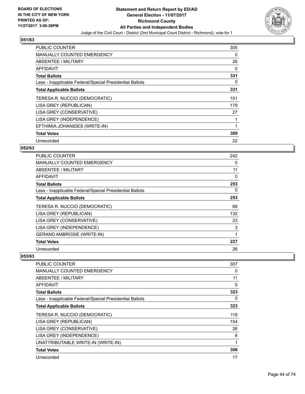

| PUBLIC COUNTER                                           | 305 |
|----------------------------------------------------------|-----|
| <b>MANUALLY COUNTED EMERGENCY</b>                        | 0   |
| ABSENTEE / MILITARY                                      | 26  |
| <b>AFFIDAVIT</b>                                         | 0   |
| <b>Total Ballots</b>                                     | 331 |
| Less - Inapplicable Federal/Special Presidential Ballots | 0   |
| <b>Total Applicable Ballots</b>                          | 331 |
| TERESA R. NUCCIO (DEMOCRATIC)                            | 101 |
| LISA GREY (REPUBLICAN)                                   | 179 |
| LISA GREY (CONSERVATIVE)                                 | 27  |
| LISA GREY (INDEPENDENCE)                                 |     |
| EFTHIMIA JOHANIDES (WRITE-IN)                            |     |
| <b>Total Votes</b>                                       | 309 |
| Unrecorded                                               | 22  |

## **052/63**

| <b>PUBLIC COUNTER</b>                                    | 242 |
|----------------------------------------------------------|-----|
| <b>MANUALLY COUNTED EMERGENCY</b>                        | 0   |
| ABSENTEE / MILITARY                                      | 11  |
| AFFIDAVIT                                                | 0   |
| <b>Total Ballots</b>                                     | 253 |
| Less - Inapplicable Federal/Special Presidential Ballots | 0   |
| <b>Total Applicable Ballots</b>                          | 253 |
| TERESA R. NUCCIO (DEMOCRATIC)                            | 68  |
| LISA GREY (REPUBLICAN)                                   | 132 |
| LISA GREY (CONSERVATIVE)                                 | 23  |
| LISA GREY (INDEPENDENCE)                                 | 3   |
| <b>GERAND AMBROSIE (WRITE-IN)</b>                        | 1   |
| <b>Total Votes</b>                                       | 227 |
| Unrecorded                                               | 26  |

| <b>PUBLIC COUNTER</b>                                    | 307 |
|----------------------------------------------------------|-----|
| <b>MANUALLY COUNTED EMERGENCY</b>                        | 0   |
| <b>ABSENTEE / MILITARY</b>                               | 11  |
| <b>AFFIDAVIT</b>                                         | 5   |
| <b>Total Ballots</b>                                     | 323 |
| Less - Inapplicable Federal/Special Presidential Ballots | 0   |
| <b>Total Applicable Ballots</b>                          | 323 |
| TERESA R. NUCCIO (DEMOCRATIC)                            | 119 |
| LISA GREY (REPUBLICAN)                                   | 154 |
| LISA GREY (CONSERVATIVE)                                 | 26  |
| LISA GREY (INDEPENDENCE)                                 | 6   |
| UNATTRIBUTABLE WRITE-IN (WRITE-IN)                       | 1   |
| <b>Total Votes</b>                                       | 306 |
| Unrecorded                                               | 17  |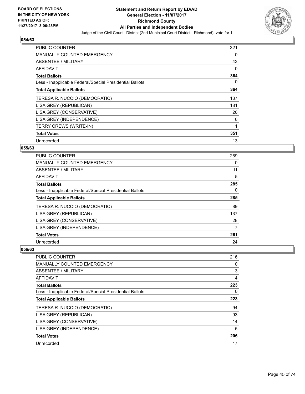

| <b>PUBLIC COUNTER</b>                                    | 321 |
|----------------------------------------------------------|-----|
| <b>MANUALLY COUNTED EMERGENCY</b>                        | 0   |
| <b>ABSENTEE / MILITARY</b>                               | 43  |
| <b>AFFIDAVIT</b>                                         | 0   |
| <b>Total Ballots</b>                                     | 364 |
| Less - Inapplicable Federal/Special Presidential Ballots | 0   |
| <b>Total Applicable Ballots</b>                          | 364 |
| TERESA R. NUCCIO (DEMOCRATIC)                            | 137 |
| LISA GREY (REPUBLICAN)                                   | 181 |
| LISA GREY (CONSERVATIVE)                                 | 26  |
| LISA GREY (INDEPENDENCE)                                 | 6   |
| <b>TERRY CREWS (WRITE-IN)</b>                            |     |
| <b>Total Votes</b>                                       | 351 |
| Unrecorded                                               | 13  |

## **055/63**

| <b>PUBLIC COUNTER</b>                                    | 269 |
|----------------------------------------------------------|-----|
| <b>MANUALLY COUNTED EMERGENCY</b>                        | 0   |
| ABSENTEE / MILITARY                                      | 11  |
| AFFIDAVIT                                                | 5   |
| <b>Total Ballots</b>                                     | 285 |
| Less - Inapplicable Federal/Special Presidential Ballots | 0   |
| <b>Total Applicable Ballots</b>                          | 285 |
| TERESA R. NUCCIO (DEMOCRATIC)                            | 89  |
| LISA GREY (REPUBLICAN)                                   | 137 |
| LISA GREY (CONSERVATIVE)                                 | 28  |
| LISA GREY (INDEPENDENCE)                                 | 7   |
| <b>Total Votes</b>                                       | 261 |
| Unrecorded                                               | 24  |

| PUBLIC COUNTER                                           | 216 |
|----------------------------------------------------------|-----|
| <b>MANUALLY COUNTED EMERGENCY</b>                        | 0   |
| ABSENTEE / MILITARY                                      | 3   |
| AFFIDAVIT                                                | 4   |
| <b>Total Ballots</b>                                     | 223 |
| Less - Inapplicable Federal/Special Presidential Ballots | 0   |
| <b>Total Applicable Ballots</b>                          | 223 |
| TERESA R. NUCCIO (DEMOCRATIC)                            | 94  |
| LISA GREY (REPUBLICAN)                                   | 93  |
| LISA GREY (CONSERVATIVE)                                 | 14  |
| LISA GREY (INDEPENDENCE)                                 | 5   |
| <b>Total Votes</b>                                       | 206 |
| Unrecorded                                               | 17  |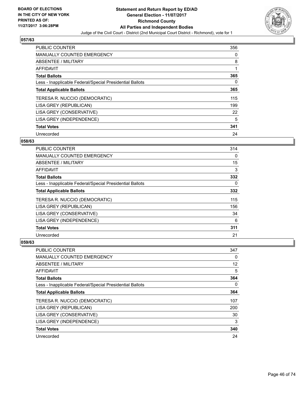

| <b>PUBLIC COUNTER</b>                                    | 356 |
|----------------------------------------------------------|-----|
| <b>MANUALLY COUNTED EMERGENCY</b>                        | 0   |
| ABSENTEE / MILITARY                                      | 8   |
| AFFIDAVIT                                                |     |
| <b>Total Ballots</b>                                     | 365 |
| Less - Inapplicable Federal/Special Presidential Ballots | 0   |
| <b>Total Applicable Ballots</b>                          | 365 |
| TERESA R. NUCCIO (DEMOCRATIC)                            | 115 |
| LISA GREY (REPUBLICAN)                                   | 199 |
| LISA GREY (CONSERVATIVE)                                 | 22  |
| LISA GREY (INDEPENDENCE)                                 | 5   |
| <b>Total Votes</b>                                       | 341 |
| Unrecorded                                               | 24  |

## **058/63**

| <b>PUBLIC COUNTER</b>                                    | 314 |
|----------------------------------------------------------|-----|
| MANUALLY COUNTED EMERGENCY                               | 0   |
| ABSENTEE / MILITARY                                      | 15  |
| AFFIDAVIT                                                | 3   |
| <b>Total Ballots</b>                                     | 332 |
| Less - Inapplicable Federal/Special Presidential Ballots | 0   |
| <b>Total Applicable Ballots</b>                          | 332 |
| TERESA R. NUCCIO (DEMOCRATIC)                            | 115 |
| LISA GREY (REPUBLICAN)                                   | 156 |
| LISA GREY (CONSERVATIVE)                                 | 34  |
| LISA GREY (INDEPENDENCE)                                 | 6   |
| <b>Total Votes</b>                                       | 311 |
| Unrecorded                                               | 21  |

| <b>PUBLIC COUNTER</b>                                    | 347 |
|----------------------------------------------------------|-----|
| <b>MANUALLY COUNTED EMERGENCY</b>                        | 0   |
| ABSENTEE / MILITARY                                      | 12  |
| AFFIDAVIT                                                | 5   |
| <b>Total Ballots</b>                                     | 364 |
| Less - Inapplicable Federal/Special Presidential Ballots | 0   |
| <b>Total Applicable Ballots</b>                          | 364 |
| TERESA R. NUCCIO (DEMOCRATIC)                            | 107 |
| LISA GREY (REPUBLICAN)                                   | 200 |
| LISA GREY (CONSERVATIVE)                                 | 30  |
| LISA GREY (INDEPENDENCE)                                 | 3   |
| <b>Total Votes</b>                                       | 340 |
| Unrecorded                                               | 24  |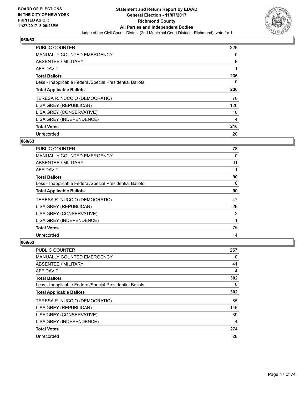

| <b>PUBLIC COUNTER</b>                                    | 226 |
|----------------------------------------------------------|-----|
| <b>MANUALLY COUNTED EMERGENCY</b>                        | 0   |
| <b>ABSENTEE / MILITARY</b>                               | 9   |
| <b>AFFIDAVIT</b>                                         |     |
| <b>Total Ballots</b>                                     | 236 |
| Less - Inapplicable Federal/Special Presidential Ballots | 0   |
| <b>Total Applicable Ballots</b>                          | 236 |
| TERESA R. NUCCIO (DEMOCRATIC)                            | 70  |
| LISA GREY (REPUBLICAN)                                   | 126 |
| LISA GREY (CONSERVATIVE)                                 | 16  |
| LISA GREY (INDEPENDENCE)                                 | 4   |
| <b>Total Votes</b>                                       | 216 |
| Unrecorded                                               | 20  |

## **068/63**

| <b>PUBLIC COUNTER</b>                                    | 78 |
|----------------------------------------------------------|----|
| <b>MANUALLY COUNTED EMERGENCY</b>                        | 0  |
| ABSENTEE / MILITARY                                      | 11 |
| AFFIDAVIT                                                |    |
| <b>Total Ballots</b>                                     | 90 |
| Less - Inapplicable Federal/Special Presidential Ballots | 0  |
| <b>Total Applicable Ballots</b>                          | 90 |
| TERESA R. NUCCIO (DEMOCRATIC)                            | 47 |
| LISA GREY (REPUBLICAN)                                   | 26 |
| LISA GREY (CONSERVATIVE)                                 | 2  |
| LISA GREY (INDEPENDENCE)                                 |    |
| <b>Total Votes</b>                                       | 76 |
| Unrecorded                                               | 14 |

| <b>PUBLIC COUNTER</b>                                    | 257 |
|----------------------------------------------------------|-----|
| <b>MANUALLY COUNTED EMERGENCY</b>                        | 0   |
| ABSENTEE / MILITARY                                      | 41  |
| AFFIDAVIT                                                | 4   |
| <b>Total Ballots</b>                                     | 302 |
| Less - Inapplicable Federal/Special Presidential Ballots | 0   |
| <b>Total Applicable Ballots</b>                          | 302 |
| TERESA R. NUCCIO (DEMOCRATIC)                            | 85  |
| LISA GREY (REPUBLICAN)                                   | 146 |
| LISA GREY (CONSERVATIVE)                                 | 39  |
| LISA GREY (INDEPENDENCE)                                 | 4   |
| <b>Total Votes</b>                                       | 274 |
| Unrecorded                                               | 28  |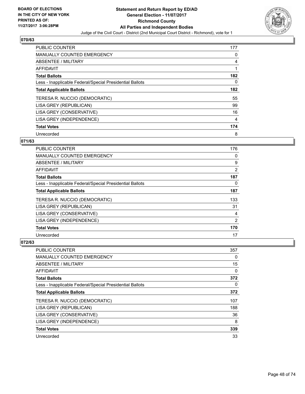

| <b>PUBLIC COUNTER</b>                                    | 177 |
|----------------------------------------------------------|-----|
| MANUALLY COUNTED EMERGENCY                               | 0   |
| ABSENTEE / MILITARY                                      | 4   |
| <b>AFFIDAVIT</b>                                         |     |
| <b>Total Ballots</b>                                     | 182 |
| Less - Inapplicable Federal/Special Presidential Ballots | 0   |
| <b>Total Applicable Ballots</b>                          | 182 |
| TERESA R. NUCCIO (DEMOCRATIC)                            | 55  |
| LISA GREY (REPUBLICAN)                                   | 99  |
| LISA GREY (CONSERVATIVE)                                 | 16  |
| LISA GREY (INDEPENDENCE)                                 | 4   |
| <b>Total Votes</b>                                       | 174 |
| Unrecorded                                               | 8   |

## **071/63**

| <b>PUBLIC COUNTER</b>                                    | 176 |
|----------------------------------------------------------|-----|
| <b>MANUALLY COUNTED EMERGENCY</b>                        | 0   |
| ABSENTEE / MILITARY                                      | 9   |
| <b>AFFIDAVIT</b>                                         | 2   |
| <b>Total Ballots</b>                                     | 187 |
| Less - Inapplicable Federal/Special Presidential Ballots | 0   |
| <b>Total Applicable Ballots</b>                          | 187 |
| TERESA R. NUCCIO (DEMOCRATIC)                            | 133 |
| LISA GREY (REPUBLICAN)                                   | 31  |
| LISA GREY (CONSERVATIVE)                                 | 4   |
| LISA GREY (INDEPENDENCE)                                 | 2   |
| <b>Total Votes</b>                                       | 170 |
| Unrecorded                                               | 17  |

| <b>PUBLIC COUNTER</b>                                    | 357 |
|----------------------------------------------------------|-----|
| <b>MANUALLY COUNTED EMERGENCY</b>                        | 0   |
| ABSENTEE / MILITARY                                      | 15  |
| AFFIDAVIT                                                | 0   |
| <b>Total Ballots</b>                                     | 372 |
| Less - Inapplicable Federal/Special Presidential Ballots | 0   |
| <b>Total Applicable Ballots</b>                          | 372 |
| TERESA R. NUCCIO (DEMOCRATIC)                            | 107 |
| LISA GREY (REPUBLICAN)                                   | 188 |
| LISA GREY (CONSERVATIVE)                                 | 36  |
| LISA GREY (INDEPENDENCE)                                 | 8   |
| <b>Total Votes</b>                                       | 339 |
| Unrecorded                                               | 33  |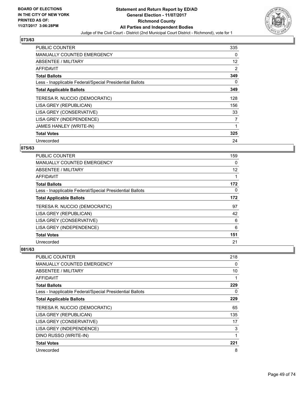

| <b>PUBLIC COUNTER</b>                                    | 335 |
|----------------------------------------------------------|-----|
| <b>MANUALLY COUNTED EMERGENCY</b>                        | 0   |
| ABSENTEE / MILITARY                                      | 12  |
| AFFIDAVIT                                                | 2   |
| <b>Total Ballots</b>                                     | 349 |
| Less - Inapplicable Federal/Special Presidential Ballots | 0   |
| <b>Total Applicable Ballots</b>                          | 349 |
| TERESA R. NUCCIO (DEMOCRATIC)                            | 128 |
| LISA GREY (REPUBLICAN)                                   | 156 |
| LISA GREY (CONSERVATIVE)                                 | 33  |
| LISA GREY (INDEPENDENCE)                                 | 7   |
| JAMES HANLEY (WRITE-IN)                                  |     |
| <b>Total Votes</b>                                       | 325 |
| Unrecorded                                               | 24  |

### **075/63**

| PUBLIC COUNTER                                           | 159 |
|----------------------------------------------------------|-----|
| <b>MANUALLY COUNTED EMERGENCY</b>                        | 0   |
| ABSENTEE / MILITARY                                      | 12  |
| AFFIDAVIT                                                | 1   |
| <b>Total Ballots</b>                                     | 172 |
| Less - Inapplicable Federal/Special Presidential Ballots | 0   |
| <b>Total Applicable Ballots</b>                          | 172 |
| TERESA R. NUCCIO (DEMOCRATIC)                            | 97  |
| LISA GREY (REPUBLICAN)                                   | 42  |
| LISA GREY (CONSERVATIVE)                                 | 6   |
| LISA GREY (INDEPENDENCE)                                 | 6   |
| <b>Total Votes</b>                                       | 151 |
| Unrecorded                                               | 21  |

| <b>PUBLIC COUNTER</b>                                    | 218 |
|----------------------------------------------------------|-----|
| <b>MANUALLY COUNTED EMERGENCY</b>                        | 0   |
| ABSENTEE / MILITARY                                      | 10  |
| AFFIDAVIT                                                |     |
| <b>Total Ballots</b>                                     | 229 |
| Less - Inapplicable Federal/Special Presidential Ballots | 0   |
| <b>Total Applicable Ballots</b>                          | 229 |
| TERESA R. NUCCIO (DEMOCRATIC)                            | 65  |
| LISA GREY (REPUBLICAN)                                   | 135 |
| LISA GREY (CONSERVATIVE)                                 | 17  |
| LISA GREY (INDEPENDENCE)                                 | 3   |
| DINO RUSSO (WRITE-IN)                                    | 1   |
| <b>Total Votes</b>                                       | 221 |
| Unrecorded                                               | 8   |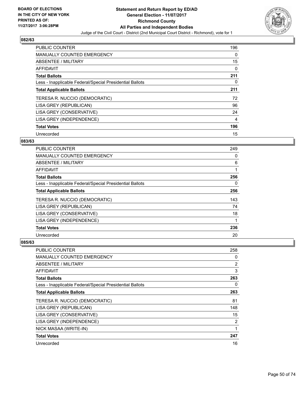

| <b>PUBLIC COUNTER</b>                                    | 196 |
|----------------------------------------------------------|-----|
| <b>MANUALLY COUNTED EMERGENCY</b>                        | 0   |
| ABSENTEE / MILITARY                                      | 15  |
| AFFIDAVIT                                                | 0   |
| <b>Total Ballots</b>                                     | 211 |
| Less - Inapplicable Federal/Special Presidential Ballots | 0   |
| <b>Total Applicable Ballots</b>                          | 211 |
| TERESA R. NUCCIO (DEMOCRATIC)                            | 72  |
| LISA GREY (REPUBLICAN)                                   | 96  |
| LISA GREY (CONSERVATIVE)                                 | 24  |
| LISA GREY (INDEPENDENCE)                                 | 4   |
| <b>Total Votes</b>                                       | 196 |
| Unrecorded                                               | 15  |

## **083/63**

| <b>PUBLIC COUNTER</b>                                    | 249 |
|----------------------------------------------------------|-----|
| MANUALLY COUNTED EMERGENCY                               | 0   |
| ABSENTEE / MILITARY                                      | 6   |
| <b>AFFIDAVIT</b>                                         |     |
| <b>Total Ballots</b>                                     | 256 |
| Less - Inapplicable Federal/Special Presidential Ballots | 0   |
| <b>Total Applicable Ballots</b>                          | 256 |
| TERESA R. NUCCIO (DEMOCRATIC)                            | 143 |
| LISA GREY (REPUBLICAN)                                   | 74  |
| LISA GREY (CONSERVATIVE)                                 | 18  |
| LISA GREY (INDEPENDENCE)                                 |     |
| <b>Total Votes</b>                                       | 236 |
| Unrecorded                                               | 20  |

| <b>PUBLIC COUNTER</b>                                    | 258 |
|----------------------------------------------------------|-----|
| <b>MANUALLY COUNTED EMERGENCY</b>                        | 0   |
| ABSENTEE / MILITARY                                      | 2   |
| AFFIDAVIT                                                | 3   |
| <b>Total Ballots</b>                                     | 263 |
| Less - Inapplicable Federal/Special Presidential Ballots | 0   |
| <b>Total Applicable Ballots</b>                          | 263 |
| TERESA R. NUCCIO (DEMOCRATIC)                            | 81  |
| LISA GREY (REPUBLICAN)                                   | 148 |
| LISA GREY (CONSERVATIVE)                                 | 15  |
| LISA GREY (INDEPENDENCE)                                 | 2   |
| NICK MASAA (WRITE-IN)                                    | 1   |
| <b>Total Votes</b>                                       | 247 |
| Unrecorded                                               | 16  |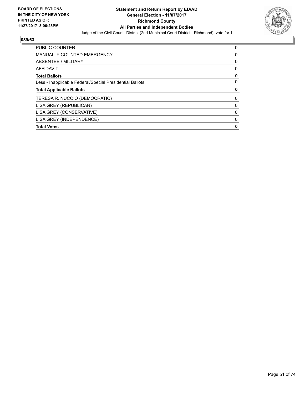

| <b>PUBLIC COUNTER</b>                                    | 0 |
|----------------------------------------------------------|---|
| <b>MANUALLY COUNTED EMERGENCY</b>                        | 0 |
| ABSENTEE / MILITARY                                      | 0 |
| <b>AFFIDAVIT</b>                                         | 0 |
| <b>Total Ballots</b>                                     | 0 |
| Less - Inapplicable Federal/Special Presidential Ballots | 0 |
|                                                          |   |
| <b>Total Applicable Ballots</b>                          | 0 |
| TERESA R. NUCCIO (DEMOCRATIC)                            | 0 |
| LISA GREY (REPUBLICAN)                                   | 0 |
| LISA GREY (CONSERVATIVE)                                 | 0 |
| LISA GREY (INDEPENDENCE)                                 | 0 |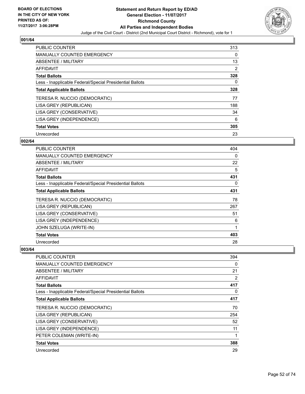

| <b>PUBLIC COUNTER</b>                                    | 313 |
|----------------------------------------------------------|-----|
| <b>MANUALLY COUNTED EMERGENCY</b>                        | 0   |
| ABSENTEE / MILITARY                                      | 13  |
| AFFIDAVIT                                                | 2   |
| <b>Total Ballots</b>                                     | 328 |
| Less - Inapplicable Federal/Special Presidential Ballots | 0   |
| <b>Total Applicable Ballots</b>                          | 328 |
| TERESA R. NUCCIO (DEMOCRATIC)                            | 77  |
| LISA GREY (REPUBLICAN)                                   | 188 |
| LISA GREY (CONSERVATIVE)                                 | 34  |
| LISA GREY (INDEPENDENCE)                                 | 6   |
| <b>Total Votes</b>                                       | 305 |
| Unrecorded                                               | 23  |

## **002/64**

| <b>PUBLIC COUNTER</b>                                    | 404 |
|----------------------------------------------------------|-----|
| MANUALLY COUNTED EMERGENCY                               | 0   |
| ABSENTEE / MILITARY                                      | 22  |
| <b>AFFIDAVIT</b>                                         | 5   |
| <b>Total Ballots</b>                                     | 431 |
| Less - Inapplicable Federal/Special Presidential Ballots | 0   |
| <b>Total Applicable Ballots</b>                          | 431 |
| TERESA R. NUCCIO (DEMOCRATIC)                            | 78  |
| LISA GREY (REPUBLICAN)                                   | 267 |
| LISA GREY (CONSERVATIVE)                                 | 51  |
| LISA GREY (INDEPENDENCE)                                 | 6   |
| JOHN SZELUGA (WRITE-IN)                                  | 1   |
| <b>Total Votes</b>                                       | 403 |
| Unrecorded                                               | 28  |

| <b>PUBLIC COUNTER</b>                                    | 394 |
|----------------------------------------------------------|-----|
| MANUALLY COUNTED EMERGENCY                               | 0   |
| ABSENTEE / MILITARY                                      | 21  |
| AFFIDAVIT                                                | 2   |
| <b>Total Ballots</b>                                     | 417 |
| Less - Inapplicable Federal/Special Presidential Ballots | 0   |
| <b>Total Applicable Ballots</b>                          | 417 |
| TERESA R. NUCCIO (DEMOCRATIC)                            | 70  |
| LISA GREY (REPUBLICAN)                                   | 254 |
| LISA GREY (CONSERVATIVE)                                 | 52  |
| LISA GREY (INDEPENDENCE)                                 | 11  |
| PETER COLEMAN (WRITE-IN)                                 |     |
| <b>Total Votes</b>                                       | 388 |
| Unrecorded                                               | 29  |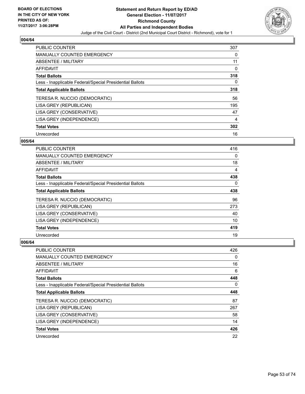

| <b>PUBLIC COUNTER</b>                                    | 307 |
|----------------------------------------------------------|-----|
| <b>MANUALLY COUNTED EMERGENCY</b>                        | 0   |
| ABSENTEE / MILITARY                                      | 11  |
| AFFIDAVIT                                                | 0   |
| <b>Total Ballots</b>                                     | 318 |
| Less - Inapplicable Federal/Special Presidential Ballots | 0   |
| <b>Total Applicable Ballots</b>                          | 318 |
| TERESA R. NUCCIO (DEMOCRATIC)                            | 56  |
| LISA GREY (REPUBLICAN)                                   | 195 |
| LISA GREY (CONSERVATIVE)                                 | 47  |
| LISA GREY (INDEPENDENCE)                                 | 4   |
| <b>Total Votes</b>                                       | 302 |
| Unrecorded                                               | 16  |

## **005/64**

| <b>PUBLIC COUNTER</b>                                    | 416 |
|----------------------------------------------------------|-----|
| <b>MANUALLY COUNTED EMERGENCY</b>                        | 0   |
| ABSENTEE / MILITARY                                      | 18  |
| <b>AFFIDAVIT</b>                                         | 4   |
| <b>Total Ballots</b>                                     | 438 |
| Less - Inapplicable Federal/Special Presidential Ballots | 0   |
| <b>Total Applicable Ballots</b>                          | 438 |
| TERESA R. NUCCIO (DEMOCRATIC)                            | 96  |
| LISA GREY (REPUBLICAN)                                   | 273 |
| LISA GREY (CONSERVATIVE)                                 | 40  |
| LISA GREY (INDEPENDENCE)                                 | 10  |
| <b>Total Votes</b>                                       | 419 |
| Unrecorded                                               | 19  |

| <b>PUBLIC COUNTER</b>                                    | 426 |
|----------------------------------------------------------|-----|
| <b>MANUALLY COUNTED EMERGENCY</b>                        | 0   |
| ABSENTEE / MILITARY                                      | 16  |
| AFFIDAVIT                                                | 6   |
| <b>Total Ballots</b>                                     | 448 |
| Less - Inapplicable Federal/Special Presidential Ballots | 0   |
| <b>Total Applicable Ballots</b>                          | 448 |
| TERESA R. NUCCIO (DEMOCRATIC)                            | 87  |
| LISA GREY (REPUBLICAN)                                   | 267 |
| LISA GREY (CONSERVATIVE)                                 | 58  |
| LISA GREY (INDEPENDENCE)                                 | 14  |
| <b>Total Votes</b>                                       | 426 |
| Unrecorded                                               | 22  |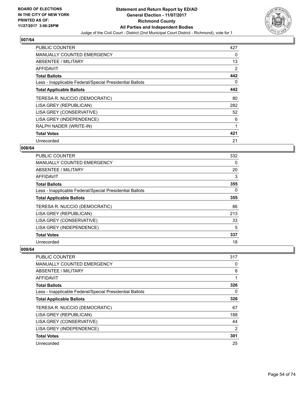

| <b>PUBLIC COUNTER</b>                                    | 427 |
|----------------------------------------------------------|-----|
| <b>MANUALLY COUNTED EMERGENCY</b>                        | 0   |
| ABSENTEE / MILITARY                                      | 13  |
| AFFIDAVIT                                                | 2   |
| <b>Total Ballots</b>                                     | 442 |
| Less - Inapplicable Federal/Special Presidential Ballots | 0   |
| <b>Total Applicable Ballots</b>                          | 442 |
| TERESA R. NUCCIO (DEMOCRATIC)                            | 80  |
| LISA GREY (REPUBLICAN)                                   | 282 |
| LISA GREY (CONSERVATIVE)                                 | 52  |
| LISA GREY (INDEPENDENCE)                                 | 6   |
| RALPH NADER (WRITE-IN)                                   | 1   |
| <b>Total Votes</b>                                       | 421 |
| Unrecorded                                               | 21  |

## **008/64**

| <b>PUBLIC COUNTER</b>                                    | 332 |
|----------------------------------------------------------|-----|
| <b>MANUALLY COUNTED EMERGENCY</b>                        | 0   |
| ABSENTEE / MILITARY                                      | 20  |
| AFFIDAVIT                                                | 3   |
| <b>Total Ballots</b>                                     | 355 |
| Less - Inapplicable Federal/Special Presidential Ballots | 0   |
| <b>Total Applicable Ballots</b>                          | 355 |
| TERESA R. NUCCIO (DEMOCRATIC)                            | 86  |
| LISA GREY (REPUBLICAN)                                   | 213 |
| LISA GREY (CONSERVATIVE)                                 | 33  |
| LISA GREY (INDEPENDENCE)                                 | 5   |
| <b>Total Votes</b>                                       | 337 |
| Unrecorded                                               | 18  |

| <b>PUBLIC COUNTER</b>                                    | 317 |
|----------------------------------------------------------|-----|
| <b>MANUALLY COUNTED EMERGENCY</b>                        | 0   |
| ABSENTEE / MILITARY                                      | 8   |
| AFFIDAVIT                                                |     |
| <b>Total Ballots</b>                                     | 326 |
| Less - Inapplicable Federal/Special Presidential Ballots | 0   |
| <b>Total Applicable Ballots</b>                          | 326 |
| TERESA R. NUCCIO (DEMOCRATIC)                            | 67  |
| LISA GREY (REPUBLICAN)                                   | 188 |
| LISA GREY (CONSERVATIVE)                                 | 44  |
| LISA GREY (INDEPENDENCE)                                 | 2   |
| <b>Total Votes</b>                                       | 301 |
| Unrecorded                                               | 25  |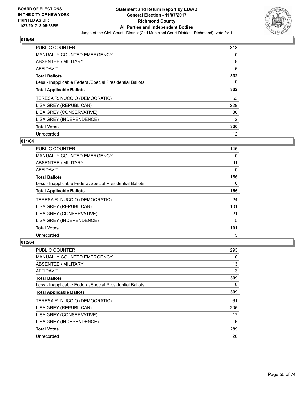

| <b>PUBLIC COUNTER</b>                                    | 318 |
|----------------------------------------------------------|-----|
| <b>MANUALLY COUNTED EMERGENCY</b>                        | 0   |
| ABSENTEE / MILITARY                                      | 8   |
| <b>AFFIDAVIT</b>                                         | 6   |
| <b>Total Ballots</b>                                     | 332 |
| Less - Inapplicable Federal/Special Presidential Ballots | 0   |
| <b>Total Applicable Ballots</b>                          | 332 |
| TERESA R. NUCCIO (DEMOCRATIC)                            | 53  |
| LISA GREY (REPUBLICAN)                                   | 229 |
| LISA GREY (CONSERVATIVE)                                 | 36  |
| LISA GREY (INDEPENDENCE)                                 | 2   |
| <b>Total Votes</b>                                       | 320 |
| Unrecorded                                               | 12  |

## **011/64**

| <b>PUBLIC COUNTER</b>                                    | 145 |
|----------------------------------------------------------|-----|
| MANUALLY COUNTED EMERGENCY                               | 0   |
| ABSENTEE / MILITARY                                      | 11  |
| AFFIDAVIT                                                | 0   |
| <b>Total Ballots</b>                                     | 156 |
| Less - Inapplicable Federal/Special Presidential Ballots | 0   |
| <b>Total Applicable Ballots</b>                          | 156 |
| TERESA R. NUCCIO (DEMOCRATIC)                            | 24  |
| LISA GREY (REPUBLICAN)                                   | 101 |
| LISA GREY (CONSERVATIVE)                                 | 21  |
| LISA GREY (INDEPENDENCE)                                 | 5   |
| <b>Total Votes</b>                                       | 151 |
| Unrecorded                                               | 5   |

| <b>PUBLIC COUNTER</b>                                    | 293 |
|----------------------------------------------------------|-----|
| <b>MANUALLY COUNTED EMERGENCY</b>                        | 0   |
| ABSENTEE / MILITARY                                      | 13  |
| AFFIDAVIT                                                | 3   |
| <b>Total Ballots</b>                                     | 309 |
| Less - Inapplicable Federal/Special Presidential Ballots | 0   |
| <b>Total Applicable Ballots</b>                          | 309 |
| TERESA R. NUCCIO (DEMOCRATIC)                            | 61  |
| LISA GREY (REPUBLICAN)                                   | 205 |
| LISA GREY (CONSERVATIVE)                                 | 17  |
| LISA GREY (INDEPENDENCE)                                 | 6   |
| <b>Total Votes</b>                                       | 289 |
| Unrecorded                                               | 20  |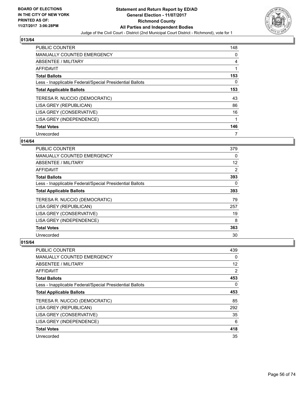

| <b>PUBLIC COUNTER</b>                                    | 148      |
|----------------------------------------------------------|----------|
| <b>MANUALLY COUNTED EMERGENCY</b>                        | 0        |
| ABSENTEE / MILITARY                                      | 4        |
| <b>AFFIDAVIT</b>                                         |          |
| <b>Total Ballots</b>                                     | 153      |
| Less - Inapplicable Federal/Special Presidential Ballots | $\Omega$ |
| <b>Total Applicable Ballots</b>                          | 153      |
| TERESA R. NUCCIO (DEMOCRATIC)                            | 43       |
| LISA GREY (REPUBLICAN)                                   | 86       |
| LISA GREY (CONSERVATIVE)                                 | 16       |
| LISA GREY (INDEPENDENCE)                                 |          |
| <b>Total Votes</b>                                       | 146      |
| Unrecorded                                               |          |

## **014/64**

| <b>PUBLIC COUNTER</b>                                    | 379 |
|----------------------------------------------------------|-----|
| <b>MANUALLY COUNTED EMERGENCY</b>                        | 0   |
| ABSENTEE / MILITARY                                      | 12  |
| AFFIDAVIT                                                | 2   |
| <b>Total Ballots</b>                                     | 393 |
| Less - Inapplicable Federal/Special Presidential Ballots | 0   |
| <b>Total Applicable Ballots</b>                          | 393 |
| TERESA R. NUCCIO (DEMOCRATIC)                            | 79  |
| LISA GREY (REPUBLICAN)                                   | 257 |
| LISA GREY (CONSERVATIVE)                                 | 19  |
| LISA GREY (INDEPENDENCE)                                 | 8   |
| <b>Total Votes</b>                                       | 363 |
| Unrecorded                                               | 30  |

| <b>PUBLIC COUNTER</b>                                    | 439 |
|----------------------------------------------------------|-----|
| <b>MANUALLY COUNTED EMERGENCY</b>                        | 0   |
| ABSENTEE / MILITARY                                      | 12  |
| AFFIDAVIT                                                | 2   |
| <b>Total Ballots</b>                                     | 453 |
| Less - Inapplicable Federal/Special Presidential Ballots | 0   |
| <b>Total Applicable Ballots</b>                          | 453 |
| TERESA R. NUCCIO (DEMOCRATIC)                            | 85  |
| LISA GREY (REPUBLICAN)                                   | 292 |
| LISA GREY (CONSERVATIVE)                                 | 35  |
| LISA GREY (INDEPENDENCE)                                 | 6   |
| <b>Total Votes</b>                                       | 418 |
| Unrecorded                                               | 35  |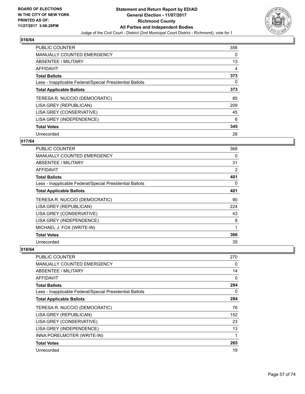

| <b>PUBLIC COUNTER</b>                                    | 356 |
|----------------------------------------------------------|-----|
| <b>MANUALLY COUNTED EMERGENCY</b>                        | 0   |
| ABSENTEE / MILITARY                                      | 13  |
| AFFIDAVIT                                                | 4   |
| <b>Total Ballots</b>                                     | 373 |
| Less - Inapplicable Federal/Special Presidential Ballots | 0   |
| <b>Total Applicable Ballots</b>                          | 373 |
| TERESA R. NUCCIO (DEMOCRATIC)                            | 85  |
| LISA GREY (REPUBLICAN)                                   | 209 |
| LISA GREY (CONSERVATIVE)                                 | 45  |
| LISA GREY (INDEPENDENCE)                                 | 6   |
| <b>Total Votes</b>                                       | 345 |
| Unrecorded                                               | 28  |

## **017/64**

| <b>PUBLIC COUNTER</b>                                    | 368 |
|----------------------------------------------------------|-----|
| MANUALLY COUNTED EMERGENCY                               | 0   |
| ABSENTEE / MILITARY                                      | 31  |
| <b>AFFIDAVIT</b>                                         | 2   |
| <b>Total Ballots</b>                                     | 401 |
| Less - Inapplicable Federal/Special Presidential Ballots | 0   |
| <b>Total Applicable Ballots</b>                          | 401 |
| TERESA R. NUCCIO (DEMOCRATIC)                            | 90  |
| LISA GREY (REPUBLICAN)                                   | 224 |
| LISA GREY (CONSERVATIVE)                                 | 43  |
| LISA GREY (INDEPENDENCE)                                 | 8   |
| MICHAEL J. FOX (WRITE-IN)                                | 1   |
| <b>Total Votes</b>                                       | 366 |
| Unrecorded                                               | 35  |

| <b>PUBLIC COUNTER</b>                                    | 270 |
|----------------------------------------------------------|-----|
| MANUALLY COUNTED EMERGENCY                               | 0   |
| ABSENTEE / MILITARY                                      | 14  |
| <b>AFFIDAVIT</b>                                         | 0   |
| <b>Total Ballots</b>                                     | 284 |
| Less - Inapplicable Federal/Special Presidential Ballots | 0   |
| <b>Total Applicable Ballots</b>                          | 284 |
| TERESA R. NUCCIO (DEMOCRATIC)                            | 76  |
| LISA GREY (REPUBLICAN)                                   | 152 |
| LISA GREY (CONSERVATIVE)                                 | 23  |
| LISA GREY (INDEPENDENCE)                                 | 13  |
| INNA PORELMOTER (WRITE-IN)                               |     |
| <b>Total Votes</b>                                       | 265 |
| Unrecorded                                               | 19  |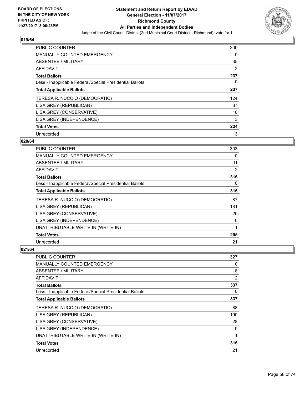

| <b>PUBLIC COUNTER</b>                                    | 200 |
|----------------------------------------------------------|-----|
| <b>MANUALLY COUNTED EMERGENCY</b>                        | 0   |
| ABSENTEE / MILITARY                                      | 35  |
| <b>AFFIDAVIT</b>                                         | 2   |
| <b>Total Ballots</b>                                     | 237 |
| Less - Inapplicable Federal/Special Presidential Ballots | 0   |
| <b>Total Applicable Ballots</b>                          | 237 |
| TERESA R. NUCCIO (DEMOCRATIC)                            | 124 |
| LISA GREY (REPUBLICAN)                                   | 87  |
| LISA GREY (CONSERVATIVE)                                 | 10  |
| LISA GREY (INDEPENDENCE)                                 | 3   |
| <b>Total Votes</b>                                       | 224 |
| Unrecorded                                               | 13  |

## **020/64**

| PUBLIC COUNTER                                           | 303            |
|----------------------------------------------------------|----------------|
| <b>MANUALLY COUNTED EMERGENCY</b>                        | 0              |
| ABSENTEE / MILITARY                                      | 11             |
| AFFIDAVIT                                                | $\overline{2}$ |
| <b>Total Ballots</b>                                     | 316            |
| Less - Inapplicable Federal/Special Presidential Ballots | 0              |
| <b>Total Applicable Ballots</b>                          | 316            |
| TERESA R. NUCCIO (DEMOCRATIC)                            | 87             |
| LISA GREY (REPUBLICAN)                                   | 181            |
| LISA GREY (CONSERVATIVE)                                 | 20             |
| LISA GREY (INDEPENDENCE)                                 | 6              |
| UNATTRIBUTABLE WRITE-IN (WRITE-IN)                       | 1              |
| <b>Total Votes</b>                                       | 295            |
| Unrecorded                                               | 21             |

| <b>PUBLIC COUNTER</b>                                    | 327 |
|----------------------------------------------------------|-----|
| <b>MANUALLY COUNTED EMERGENCY</b>                        | 0   |
| ABSENTEE / MILITARY                                      | 8   |
| AFFIDAVIT                                                | 2   |
| <b>Total Ballots</b>                                     | 337 |
| Less - Inapplicable Federal/Special Presidential Ballots | 0   |
| <b>Total Applicable Ballots</b>                          | 337 |
| TERESA R. NUCCIO (DEMOCRATIC)                            | 88  |
| LISA GREY (REPUBLICAN)                                   | 190 |
| LISA GREY (CONSERVATIVE)                                 | 28  |
| LISA GREY (INDEPENDENCE)                                 | 9   |
| UNATTRIBUTABLE WRITE-IN (WRITE-IN)                       | 1   |
| <b>Total Votes</b>                                       | 316 |
| Unrecorded                                               | 21  |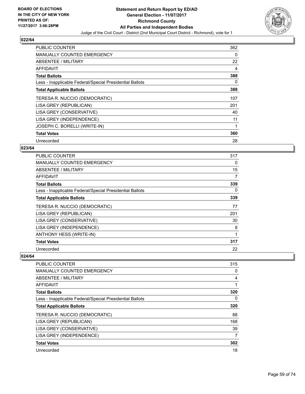

| <b>PUBLIC COUNTER</b>                                    | 362 |
|----------------------------------------------------------|-----|
| <b>MANUALLY COUNTED EMERGENCY</b>                        | 0   |
| ABSENTEE / MILITARY                                      | 22  |
| AFFIDAVIT                                                | 4   |
| <b>Total Ballots</b>                                     | 388 |
| Less - Inapplicable Federal/Special Presidential Ballots | 0   |
| <b>Total Applicable Ballots</b>                          | 388 |
| TERESA R. NUCCIO (DEMOCRATIC)                            | 107 |
| LISA GREY (REPUBLICAN)                                   | 201 |
| LISA GREY (CONSERVATIVE)                                 | 40  |
| LISA GREY (INDEPENDENCE)                                 | 11  |
| JOSEPH C. BORELLI (WRITE-IN)                             |     |
| <b>Total Votes</b>                                       | 360 |
| Unrecorded                                               | 28  |

## **023/64**

| <b>PUBLIC COUNTER</b>                                    | 317 |
|----------------------------------------------------------|-----|
| <b>MANUALLY COUNTED EMERGENCY</b>                        | 0   |
| ABSENTEE / MILITARY                                      | 15  |
| AFFIDAVIT                                                | 7   |
| <b>Total Ballots</b>                                     | 339 |
| Less - Inapplicable Federal/Special Presidential Ballots | 0   |
| <b>Total Applicable Ballots</b>                          | 339 |
| TERESA R. NUCCIO (DEMOCRATIC)                            | 77  |
| LISA GREY (REPUBLICAN)                                   | 201 |
| LISA GREY (CONSERVATIVE)                                 | 30  |
| LISA GREY (INDEPENDENCE)                                 | 8   |
| ANTHONY HESS (WRITE-IN)                                  | 1   |
| <b>Total Votes</b>                                       | 317 |
| Unrecorded                                               | 22  |

| PUBLIC COUNTER                                           | 315 |
|----------------------------------------------------------|-----|
| <b>MANUALLY COUNTED EMERGENCY</b>                        | 0   |
| ABSENTEE / MILITARY                                      | 4   |
| AFFIDAVIT                                                |     |
| <b>Total Ballots</b>                                     | 320 |
| Less - Inapplicable Federal/Special Presidential Ballots | 0   |
| <b>Total Applicable Ballots</b>                          | 320 |
| TERESA R. NUCCIO (DEMOCRATIC)                            | 88  |
| LISA GREY (REPUBLICAN)                                   | 168 |
| LISA GREY (CONSERVATIVE)                                 | 39  |
| LISA GREY (INDEPENDENCE)                                 | 7   |
| <b>Total Votes</b>                                       | 302 |
| Unrecorded                                               | 18  |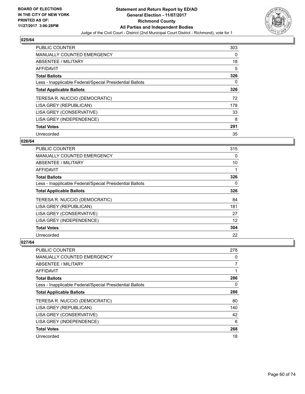

| <b>PUBLIC COUNTER</b>                                    | 303 |
|----------------------------------------------------------|-----|
| <b>MANUALLY COUNTED EMERGENCY</b>                        | 0   |
| ABSENTEE / MILITARY                                      | 18  |
| <b>AFFIDAVIT</b>                                         | 5   |
| <b>Total Ballots</b>                                     | 326 |
| Less - Inapplicable Federal/Special Presidential Ballots | 0   |
| <b>Total Applicable Ballots</b>                          | 326 |
| TERESA R. NUCCIO (DEMOCRATIC)                            | 72  |
| LISA GREY (REPUBLICAN)                                   | 178 |
| LISA GREY (CONSERVATIVE)                                 | 33  |
| LISA GREY (INDEPENDENCE)                                 | 8   |
| <b>Total Votes</b>                                       | 291 |
| Unrecorded                                               | 35  |

## **026/64**

| <b>PUBLIC COUNTER</b>                                    | 315 |
|----------------------------------------------------------|-----|
| <b>MANUALLY COUNTED EMERGENCY</b>                        | 0   |
| ABSENTEE / MILITARY                                      | 10  |
| <b>AFFIDAVIT</b>                                         |     |
| <b>Total Ballots</b>                                     | 326 |
| Less - Inapplicable Federal/Special Presidential Ballots | 0   |
| <b>Total Applicable Ballots</b>                          | 326 |
| TERESA R. NUCCIO (DEMOCRATIC)                            | 84  |
| LISA GREY (REPUBLICAN)                                   | 181 |
| LISA GREY (CONSERVATIVE)                                 | 27  |
| LISA GREY (INDEPENDENCE)                                 | 12  |
| <b>Total Votes</b>                                       | 304 |
| Unrecorded                                               | 22  |

| <b>PUBLIC COUNTER</b>                                    | 278 |
|----------------------------------------------------------|-----|
| <b>MANUALLY COUNTED EMERGENCY</b>                        | 0   |
| ABSENTEE / MILITARY                                      | 7   |
| AFFIDAVIT                                                | 1   |
| <b>Total Ballots</b>                                     | 286 |
| Less - Inapplicable Federal/Special Presidential Ballots | 0   |
| <b>Total Applicable Ballots</b>                          | 286 |
| TERESA R. NUCCIO (DEMOCRATIC)                            | 80  |
| LISA GREY (REPUBLICAN)                                   | 140 |
| LISA GREY (CONSERVATIVE)                                 | 42  |
| LISA GREY (INDEPENDENCE)                                 | 6   |
| <b>Total Votes</b>                                       | 268 |
| Unrecorded                                               | 18  |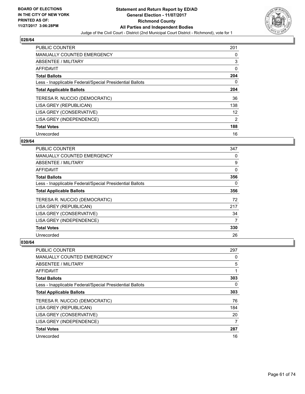

| <b>PUBLIC COUNTER</b>                                    | 201 |
|----------------------------------------------------------|-----|
| <b>MANUALLY COUNTED EMERGENCY</b>                        | 0   |
| ABSENTEE / MILITARY                                      | 3   |
| <b>AFFIDAVIT</b>                                         | 0   |
| <b>Total Ballots</b>                                     | 204 |
| Less - Inapplicable Federal/Special Presidential Ballots | 0   |
| <b>Total Applicable Ballots</b>                          | 204 |
| TERESA R. NUCCIO (DEMOCRATIC)                            | 36  |
| LISA GREY (REPUBLICAN)                                   | 138 |
| LISA GREY (CONSERVATIVE)                                 | 12  |
| LISA GREY (INDEPENDENCE)                                 | 2   |
| <b>Total Votes</b>                                       | 188 |
| Unrecorded                                               | 16  |

# **029/64**

| <b>PUBLIC COUNTER</b>                                    | 347 |
|----------------------------------------------------------|-----|
| MANUALLY COUNTED EMERGENCY                               | 0   |
| ABSENTEE / MILITARY                                      | 9   |
| AFFIDAVIT                                                | 0   |
| <b>Total Ballots</b>                                     | 356 |
| Less - Inapplicable Federal/Special Presidential Ballots | 0   |
| <b>Total Applicable Ballots</b>                          | 356 |
| TERESA R. NUCCIO (DEMOCRATIC)                            | 72  |
| LISA GREY (REPUBLICAN)                                   | 217 |
| LISA GREY (CONSERVATIVE)                                 | 34  |
| LISA GREY (INDEPENDENCE)                                 | 7   |
| <b>Total Votes</b>                                       | 330 |
| Unrecorded                                               | 26  |

| <b>PUBLIC COUNTER</b>                                    | 297 |
|----------------------------------------------------------|-----|
| <b>MANUALLY COUNTED EMERGENCY</b>                        | 0   |
| ABSENTEE / MILITARY                                      | 5   |
| AFFIDAVIT                                                | 1   |
| <b>Total Ballots</b>                                     | 303 |
| Less - Inapplicable Federal/Special Presidential Ballots | 0   |
| <b>Total Applicable Ballots</b>                          | 303 |
| TERESA R. NUCCIO (DEMOCRATIC)                            | 76  |
| LISA GREY (REPUBLICAN)                                   | 184 |
| LISA GREY (CONSERVATIVE)                                 | 20  |
| LISA GREY (INDEPENDENCE)                                 | 7   |
| <b>Total Votes</b>                                       | 287 |
| Unrecorded                                               | 16  |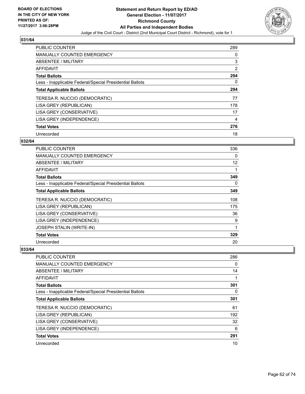

| <b>PUBLIC COUNTER</b>                                    | 289            |
|----------------------------------------------------------|----------------|
| <b>MANUALLY COUNTED EMERGENCY</b>                        | 0              |
| ABSENTEE / MILITARY                                      | 3              |
| AFFIDAVIT                                                | $\overline{2}$ |
| <b>Total Ballots</b>                                     | 294            |
| Less - Inapplicable Federal/Special Presidential Ballots | 0              |
| <b>Total Applicable Ballots</b>                          | 294            |
| TERESA R. NUCCIO (DEMOCRATIC)                            | 77             |
| LISA GREY (REPUBLICAN)                                   | 178            |
| LISA GREY (CONSERVATIVE)                                 | 17             |
| LISA GREY (INDEPENDENCE)                                 | 4              |
| <b>Total Votes</b>                                       | 276            |
| Unrecorded                                               | 18             |

# **032/64**

| <b>PUBLIC COUNTER</b>                                    | 336 |
|----------------------------------------------------------|-----|
| MANUALLY COUNTED EMERGENCY                               | 0   |
| ABSENTEE / MILITARY                                      | 12  |
| <b>AFFIDAVIT</b>                                         | 1   |
| <b>Total Ballots</b>                                     | 349 |
| Less - Inapplicable Federal/Special Presidential Ballots | 0   |
| <b>Total Applicable Ballots</b>                          | 349 |
| TERESA R. NUCCIO (DEMOCRATIC)                            | 108 |
| LISA GREY (REPUBLICAN)                                   | 175 |
| LISA GREY (CONSERVATIVE)                                 | 36  |
| LISA GREY (INDEPENDENCE)                                 | 9   |
| JOSEPH STALIN (WRITE-IN)                                 | 1   |
| <b>Total Votes</b>                                       | 329 |
| Unrecorded                                               | 20  |

| <b>PUBLIC COUNTER</b>                                    | 286 |
|----------------------------------------------------------|-----|
| <b>MANUALLY COUNTED EMERGENCY</b>                        | 0   |
| ABSENTEE / MILITARY                                      | 14  |
| AFFIDAVIT                                                |     |
| <b>Total Ballots</b>                                     | 301 |
| Less - Inapplicable Federal/Special Presidential Ballots | 0   |
| <b>Total Applicable Ballots</b>                          | 301 |
| TERESA R. NUCCIO (DEMOCRATIC)                            | 61  |
| LISA GREY (REPUBLICAN)                                   | 192 |
| LISA GREY (CONSERVATIVE)                                 | 32  |
| LISA GREY (INDEPENDENCE)                                 | 6   |
| <b>Total Votes</b>                                       | 291 |
| Unrecorded                                               | 10  |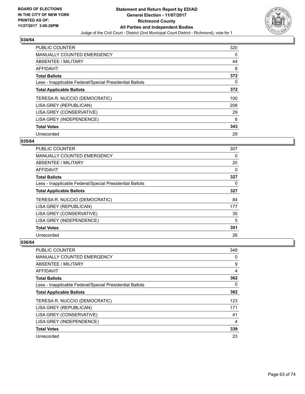

| <b>PUBLIC COUNTER</b>                                    | 320 |
|----------------------------------------------------------|-----|
| <b>MANUALLY COUNTED EMERGENCY</b>                        | 0   |
| ABSENTEE / MILITARY                                      | 44  |
| AFFIDAVIT                                                | 8   |
| <b>Total Ballots</b>                                     | 372 |
| Less - Inapplicable Federal/Special Presidential Ballots | 0   |
| <b>Total Applicable Ballots</b>                          | 372 |
| TERESA R. NUCCIO (DEMOCRATIC)                            | 100 |
| LISA GREY (REPUBLICAN)                                   | 208 |
| LISA GREY (CONSERVATIVE)                                 | 29  |
| LISA GREY (INDEPENDENCE)                                 | 6   |
| <b>Total Votes</b>                                       | 343 |
| Unrecorded                                               | 29  |

## **035/64**

| <b>PUBLIC COUNTER</b>                                    | 307 |
|----------------------------------------------------------|-----|
| MANUALLY COUNTED EMERGENCY                               | 0   |
| ABSENTEE / MILITARY                                      | 20  |
| <b>AFFIDAVIT</b>                                         | 0   |
| <b>Total Ballots</b>                                     | 327 |
| Less - Inapplicable Federal/Special Presidential Ballots | 0   |
| <b>Total Applicable Ballots</b>                          | 327 |
| TERESA R. NUCCIO (DEMOCRATIC)                            | 84  |
| LISA GREY (REPUBLICAN)                                   | 177 |
| LISA GREY (CONSERVATIVE)                                 | 35  |
| LISA GREY (INDEPENDENCE)                                 | 5   |
| <b>Total Votes</b>                                       | 301 |
| Unrecorded                                               | 26  |

| <b>PUBLIC COUNTER</b>                                    | 349 |
|----------------------------------------------------------|-----|
| <b>MANUALLY COUNTED EMERGENCY</b>                        | 0   |
| ABSENTEE / MILITARY                                      | 9   |
| AFFIDAVIT                                                | 4   |
| <b>Total Ballots</b>                                     | 362 |
| Less - Inapplicable Federal/Special Presidential Ballots | 0   |
| <b>Total Applicable Ballots</b>                          | 362 |
| TERESA R. NUCCIO (DEMOCRATIC)                            | 123 |
| LISA GREY (REPUBLICAN)                                   | 171 |
| LISA GREY (CONSERVATIVE)                                 | 41  |
| LISA GREY (INDEPENDENCE)                                 | 4   |
| <b>Total Votes</b>                                       | 339 |
| Unrecorded                                               | 23  |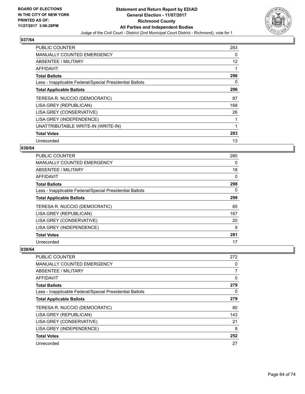

| <b>PUBLIC COUNTER</b>                                    | 283 |
|----------------------------------------------------------|-----|
| <b>MANUALLY COUNTED EMERGENCY</b>                        | 0   |
| ABSENTEE / MILITARY                                      | 12  |
| <b>AFFIDAVIT</b>                                         |     |
| <b>Total Ballots</b>                                     | 296 |
| Less - Inapplicable Federal/Special Presidential Ballots | 0   |
| <b>Total Applicable Ballots</b>                          | 296 |
| TERESA R. NUCCIO (DEMOCRATIC)                            | 87  |
| LISA GREY (REPUBLICAN)                                   | 168 |
| LISA GREY (CONSERVATIVE)                                 | 26  |
| LISA GREY (INDEPENDENCE)                                 |     |
| UNATTRIBUTABLE WRITE-IN (WRITE-IN)                       | 1   |
| <b>Total Votes</b>                                       | 283 |
| Unrecorded                                               | 13  |

## **038/64**

| <b>PUBLIC COUNTER</b>                                    | 280 |
|----------------------------------------------------------|-----|
| <b>MANUALLY COUNTED EMERGENCY</b>                        | 0   |
| ABSENTEE / MILITARY                                      | 18  |
| AFFIDAVIT                                                | 0   |
| <b>Total Ballots</b>                                     | 298 |
| Less - Inapplicable Federal/Special Presidential Ballots | 0   |
| <b>Total Applicable Ballots</b>                          | 298 |
| TERESA R. NUCCIO (DEMOCRATIC)                            | 85  |
| LISA GREY (REPUBLICAN)                                   | 167 |
| LISA GREY (CONSERVATIVE)                                 | 20  |
| LISA GREY (INDEPENDENCE)                                 | 9   |
| <b>Total Votes</b>                                       | 281 |
| Unrecorded                                               | 17  |

| <b>PUBLIC COUNTER</b>                                    | 272 |
|----------------------------------------------------------|-----|
| <b>MANUALLY COUNTED EMERGENCY</b>                        | 0   |
| ABSENTEE / MILITARY                                      | 7   |
| AFFIDAVIT                                                | 0   |
| <b>Total Ballots</b>                                     | 279 |
| Less - Inapplicable Federal/Special Presidential Ballots | 0   |
| <b>Total Applicable Ballots</b>                          | 279 |
| TERESA R. NUCCIO (DEMOCRATIC)                            | 80  |
| LISA GREY (REPUBLICAN)                                   | 143 |
| LISA GREY (CONSERVATIVE)                                 | 21  |
| LISA GREY (INDEPENDENCE)                                 | 8   |
| <b>Total Votes</b>                                       | 252 |
| Unrecorded                                               | 27  |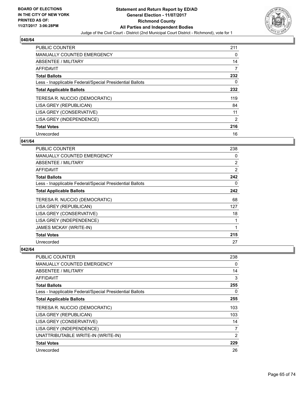

| <b>PUBLIC COUNTER</b>                                    | 211 |
|----------------------------------------------------------|-----|
| <b>MANUALLY COUNTED EMERGENCY</b>                        | 0   |
| ABSENTEE / MILITARY                                      | 14  |
| AFFIDAVIT                                                | 7   |
| <b>Total Ballots</b>                                     | 232 |
| Less - Inapplicable Federal/Special Presidential Ballots | 0   |
| <b>Total Applicable Ballots</b>                          | 232 |
| TERESA R. NUCCIO (DEMOCRATIC)                            | 119 |
| LISA GREY (REPUBLICAN)                                   | 84  |
| LISA GREY (CONSERVATIVE)                                 | 11  |
| LISA GREY (INDEPENDENCE)                                 | 2   |
| <b>Total Votes</b>                                       | 216 |
| Unrecorded                                               | 16  |

## **041/64**

| <b>PUBLIC COUNTER</b>                                    | 238 |
|----------------------------------------------------------|-----|
| <b>MANUALLY COUNTED EMERGENCY</b>                        | 0   |
| ABSENTEE / MILITARY                                      | 2   |
| AFFIDAVIT                                                | 2   |
| <b>Total Ballots</b>                                     | 242 |
| Less - Inapplicable Federal/Special Presidential Ballots | 0   |
| <b>Total Applicable Ballots</b>                          | 242 |
| TERESA R. NUCCIO (DEMOCRATIC)                            | 68  |
| LISA GREY (REPUBLICAN)                                   | 127 |
| LISA GREY (CONSERVATIVE)                                 | 18  |
| LISA GREY (INDEPENDENCE)                                 | 1   |
| <b>JAMES MCKAY (WRITE-IN)</b>                            | 1   |
| <b>Total Votes</b>                                       | 215 |
| Unrecorded                                               | 27  |

| PUBLIC COUNTER                                           | 238 |
|----------------------------------------------------------|-----|
| <b>MANUALLY COUNTED EMERGENCY</b>                        | 0   |
| ABSENTEE / MILITARY                                      | 14  |
| AFFIDAVIT                                                | 3   |
| <b>Total Ballots</b>                                     | 255 |
| Less - Inapplicable Federal/Special Presidential Ballots | 0   |
| <b>Total Applicable Ballots</b>                          | 255 |
| TERESA R. NUCCIO (DEMOCRATIC)                            | 103 |
| LISA GREY (REPUBLICAN)                                   | 103 |
| LISA GREY (CONSERVATIVE)                                 | 14  |
| LISA GREY (INDEPENDENCE)                                 | 7   |
| UNATTRIBUTABLE WRITE-IN (WRITE-IN)                       | 2   |
| <b>Total Votes</b>                                       | 229 |
| Unrecorded                                               | 26  |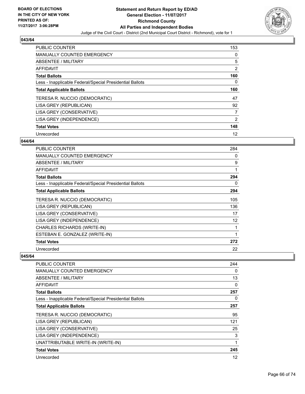

| <b>PUBLIC COUNTER</b>                                    | 153            |
|----------------------------------------------------------|----------------|
| <b>MANUALLY COUNTED EMERGENCY</b>                        | 0              |
| ABSENTEE / MILITARY                                      | 5              |
| AFFIDAVIT                                                | 2              |
| <b>Total Ballots</b>                                     | 160            |
| Less - Inapplicable Federal/Special Presidential Ballots | 0              |
| <b>Total Applicable Ballots</b>                          | 160            |
| TERESA R. NUCCIO (DEMOCRATIC)                            | 47             |
| LISA GREY (REPUBLICAN)                                   | 92             |
| LISA GREY (CONSERVATIVE)                                 | $\overline{7}$ |
| LISA GREY (INDEPENDENCE)                                 | 2              |
| <b>Total Votes</b>                                       | 148            |
| Unrecorded                                               | 12             |

## **044/64**

| PUBLIC COUNTER                                           | 284         |
|----------------------------------------------------------|-------------|
| <b>MANUALLY COUNTED EMERGENCY</b>                        | 0           |
| ABSENTEE / MILITARY                                      | 9           |
| AFFIDAVIT                                                | 1           |
| <b>Total Ballots</b>                                     | 294         |
| Less - Inapplicable Federal/Special Presidential Ballots | 0           |
| <b>Total Applicable Ballots</b>                          | 294         |
| TERESA R. NUCCIO (DEMOCRATIC)                            | 105         |
| LISA GREY (REPUBLICAN)                                   | 136         |
| LISA GREY (CONSERVATIVE)                                 | 17          |
| LISA GREY (INDEPENDENCE)                                 | 12          |
| <b>CHARLES RICHARDS (WRITE-IN)</b>                       |             |
| ESTEBAN E. GONZALEZ (WRITE-IN)                           | $\mathbf 1$ |
| <b>Total Votes</b>                                       | 272         |
| Unrecorded                                               | 22          |

| <b>PUBLIC COUNTER</b>                                    | 244 |
|----------------------------------------------------------|-----|
| <b>MANUALLY COUNTED EMERGENCY</b>                        | 0   |
| <b>ABSENTEE / MILITARY</b>                               | 13  |
| AFFIDAVIT                                                | 0   |
| <b>Total Ballots</b>                                     | 257 |
| Less - Inapplicable Federal/Special Presidential Ballots | 0   |
| <b>Total Applicable Ballots</b>                          | 257 |
| TERESA R. NUCCIO (DEMOCRATIC)                            | 95  |
| LISA GREY (REPUBLICAN)                                   | 121 |
| LISA GREY (CONSERVATIVE)                                 | 25  |
| LISA GREY (INDEPENDENCE)                                 | 3   |
| UNATTRIBUTABLE WRITE-IN (WRITE-IN)                       |     |
| <b>Total Votes</b>                                       | 245 |
| Unrecorded                                               | 12  |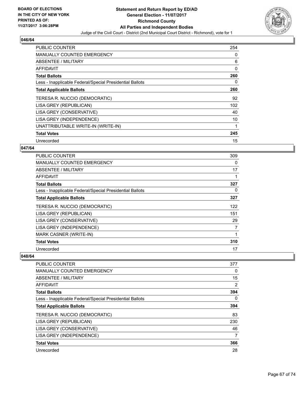

| <b>PUBLIC COUNTER</b>                                    | 254 |
|----------------------------------------------------------|-----|
| MANUALLY COUNTED EMERGENCY                               | 0   |
| <b>ABSENTEE / MILITARY</b>                               | 6   |
| AFFIDAVIT                                                | 0   |
| <b>Total Ballots</b>                                     | 260 |
| Less - Inapplicable Federal/Special Presidential Ballots | 0   |
| <b>Total Applicable Ballots</b>                          | 260 |
| TERESA R. NUCCIO (DEMOCRATIC)                            | 92  |
| LISA GREY (REPUBLICAN)                                   | 102 |
| LISA GREY (CONSERVATIVE)                                 | 40  |
| LISA GREY (INDEPENDENCE)                                 | 10  |
| UNATTRIBUTABLE WRITE-IN (WRITE-IN)                       | 1   |
| <b>Total Votes</b>                                       | 245 |
| Unrecorded                                               | 15  |

## **047/64**

| <b>PUBLIC COUNTER</b>                                    | 309 |
|----------------------------------------------------------|-----|
| <b>MANUALLY COUNTED EMERGENCY</b>                        | 0   |
| ABSENTEE / MILITARY                                      | 17  |
| AFFIDAVIT                                                |     |
| <b>Total Ballots</b>                                     | 327 |
| Less - Inapplicable Federal/Special Presidential Ballots | 0   |
| <b>Total Applicable Ballots</b>                          | 327 |
| TERESA R. NUCCIO (DEMOCRATIC)                            | 122 |
| LISA GREY (REPUBLICAN)                                   | 151 |
| LISA GREY (CONSERVATIVE)                                 | 29  |
| LISA GREY (INDEPENDENCE)                                 | 7   |
| MARK CASNER (WRITE-IN)                                   |     |
| <b>Total Votes</b>                                       | 310 |
| Unrecorded                                               | 17  |

| <b>PUBLIC COUNTER</b>                                    | 377 |
|----------------------------------------------------------|-----|
| <b>MANUALLY COUNTED EMERGENCY</b>                        | 0   |
| ABSENTEE / MILITARY                                      | 15  |
| AFFIDAVIT                                                | 2   |
| <b>Total Ballots</b>                                     | 394 |
| Less - Inapplicable Federal/Special Presidential Ballots | 0   |
| <b>Total Applicable Ballots</b>                          | 394 |
| TERESA R. NUCCIO (DEMOCRATIC)                            | 83  |
| LISA GREY (REPUBLICAN)                                   | 230 |
| LISA GREY (CONSERVATIVE)                                 | 46  |
| LISA GREY (INDEPENDENCE)                                 | 7   |
| <b>Total Votes</b>                                       | 366 |
| Unrecorded                                               | 28  |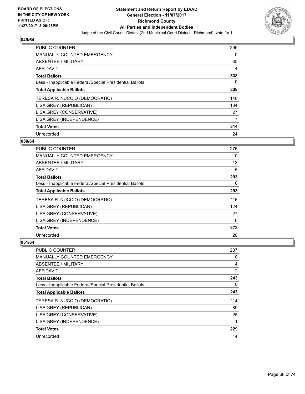

| <b>PUBLIC COUNTER</b>                                    | 299 |
|----------------------------------------------------------|-----|
| <b>MANUALLY COUNTED EMERGENCY</b>                        | 0   |
| ABSENTEE / MILITARY                                      | 35  |
| <b>AFFIDAVIT</b>                                         | 4   |
| <b>Total Ballots</b>                                     | 338 |
| Less - Inapplicable Federal/Special Presidential Ballots | 0   |
| <b>Total Applicable Ballots</b>                          | 338 |
| TERESA R. NUCCIO (DEMOCRATIC)                            | 146 |
| LISA GREY (REPUBLICAN)                                   | 134 |
| LISA GREY (CONSERVATIVE)                                 | 27  |
| LISA GREY (INDEPENDENCE)                                 | 7   |
| <b>Total Votes</b>                                       | 314 |
| Unrecorded                                               | 24  |

## **050/64**

| <b>PUBLIC COUNTER</b>                                    | 275 |
|----------------------------------------------------------|-----|
| MANUALLY COUNTED EMERGENCY                               | 0   |
| ABSENTEE / MILITARY                                      | 13  |
| <b>AFFIDAVIT</b>                                         | 5   |
| <b>Total Ballots</b>                                     | 293 |
| Less - Inapplicable Federal/Special Presidential Ballots | 0   |
| <b>Total Applicable Ballots</b>                          | 293 |
| TERESA R. NUCCIO (DEMOCRATIC)                            | 116 |
| LISA GREY (REPUBLICAN)                                   | 124 |
| LISA GREY (CONSERVATIVE)                                 | 27  |
| LISA GREY (INDEPENDENCE)                                 | 6   |
| <b>Total Votes</b>                                       | 273 |
| Unrecorded                                               | 20  |

| <b>PUBLIC COUNTER</b>                                    | 237 |
|----------------------------------------------------------|-----|
| <b>MANUALLY COUNTED EMERGENCY</b>                        | 0   |
| ABSENTEE / MILITARY                                      | 4   |
| AFFIDAVIT                                                | 2   |
| <b>Total Ballots</b>                                     | 243 |
| Less - Inapplicable Federal/Special Presidential Ballots | 0   |
| <b>Total Applicable Ballots</b>                          | 243 |
| TERESA R. NUCCIO (DEMOCRATIC)                            | 114 |
| LISA GREY (REPUBLICAN)                                   | 89  |
| LISA GREY (CONSERVATIVE)                                 | 25  |
| LISA GREY (INDEPENDENCE)                                 | 1   |
| <b>Total Votes</b>                                       | 229 |
| Unrecorded                                               | 14  |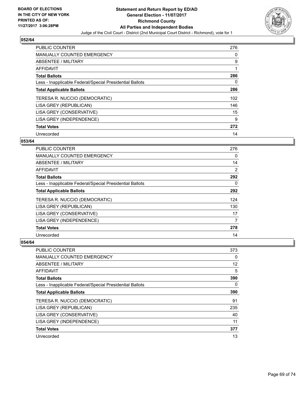

| <b>PUBLIC COUNTER</b>                                    | 276 |
|----------------------------------------------------------|-----|
| <b>MANUALLY COUNTED EMERGENCY</b>                        | 0   |
| ABSENTEE / MILITARY                                      | 9   |
| <b>AFFIDAVIT</b>                                         |     |
| <b>Total Ballots</b>                                     | 286 |
| Less - Inapplicable Federal/Special Presidential Ballots | 0   |
| <b>Total Applicable Ballots</b>                          | 286 |
| TERESA R. NUCCIO (DEMOCRATIC)                            | 102 |
| LISA GREY (REPUBLICAN)                                   | 146 |
| LISA GREY (CONSERVATIVE)                                 | 15  |
| LISA GREY (INDEPENDENCE)                                 | 9   |
| <b>Total Votes</b>                                       | 272 |
| Unrecorded                                               | 14  |

## **053/64**

| <b>PUBLIC COUNTER</b>                                    | 276 |
|----------------------------------------------------------|-----|
| <b>MANUALLY COUNTED EMERGENCY</b>                        | 0   |
| ABSENTEE / MILITARY                                      | 14  |
| AFFIDAVIT                                                | 2   |
| <b>Total Ballots</b>                                     | 292 |
| Less - Inapplicable Federal/Special Presidential Ballots | 0   |
| <b>Total Applicable Ballots</b>                          | 292 |
| TERESA R. NUCCIO (DEMOCRATIC)                            | 124 |
| LISA GREY (REPUBLICAN)                                   | 130 |
| LISA GREY (CONSERVATIVE)                                 | 17  |
| LISA GREY (INDEPENDENCE)                                 | 7   |
| <b>Total Votes</b>                                       | 278 |
| Unrecorded                                               | 14  |

| <b>PUBLIC COUNTER</b>                                    | 373 |
|----------------------------------------------------------|-----|
| <b>MANUALLY COUNTED EMERGENCY</b>                        | 0   |
| ABSENTEE / MILITARY                                      | 12  |
| AFFIDAVIT                                                | 5   |
| <b>Total Ballots</b>                                     | 390 |
| Less - Inapplicable Federal/Special Presidential Ballots | 0   |
| <b>Total Applicable Ballots</b>                          | 390 |
| TERESA R. NUCCIO (DEMOCRATIC)                            | 91  |
| LISA GREY (REPUBLICAN)                                   | 235 |
| LISA GREY (CONSERVATIVE)                                 | 40  |
| LISA GREY (INDEPENDENCE)                                 | 11  |
| <b>Total Votes</b>                                       | 377 |
| Unrecorded                                               | 13  |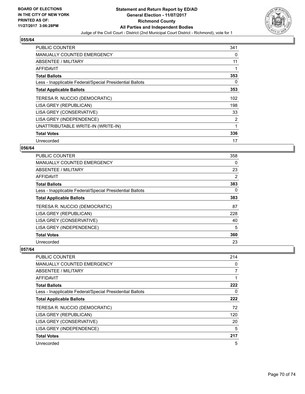

| PUBLIC COUNTER                                           | 341 |
|----------------------------------------------------------|-----|
| <b>MANUALLY COUNTED EMERGENCY</b>                        | 0   |
| ABSENTEE / MILITARY                                      | 11  |
| <b>AFFIDAVIT</b>                                         |     |
| <b>Total Ballots</b>                                     | 353 |
| Less - Inapplicable Federal/Special Presidential Ballots | 0   |
| <b>Total Applicable Ballots</b>                          | 353 |
| TERESA R. NUCCIO (DEMOCRATIC)                            | 102 |
| LISA GREY (REPUBLICAN)                                   | 198 |
| LISA GREY (CONSERVATIVE)                                 | 33  |
| LISA GREY (INDEPENDENCE)                                 | 2   |
| UNATTRIBUTABLE WRITE-IN (WRITE-IN)                       | 1   |
| <b>Total Votes</b>                                       | 336 |
| Unrecorded                                               | 17  |

## **056/64**

| <b>PUBLIC COUNTER</b>                                    | 358            |
|----------------------------------------------------------|----------------|
| MANUALLY COUNTED EMERGENCY                               | 0              |
| ABSENTEE / MILITARY                                      | 23             |
| AFFIDAVIT                                                | $\overline{2}$ |
| <b>Total Ballots</b>                                     | 383            |
| Less - Inapplicable Federal/Special Presidential Ballots | 0              |
| <b>Total Applicable Ballots</b>                          | 383            |
| TERESA R. NUCCIO (DEMOCRATIC)                            | 87             |
| LISA GREY (REPUBLICAN)                                   | 228            |
| LISA GREY (CONSERVATIVE)                                 | 40             |
| LISA GREY (INDEPENDENCE)                                 | 5              |
| <b>Total Votes</b>                                       | 360            |
| Unrecorded                                               | 23             |

| PUBLIC COUNTER                                           | 214            |
|----------------------------------------------------------|----------------|
| <b>MANUALLY COUNTED EMERGENCY</b>                        | 0              |
| ABSENTEE / MILITARY                                      | $\overline{7}$ |
| AFFIDAVIT                                                |                |
| <b>Total Ballots</b>                                     | 222            |
| Less - Inapplicable Federal/Special Presidential Ballots | 0              |
| <b>Total Applicable Ballots</b>                          | 222            |
| TERESA R. NUCCIO (DEMOCRATIC)                            | 72             |
| LISA GREY (REPUBLICAN)                                   | 120            |
| LISA GREY (CONSERVATIVE)                                 | 20             |
| LISA GREY (INDEPENDENCE)                                 | 5              |
| <b>Total Votes</b>                                       | 217            |
| Unrecorded                                               | 5              |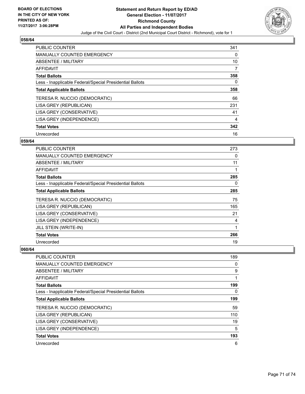

| PUBLIC COUNTER                                           | 341 |
|----------------------------------------------------------|-----|
| <b>MANUALLY COUNTED EMERGENCY</b>                        | 0   |
| ABSENTEE / MILITARY                                      | 10  |
| AFFIDAVIT                                                | 7   |
| <b>Total Ballots</b>                                     | 358 |
| Less - Inapplicable Federal/Special Presidential Ballots | 0   |
| <b>Total Applicable Ballots</b>                          | 358 |
| TERESA R. NUCCIO (DEMOCRATIC)                            | 66  |
| LISA GREY (REPUBLICAN)                                   | 231 |
| LISA GREY (CONSERVATIVE)                                 | 41  |
| LISA GREY (INDEPENDENCE)                                 | 4   |
| <b>Total Votes</b>                                       | 342 |
| Unrecorded                                               | 16  |

## **059/64**

| PUBLIC COUNTER                                           | 273 |
|----------------------------------------------------------|-----|
| <b>MANUALLY COUNTED EMERGENCY</b>                        | 0   |
| ABSENTEE / MILITARY                                      | 11  |
| AFFIDAVIT                                                | 1   |
| <b>Total Ballots</b>                                     | 285 |
| Less - Inapplicable Federal/Special Presidential Ballots | 0   |
| <b>Total Applicable Ballots</b>                          | 285 |
| TERESA R. NUCCIO (DEMOCRATIC)                            | 75  |
| LISA GREY (REPUBLICAN)                                   | 165 |
| LISA GREY (CONSERVATIVE)                                 | 21  |
| LISA GREY (INDEPENDENCE)                                 | 4   |
| JILL STEIN (WRITE-IN)                                    | 1   |
| <b>Total Votes</b>                                       | 266 |
| Unrecorded                                               | 19  |

| <b>PUBLIC COUNTER</b>                                    | 189 |
|----------------------------------------------------------|-----|
| <b>MANUALLY COUNTED EMERGENCY</b>                        | 0   |
| ABSENTEE / MILITARY                                      | 9   |
| AFFIDAVIT                                                |     |
| <b>Total Ballots</b>                                     | 199 |
| Less - Inapplicable Federal/Special Presidential Ballots | 0   |
| <b>Total Applicable Ballots</b>                          | 199 |
| TERESA R. NUCCIO (DEMOCRATIC)                            | 59  |
| LISA GREY (REPUBLICAN)                                   | 110 |
| LISA GREY (CONSERVATIVE)                                 | 19  |
| LISA GREY (INDEPENDENCE)                                 | 5   |
| <b>Total Votes</b>                                       | 193 |
| Unrecorded                                               | 6   |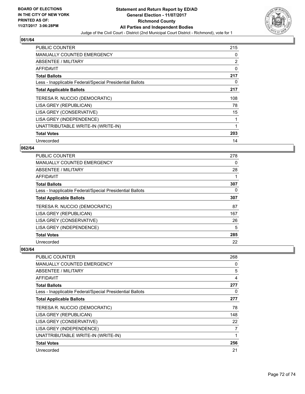

| <b>PUBLIC COUNTER</b>                                    | 215          |
|----------------------------------------------------------|--------------|
| <b>MANUALLY COUNTED EMERGENCY</b>                        | 0            |
| ABSENTEE / MILITARY                                      | 2            |
| AFFIDAVIT                                                | 0            |
| <b>Total Ballots</b>                                     | 217          |
| Less - Inapplicable Federal/Special Presidential Ballots | 0            |
| <b>Total Applicable Ballots</b>                          | 217          |
| TERESA R. NUCCIO (DEMOCRATIC)                            | 108          |
| LISA GREY (REPUBLICAN)                                   | 78           |
| LISA GREY (CONSERVATIVE)                                 | 15           |
| LISA GREY (INDEPENDENCE)                                 | 1            |
| UNATTRIBUTABLE WRITE-IN (WRITE-IN)                       | $\mathbf{1}$ |
| <b>Total Votes</b>                                       | 203          |
|                                                          |              |

## **062/64**

| <b>PUBLIC COUNTER</b>                                    | 278 |
|----------------------------------------------------------|-----|
| MANUALLY COUNTED EMERGENCY                               | 0   |
| ABSENTEE / MILITARY                                      | 28  |
| AFFIDAVIT                                                |     |
| <b>Total Ballots</b>                                     | 307 |
| Less - Inapplicable Federal/Special Presidential Ballots | 0   |
| <b>Total Applicable Ballots</b>                          | 307 |
| TERESA R. NUCCIO (DEMOCRATIC)                            | 87  |
| LISA GREY (REPUBLICAN)                                   | 167 |
| LISA GREY (CONSERVATIVE)                                 | 26  |
| LISA GREY (INDEPENDENCE)                                 | 5   |
| <b>Total Votes</b>                                       | 285 |
| Unrecorded                                               | 22  |

| <b>PUBLIC COUNTER</b>                                    | 268 |
|----------------------------------------------------------|-----|
| <b>MANUALLY COUNTED EMERGENCY</b>                        | 0   |
| ABSENTEE / MILITARY                                      | 5   |
| <b>AFFIDAVIT</b>                                         | 4   |
| <b>Total Ballots</b>                                     | 277 |
| Less - Inapplicable Federal/Special Presidential Ballots | 0   |
| <b>Total Applicable Ballots</b>                          | 277 |
| TERESA R. NUCCIO (DEMOCRATIC)                            | 78  |
| LISA GREY (REPUBLICAN)                                   | 148 |
| LISA GREY (CONSERVATIVE)                                 | 22  |
| LISA GREY (INDEPENDENCE)                                 | 7   |
| UNATTRIBUTABLE WRITE-IN (WRITE-IN)                       |     |
| <b>Total Votes</b>                                       | 256 |
| Unrecorded                                               | 21  |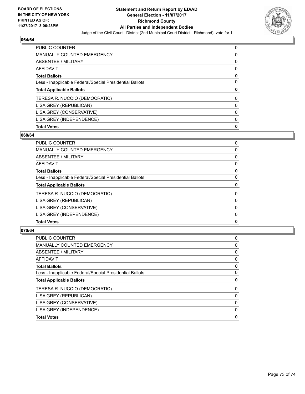

## **064/64**

| <b>PUBLIC COUNTER</b>                                    | 0 |
|----------------------------------------------------------|---|
| <b>MANUALLY COUNTED EMERGENCY</b>                        | 0 |
| ABSENTEE / MILITARY                                      | 0 |
| AFFIDAVIT                                                | 0 |
| <b>Total Ballots</b>                                     | 0 |
| Less - Inapplicable Federal/Special Presidential Ballots | 0 |
| <b>Total Applicable Ballots</b>                          | 0 |
| TERESA R. NUCCIO (DEMOCRATIC)                            | 0 |
| LISA GREY (REPUBLICAN)                                   | 0 |
| LISA GREY (CONSERVATIVE)                                 | 0 |
|                                                          |   |
| LISA GREY (INDEPENDENCE)                                 | 0 |

## **068/64**

| <b>Total Votes</b>                                       | 0 |
|----------------------------------------------------------|---|
| LISA GREY (INDEPENDENCE)                                 | 0 |
| LISA GREY (CONSERVATIVE)                                 | 0 |
| LISA GREY (REPUBLICAN)                                   | 0 |
| TERESA R. NUCCIO (DEMOCRATIC)                            | 0 |
| <b>Total Applicable Ballots</b>                          | 0 |
| Less - Inapplicable Federal/Special Presidential Ballots | 0 |
| <b>Total Ballots</b>                                     | 0 |
| AFFIDAVIT                                                | 0 |
| ABSENTEE / MILITARY                                      | 0 |
| <b>MANUALLY COUNTED EMERGENCY</b>                        | 0 |
| PUBLIC COUNTER                                           | 0 |

## **070/64**

| 0 |
|---|
| 0 |
| 0 |
| 0 |
| 0 |
| 0 |
| 0 |
| 0 |
| 0 |
| 0 |
| 0 |
| 0 |
|   |